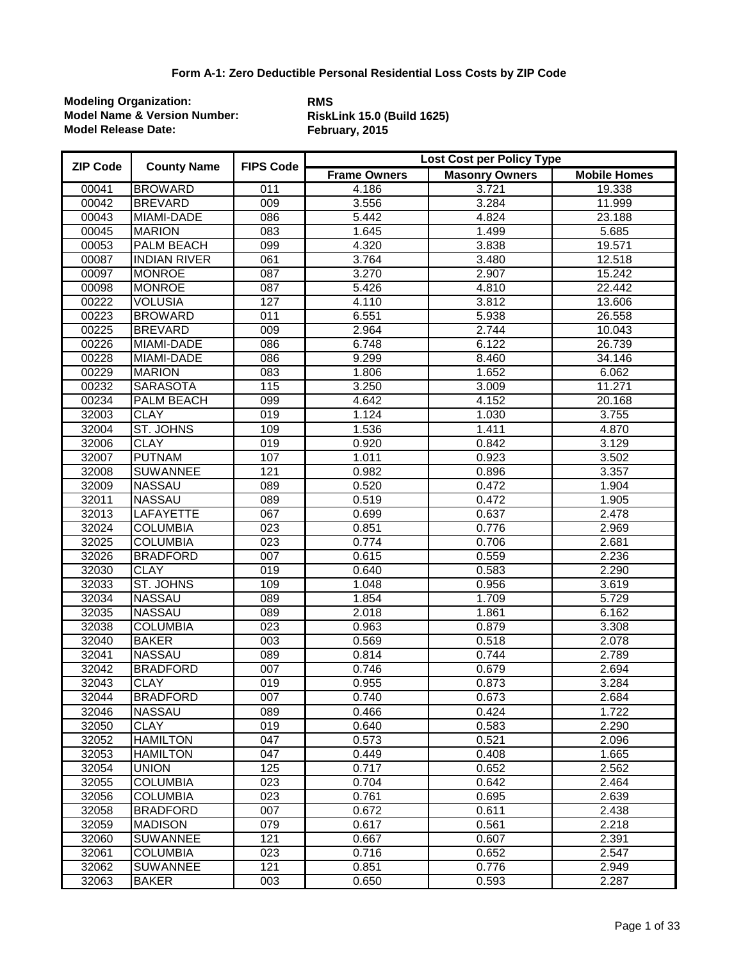| <b>ZIP Code</b> | <b>County Name</b>  | <b>FIPS Code</b> | Lost Cost per Policy Type |                       |                     |  |
|-----------------|---------------------|------------------|---------------------------|-----------------------|---------------------|--|
|                 |                     |                  | <b>Frame Owners</b>       | <b>Masonry Owners</b> | <b>Mobile Homes</b> |  |
| 00041           | <b>BROWARD</b>      | 011              | 4.186                     | 3.721                 | 19.338              |  |
| 00042           | <b>BREVARD</b>      | 009              | 3.556                     | 3.284                 | 11.999              |  |
| 00043           | MIAMI-DADE          | 086              | 5.442                     | 4.824                 | 23.188              |  |
| 00045           | <b>MARION</b>       | 083              | 1.645                     | 1.499                 | 5.685               |  |
| 00053           | <b>PALM BEACH</b>   | 099              | 4.320                     | 3.838                 | 19.571              |  |
| 00087           | <b>INDIAN RIVER</b> | 061              | 3.764                     | 3.480                 | 12.518              |  |
| 00097           | <b>MONROE</b>       | $\overline{087}$ | 3.270                     | 2.907                 | 15.242              |  |
| 00098           | <b>MONROE</b>       | 087              | 5.426                     | 4.810                 | 22.442              |  |
| 00222           | <b>VOLUSIA</b>      | 127              | 4.110                     | 3.812                 | 13.606              |  |
| 00223           | <b>BROWARD</b>      | 011              | 6.551                     | 5.938                 | 26.558              |  |
| 00225           | <b>BREVARD</b>      | 009              | 2.964                     | 2.744                 | 10.043              |  |
| 00226           | MIAMI-DADE          | 086              | 6.748                     | 6.122                 | 26.739              |  |
| 00228           | MIAMI-DADE          | 086              | 9.299                     | 8.460                 | 34.146              |  |
| 00229           | <b>MARION</b>       | 083              | 1.806                     | 1.652                 | 6.062               |  |
| 00232           | <b>SARASOTA</b>     | 115              | 3.250                     | 3.009                 | 11.271              |  |
| 00234           | <b>PALM BEACH</b>   | 099              | 4.642                     | 4.152                 | 20.168              |  |
| 32003           | <b>CLAY</b>         | $\overline{019}$ | 1.124                     | 1.030                 | 3.755               |  |
| 32004           | ST. JOHNS           | 109              | 1.536                     | 1.411                 | 4.870               |  |
| 32006           | <b>CLAY</b>         | 019              | 0.920                     | 0.842                 | 3.129               |  |
| 32007           | <b>PUTNAM</b>       | 107              | 1.011                     | 0.923                 | 3.502               |  |
| 32008           | <b>SUWANNEE</b>     | 121              | 0.982                     | 0.896                 | 3.357               |  |
| 32009           | <b>NASSAU</b>       | 089              | 0.520                     | 0.472                 | 1.904               |  |
| 32011           | <b>NASSAU</b>       | 089              | 0.519                     | 0.472                 | 1.905               |  |
| 32013           | <b>LAFAYETTE</b>    | 067              | 0.699                     | 0.637                 | 2.478               |  |
| 32024           | <b>COLUMBIA</b>     | 023              | 0.851                     | 0.776                 | 2.969               |  |
| 32025           | <b>COLUMBIA</b>     | $\overline{023}$ | 0.774                     | 0.706                 | 2.681               |  |
| 32026           | <b>BRADFORD</b>     | 007              | 0.615                     | 0.559                 | 2.236               |  |
| 32030           | <b>CLAY</b>         | $\overline{019}$ | 0.640                     | 0.583                 | 2.290               |  |
| 32033           | <b>ST. JOHNS</b>    | 109              | 1.048                     | 0.956                 | 3.619               |  |
| 32034           | <b>NASSAU</b>       | 089              | 1.854                     | 1.709                 | 5.729               |  |
| 32035           | <b>NASSAU</b>       | 089              | 2.018                     | 1.861                 | 6.162               |  |
| 32038           | <b>COLUMBIA</b>     | $\overline{023}$ | 0.963                     | 0.879                 | 3.308               |  |
| 32040           | <b>BAKER</b>        | $\overline{003}$ | 0.569                     | 0.518                 | 2.078               |  |
| 32041           | <b>NASSAU</b>       | 089              | 0.814                     | 0.744                 | 2.789               |  |
| 32042           | <b>BRADFORD</b>     | 007              | 0.746                     | 0.679                 | 2.694               |  |
| 32043           | <b>CLAY</b>         | 019              | 0.955                     | 0.873                 | 3.284               |  |
| 32044           | <b>BRADFORD</b>     | 007              | 0.740                     | 0.673                 | 2.684               |  |
| 32046           | <b>NASSAU</b>       | 089              | 0.466                     | 0.424                 | 1.722               |  |
| 32050           | <b>CLAY</b>         | 019              | 0.640                     | 0.583                 | 2.290               |  |
| 32052           | <b>HAMILTON</b>     | 047              | 0.573                     | 0.521                 | 2.096               |  |
| 32053           | <b>HAMILTON</b>     | 047              | 0.449                     | 0.408                 | 1.665               |  |
| 32054           | <b>UNION</b>        | 125              | 0.717                     | 0.652                 | 2.562               |  |
| 32055           | <b>COLUMBIA</b>     | 023              | 0.704                     | 0.642                 | 2.464               |  |
| 32056           | <b>COLUMBIA</b>     | 023              | 0.761                     | 0.695                 | 2.639               |  |
| 32058           | <b>BRADFORD</b>     | 007              | 0.672                     | 0.611                 | 2.438               |  |
| 32059           | <b>MADISON</b>      | 079              | 0.617                     | 0.561                 | 2.218               |  |
| 32060           | <b>SUWANNEE</b>     | 121              | 0.667                     | 0.607                 | 2.391               |  |
| 32061           | <b>COLUMBIA</b>     | 023              | 0.716                     | 0.652                 | 2.547               |  |
| 32062           | <b>SUWANNEE</b>     | 121              | 0.851                     | 0.776                 | 2.949               |  |
| 32063           | <b>BAKER</b>        | 003              | 0.650                     | 0.593                 | 2.287               |  |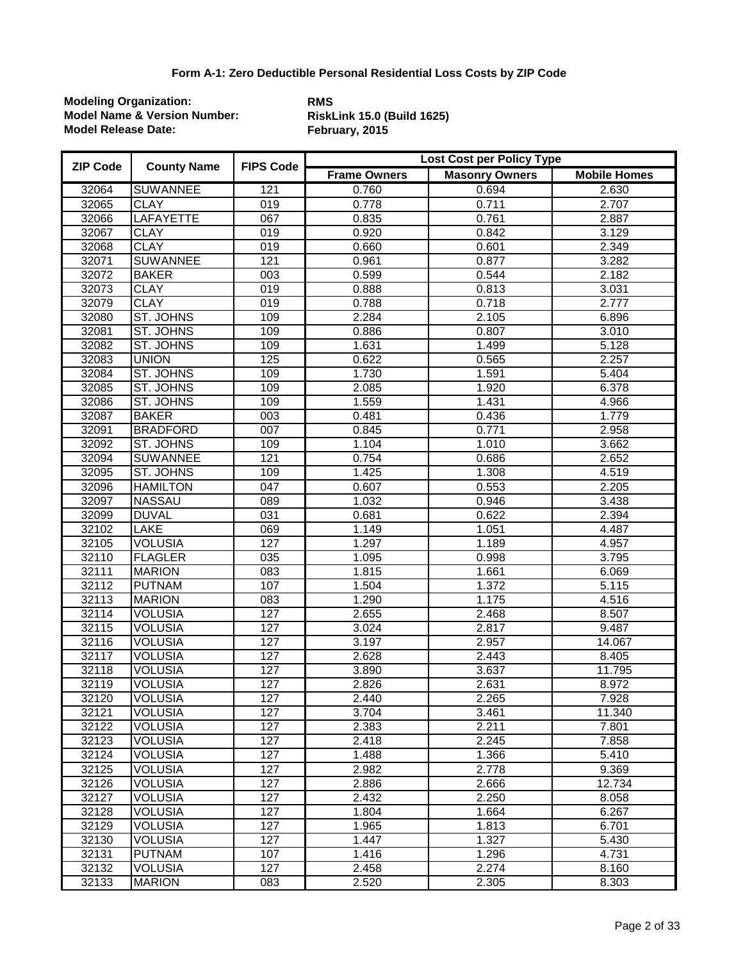| <b>ZIP Code</b> | <b>County Name</b> | <b>FIPS Code</b> | <b>Lost Cost per Policy Type</b> |                       |                     |  |
|-----------------|--------------------|------------------|----------------------------------|-----------------------|---------------------|--|
|                 |                    |                  | <b>Frame Owners</b>              | <b>Masonry Owners</b> | <b>Mobile Homes</b> |  |
| 32064           | <b>SUWANNEE</b>    | 121              | 0.760                            | 0.694                 | 2.630               |  |
| 32065           | <b>CLAY</b>        | 019              | 0.778                            | 0.711                 | 2.707               |  |
| 32066           | <b>LAFAYETTE</b>   | 067              | 0.835                            | 0.761                 | 2.887               |  |
| 32067           | <b>CLAY</b>        | 019              | 0.920                            | 0.842                 | 3.129               |  |
| 32068           | <b>CLAY</b>        | 019              | 0.660                            | 0.601                 | 2.349               |  |
| 32071           | <b>SUWANNEE</b>    | 121              | 0.961                            | 0.877                 | 3.282               |  |
| 32072           | <b>BAKER</b>       | $\overline{003}$ | 0.599                            | 0.544                 | 2.182               |  |
| 32073           | <b>CLAY</b>        | 019              | 0.888                            | 0.813                 | 3.031               |  |
| 32079           | <b>CLAY</b>        | 019              | 0.788                            | 0.718                 | 2.777               |  |
| 32080           | ST. JOHNS          | 109              | 2.284                            | 2.105                 | 6.896               |  |
| 32081           | <b>ST. JOHNS</b>   | 109              | 0.886                            | 0.807                 | 3.010               |  |
| 32082           | <b>ST. JOHNS</b>   | 109              | 1.631                            | 1.499                 | 5.128               |  |
| 32083           | <b>UNION</b>       | 125              | 0.622                            | 0.565                 | 2.257               |  |
| 32084           | ST. JOHNS          | 109              | 1.730                            | 1.591                 | 5.404               |  |
| 32085           | ST. JOHNS          | 109              | 2.085                            | 1.920                 | 6.378               |  |
| 32086           | ST. JOHNS          | 109              | 1.559                            | 1.431                 | 4.966               |  |
| 32087           | <b>BAKER</b>       | $\overline{003}$ | 0.481                            | 0.436                 | 1.779               |  |
| 32091           | <b>BRADFORD</b>    | 007              | 0.845                            | 0.771                 | 2.958               |  |
| 32092           | ST. JOHNS          | 109              | 1.104                            | 1.010                 | 3.662               |  |
| 32094           | <b>SUWANNEE</b>    | 121              | 0.754                            | 0.686                 | 2.652               |  |
| 32095           | ST. JOHNS          | 109              | 1.425                            | 1.308                 | 4.519               |  |
| 32096           | <b>HAMILTON</b>    | 047              | 0.607                            | 0.553                 | 2.205               |  |
| 32097           | <b>NASSAU</b>      | 089              | 1.032                            | 0.946                 | 3.438               |  |
| 32099           | <b>DUVAL</b>       | 031              | 0.681                            | 0.622                 | 2.394               |  |
| 32102           | <b>LAKE</b>        | 069              | 1.149                            | 1.051                 | 4.487               |  |
| 32105           | <b>VOLUSIA</b>     | 127              | 1.297                            | 1.189                 | 4.957               |  |
| 32110           | <b>FLAGLER</b>     | $\overline{035}$ | 1.095                            | 0.998                 | 3.795               |  |
| 32111           | <b>MARION</b>      | 083              | 1.815                            | 1.661                 | 6.069               |  |
| 32112           | <b>PUTNAM</b>      | 107              | 1.504                            | 1.372                 | 5.115               |  |
| 32113           | <b>MARION</b>      | $\overline{083}$ | 1.290                            | 1.175                 | 4.516               |  |
| 32114           | <b>VOLUSIA</b>     | 127              | 2.655                            | 2.468                 | 8.507               |  |
| 32115           | <b>VOLUSIA</b>     | 127              | 3.024                            | 2.817                 | 9.487               |  |
| 32116           | <b>VOLUSIA</b>     | 127              | 3.197                            | 2.957                 | 14.067              |  |
| 32117           | <b>VOLUSIA</b>     | 127              | 2.628                            | 2.443                 | 8.405               |  |
| 32118           | <b>VOLUSIA</b>     | 127              | 3.890                            | 3.637                 | 11.795              |  |
| 32119           | <b>VOLUSIA</b>     | 127              | 2.826                            | 2.631                 | 8.972               |  |
| 32120           | <b>VOLUSIA</b>     | 127              | 2.440                            | 2.265                 | 7.928               |  |
| 32121           | <b>VOLUSIA</b>     | 127              | 3.704                            | 3.461                 | 11.340              |  |
| 32122           | <b>VOLUSIA</b>     | 127              | 2.383                            | 2.211                 | 7.801               |  |
| 32123           | <b>VOLUSIA</b>     | $\overline{127}$ | 2.418                            | 2.245                 | 7.858               |  |
| 32124           | <b>VOLUSIA</b>     | 127              | 1.488                            | 1.366                 | 5.410               |  |
| 32125           | <b>VOLUSIA</b>     | 127              | 2.982                            | 2.778                 | 9.369               |  |
| 32126           | <b>VOLUSIA</b>     | 127              | 2.886                            | 2.666                 | 12.734              |  |
| 32127           | <b>VOLUSIA</b>     | 127              | 2.432                            | 2.250                 | 8.058               |  |
| 32128           | <b>VOLUSIA</b>     | 127              | 1.804                            | 1.664                 | 6.267               |  |
| 32129           | <b>VOLUSIA</b>     | 127              | 1.965                            | 1.813                 | 6.701               |  |
| 32130           | <b>VOLUSIA</b>     | 127              | 1.447                            | 1.327                 | 5.430               |  |
| 32131           | <b>PUTNAM</b>      | 107              | 1.416                            | 1.296                 | 4.731               |  |
| 32132           | <b>VOLUSIA</b>     | 127              | 2.458                            | 2.274                 | 8.160               |  |
| 32133           | <b>MARION</b>      | 083              | 2.520                            | 2.305                 | 8.303               |  |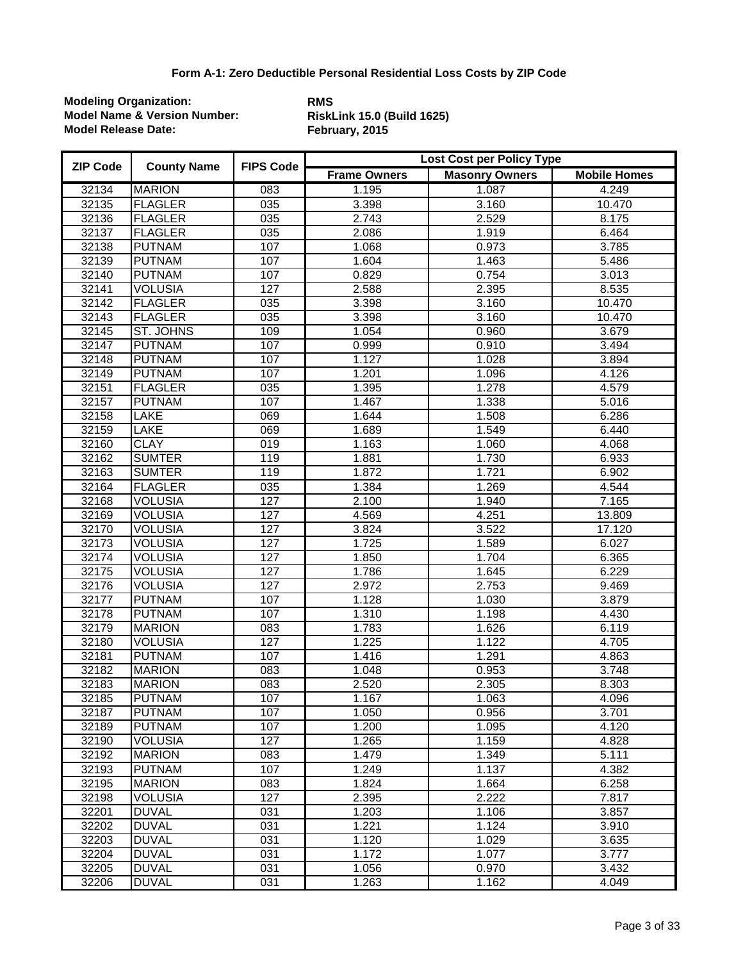| <b>ZIP Code</b> | <b>County Name</b> | <b>FIPS Code</b> | Lost Cost per Policy Type |                       |                     |
|-----------------|--------------------|------------------|---------------------------|-----------------------|---------------------|
|                 |                    |                  | <b>Frame Owners</b>       | <b>Masonry Owners</b> | <b>Mobile Homes</b> |
| 32134           | <b>MARION</b>      | 083              | 1.195                     | 1.087                 | 4.249               |
| 32135           | <b>FLAGLER</b>     | 035              | 3.398                     | 3.160                 | 10.470              |
| 32136           | <b>FLAGLER</b>     | $\overline{035}$ | 2.743                     | 2.529                 | 8.175               |
| 32137           | <b>FLAGLER</b>     | $\overline{035}$ | 2.086                     | 1.919                 | 6.464               |
| 32138           | <b>PUTNAM</b>      | 107              | 1.068                     | 0.973                 | 3.785               |
| 32139           | <b>PUTNAM</b>      | 107              | 1.604                     | 1.463                 | 5.486               |
| 32140           | <b>PUTNAM</b>      | 107              | 0.829                     | 0.754                 | 3.013               |
| 32141           | <b>VOLUSIA</b>     | 127              | 2.588                     | 2.395                 | 8.535               |
| 32142           | <b>FLAGLER</b>     | 035              | 3.398                     | 3.160                 | 10.470              |
| 32143           | <b>FLAGLER</b>     | $\overline{035}$ | 3.398                     | 3.160                 | 10.470              |
| 32145           | <b>ST. JOHNS</b>   | 109              | 1.054                     | 0.960                 | 3.679               |
| 32147           | <b>PUTNAM</b>      | 107              | 0.999                     | 0.910                 | 3.494               |
| 32148           | <b>PUTNAM</b>      | 107              | 1.127                     | 1.028                 | 3.894               |
| 32149           | <b>PUTNAM</b>      | 107              | 1.201                     | 1.096                 | 4.126               |
| 32151           | <b>FLAGLER</b>     | $\overline{035}$ | 1.395                     | 1.278                 | 4.579               |
| 32157           | <b>PUTNAM</b>      | 107              | 1.467                     | 1.338                 | 5.016               |
| 32158           | LAKE               | 069              | 1.644                     | 1.508                 | 6.286               |
| 32159           | LAKE               | 069              | 1.689                     | 1.549                 | 6.440               |
| 32160           | <b>CLAY</b>        | $\overline{019}$ | 1.163                     | 1.060                 | 4.068               |
| 32162           | <b>SUMTER</b>      | 119              | 1.881                     | 1.730                 | 6.933               |
| 32163           | <b>SUMTER</b>      | 119              | 1.872                     | 1.721                 | 6.902               |
| 32164           | <b>FLAGLER</b>     | 035              | 1.384                     | 1.269                 | 4.544               |
| 32168           | <b>VOLUSIA</b>     | 127              | 2.100                     | 1.940                 | 7.165               |
| 32169           | <b>VOLUSIA</b>     | 127              | 4.569                     | 4.251                 | 13.809              |
| 32170           | <b>VOLUSIA</b>     | 127              | 3.824                     | 3.522                 | 17.120              |
| 32173           | <b>VOLUSIA</b>     | 127              | 1.725                     | 1.589                 | 6.027               |
| 32174           | <b>VOLUSIA</b>     | 127              | 1.850                     | 1.704                 | 6.365               |
| 32175           | <b>VOLUSIA</b>     | 127              | 1.786                     | 1.645                 | 6.229               |
| 32176           | <b>VOLUSIA</b>     | 127              | 2.972                     | 2.753                 | 9.469               |
| 32177           | <b>PUTNAM</b>      | 107              | 1.128                     | 1.030                 | 3.879               |
| 32178           | <b>PUTNAM</b>      | 107              | 1.310                     | 1.198                 | 4.430               |
| 32179           | <b>MARION</b>      | $\overline{083}$ | 1.783                     | 1.626                 | 6.119               |
| 32180           | <b>VOLUSIA</b>     | 127              | 1.225                     | 1.122                 | 4.705               |
| 32181           | <b>PUTNAM</b>      | 107              | 1.416                     | 1.291                 | 4.863               |
| 32182           | <b>MARION</b>      | 083              | 1.048                     | 0.953                 | 3.748               |
| 32183           | <b>MARION</b>      | $\overline{083}$ | 2.520                     | 2.305                 | 8.303               |
| 32185           | <b>PUTNAM</b>      | 107              | 1.167                     | 1.063                 | 4.096               |
| 32187           | <b>PUTNAM</b>      | 107              | 1.050                     | 0.956                 | 3.701               |
| 32189           | <b>PUTNAM</b>      | 107              | 1.200                     | 1.095                 | 4.120               |
| 32190           | <b>VOLUSIA</b>     | 127              | 1.265                     | 1.159                 | 4.828               |
| 32192           | <b>MARION</b>      | 083              | 1.479                     | 1.349                 | 5.111               |
| 32193           | <b>PUTNAM</b>      | 107              | 1.249                     | 1.137                 | 4.382               |
| 32195           | <b>MARION</b>      | 083              | 1.824                     | 1.664                 | 6.258               |
| 32198           | <b>VOLUSIA</b>     | 127              | 2.395                     | 2.222                 | 7.817               |
| 32201           | <b>DUVAL</b>       | 031              | 1.203                     | 1.106                 | 3.857               |
| 32202           | <b>DUVAL</b>       | 031              | 1.221                     | 1.124                 | 3.910               |
| 32203           | <b>DUVAL</b>       | 031              | 1.120                     | 1.029                 | 3.635               |
| 32204           | <b>DUVAL</b>       | 031              | 1.172                     | 1.077                 | 3.777               |
| 32205           | <b>DUVAL</b>       | 031              | 1.056                     | 0.970                 | 3.432               |
| 32206           | <b>DUVAL</b>       | 031              | 1.263                     | 1.162                 | 4.049               |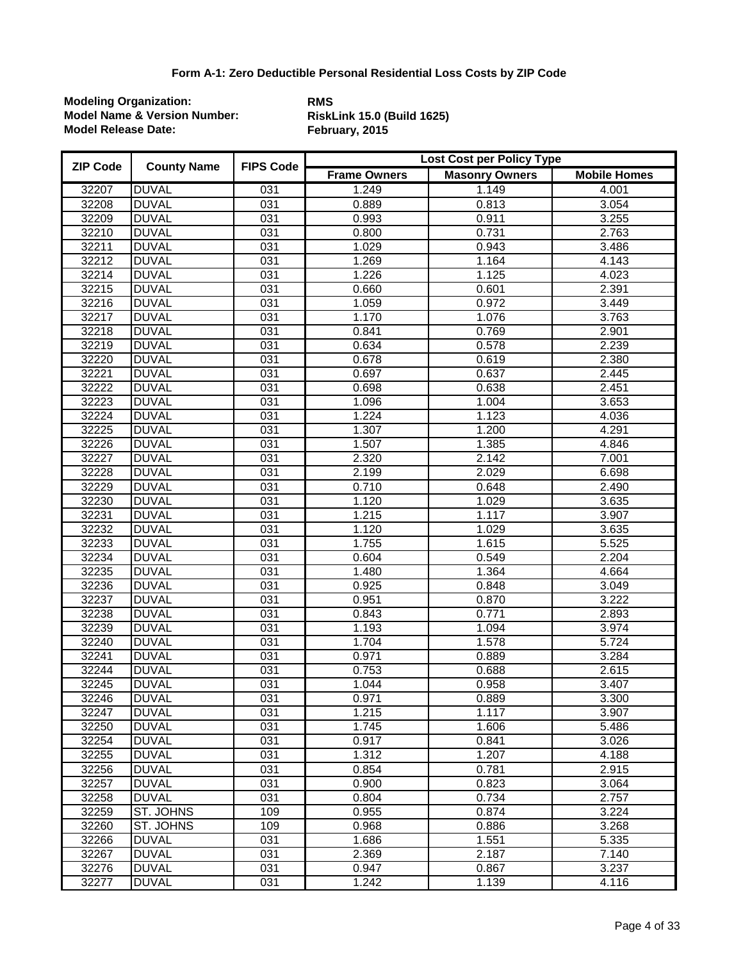| <b>ZIP Code</b> | <b>County Name</b> | <b>FIPS Code</b> | Lost Cost per Policy Type |                       |                     |  |
|-----------------|--------------------|------------------|---------------------------|-----------------------|---------------------|--|
|                 |                    |                  | <b>Frame Owners</b>       | <b>Masonry Owners</b> | <b>Mobile Homes</b> |  |
| 32207           | <b>DUVAL</b>       | 031              | 1.249                     | 1.149                 | 4.001               |  |
| 32208           | <b>DUVAL</b>       | 031              | 0.889                     | 0.813                 | 3.054               |  |
| 32209           | <b>DUVAL</b>       | $\overline{031}$ | 0.993                     | 0.911                 | 3.255               |  |
| 32210           | <b>DUVAL</b>       | $\overline{031}$ | 0.800                     | 0.731                 | 2.763               |  |
| 32211           | <b>DUVAL</b>       | $\overline{031}$ | 1.029                     | 0.943                 | 3.486               |  |
| 32212           | <b>DUVAL</b>       | $\overline{031}$ | 1.269                     | 1.164                 | 4.143               |  |
| 32214           | <b>DUVAL</b>       | $\overline{031}$ | 1.226                     | 1.125                 | 4.023               |  |
| 32215           | <b>DUVAL</b>       | 031              | 0.660                     | 0.601                 | 2.391               |  |
| 32216           | <b>DUVAL</b>       | 031              | 1.059                     | 0.972                 | 3.449               |  |
| 32217           | <b>DUVAL</b>       | $\overline{031}$ | 1.170                     | 1.076                 | 3.763               |  |
| 32218           | <b>DUVAL</b>       | 031              | 0.841                     | 0.769                 | 2.901               |  |
| 32219           | <b>DUVAL</b>       | $\overline{031}$ | 0.634                     | 0.578                 | 2.239               |  |
| 32220           | <b>DUVAL</b>       | 031              | 0.678                     | 0.619                 | 2.380               |  |
| 32221           | <b>DUVAL</b>       | $\overline{031}$ | 0.697                     | 0.637                 | 2.445               |  |
| 32222           | <b>DUVAL</b>       | $\overline{031}$ | 0.698                     | 0.638                 | 2.451               |  |
| 32223           | <b>DUVAL</b>       | 031              | 1.096                     | 1.004                 | 3.653               |  |
| 32224           | <b>DUVAL</b>       | $\overline{031}$ | 1.224                     | 1.123                 | 4.036               |  |
| 32225           | <b>DUVAL</b>       | $\overline{031}$ | 1.307                     | 1.200                 | 4.291               |  |
| 32226           | <b>DUVAL</b>       | $\overline{031}$ | 1.507                     | 1.385                 | 4.846               |  |
| 32227           | <b>DUVAL</b>       | $\overline{031}$ | 2.320                     | 2.142                 | 7.001               |  |
| 32228           | <b>DUVAL</b>       | 031              | 2.199                     | 2.029                 | 6.698               |  |
| 32229           | <b>DUVAL</b>       | 031              | 0.710                     | 0.648                 | 2.490               |  |
| 32230           | <b>DUVAL</b>       | 031              | 1.120                     | 1.029                 | 3.635               |  |
| 32231           | <b>DUVAL</b>       | 031              | 1.215                     | 1.117                 | 3.907               |  |
| 32232           | <b>DUVAL</b>       | $\overline{031}$ | 1.120                     | 1.029                 | 3.635               |  |
| 32233           | <b>DUVAL</b>       | 031              | 1.755                     | 1.615                 | 5.525               |  |
| 32234           | <b>DUVAL</b>       | 031              | 0.604                     | 0.549                 | 2.204               |  |
| 32235           | <b>DUVAL</b>       | 031              | 1.480                     | 1.364                 | 4.664               |  |
| 32236           | <b>DUVAL</b>       | $\overline{031}$ | 0.925                     | 0.848                 | 3.049               |  |
| 32237           | <b>DUVAL</b>       | 031              | 0.951                     | 0.870                 | 3.222               |  |
| 32238           | <b>DUVAL</b>       | 031              | 0.843                     | 0.771                 | 2.893               |  |
| 32239           | <b>DUVAL</b>       | $\overline{031}$ | 1.193                     | 1.094                 | 3.974               |  |
| 32240           | <b>DUVAL</b>       | $\overline{031}$ | 1.704                     | 1.578                 | 5.724               |  |
| 32241           | <b>DUVAL</b>       | 031              | 0.971                     | 0.889                 | 3.284               |  |
| 32244           | <b>DUVAL</b>       | $\overline{031}$ | 0.753                     | 0.688                 | 2.615               |  |
| 32245           | <b>DUVAL</b>       | $\overline{031}$ | 1.044                     | 0.958                 | 3.407               |  |
| 32246           | <b>DUVAL</b>       | 031              | 0.971                     | 0.889                 | 3.300               |  |
| 32247           | <b>DUVAL</b>       | 031              | 1.215                     | 1.117                 | 3.907               |  |
| 32250           | <b>DUVAL</b>       | 031              | 1.745                     | 1.606                 | 5.486               |  |
| 32254           | <b>DUVAL</b>       | 031              | 0.917                     | 0.841                 | 3.026               |  |
| 32255           | <b>DUVAL</b>       | 031              | 1.312                     | 1.207                 | 4.188               |  |
| 32256           | <b>DUVAL</b>       | 031              | 0.854                     | 0.781                 | 2.915               |  |
| 32257           | <b>DUVAL</b>       | 031              | 0.900                     | 0.823                 | 3.064               |  |
| 32258           | <b>DUVAL</b>       | 031              | 0.804                     | 0.734                 | 2.757               |  |
| 32259           | <b>ST. JOHNS</b>   | 109              | 0.955                     | 0.874                 | 3.224               |  |
| 32260           | <b>ST. JOHNS</b>   | 109              | 0.968                     | 0.886                 | 3.268               |  |
| 32266           | <b>DUVAL</b>       | 031              | 1.686                     | 1.551                 | 5.335               |  |
| 32267           | <b>DUVAL</b>       | 031              | 2.369                     | 2.187                 | 7.140               |  |
| 32276           | <b>DUVAL</b>       | 031              | 0.947                     | 0.867                 | 3.237               |  |
| 32277           | <b>DUVAL</b>       | 031              | 1.242                     | 1.139                 | 4.116               |  |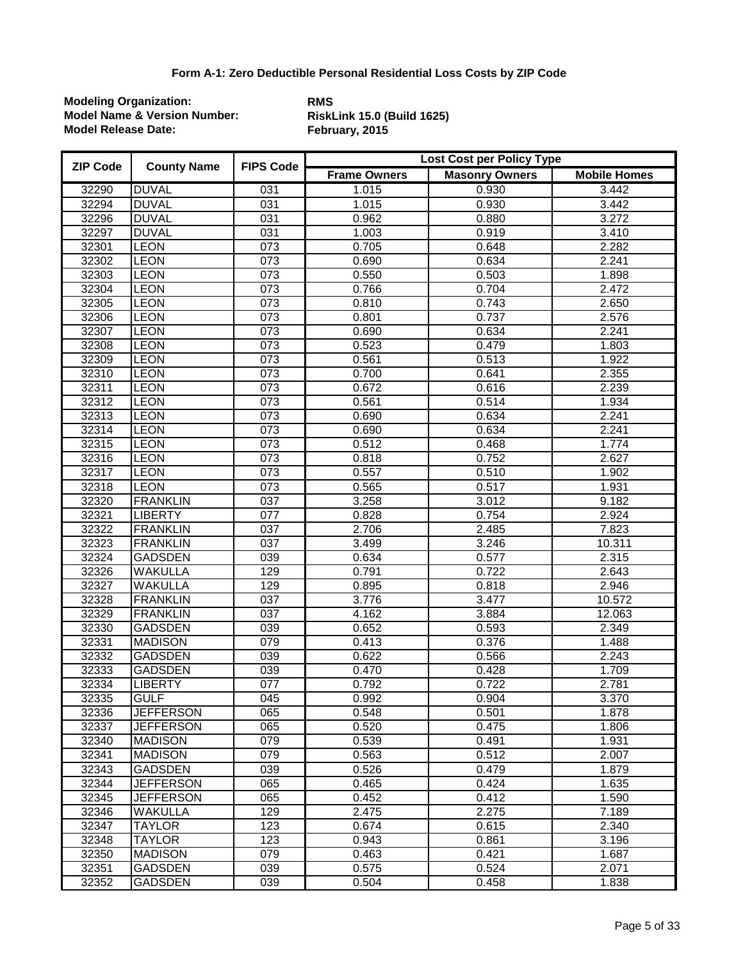| <b>ZIP Code</b> | <b>County Name</b> | <b>FIPS Code</b> |                     | Lost Cost per Policy Type |                     |  |
|-----------------|--------------------|------------------|---------------------|---------------------------|---------------------|--|
|                 |                    |                  | <b>Frame Owners</b> | <b>Masonry Owners</b>     | <b>Mobile Homes</b> |  |
| 32290           | <b>DUVAL</b>       | 031              | 1.015               | 0.930                     | 3.442               |  |
| 32294           | <b>DUVAL</b>       | 031              | 1.015               | 0.930                     | 3.442               |  |
| 32296           | <b>DUVAL</b>       | $\overline{031}$ | 0.962               | 0.880                     | 3.272               |  |
| 32297           | <b>DUVAL</b>       | $\overline{031}$ | 1.003               | 0.919                     | 3.410               |  |
| 32301           | <b>LEON</b>        | 073              | 0.705               | 0.648                     | 2.282               |  |
| 32302           | <b>LEON</b>        | 073              | 0.690               | 0.634                     | 2.241               |  |
| 32303           | <b>LEON</b>        | 073              | 0.550               | 0.503                     | 1.898               |  |
| 32304           | <b>LEON</b>        | 073              | 0.766               | 0.704                     | 2.472               |  |
| 32305           | <b>LEON</b>        | 073              | 0.810               | 0.743                     | 2.650               |  |
| 32306           | <b>LEON</b>        | $\overline{073}$ | 0.801               | 0.737                     | 2.576               |  |
| 32307           | <b>LEON</b>        | $\overline{073}$ | 0.690               | 0.634                     | 2.241               |  |
| 32308           | <b>LEON</b>        | $\overline{073}$ | 0.523               | 0.479                     | 1.803               |  |
| 32309           | <b>LEON</b>        | 073              | 0.561               | 0.513                     | 1.922               |  |
| 32310           | <b>LEON</b>        | $\overline{073}$ | 0.700               | 0.641                     | 2.355               |  |
| 32311           | <b>LEON</b>        | $\overline{073}$ | 0.672               | 0.616                     | 2.239               |  |
| 32312           | <b>LEON</b>        | 073              | 0.561               | 0.514                     | 1.934               |  |
| 32313           | LEON               | 073              | 0.690               | 0.634                     | 2.241               |  |
| 32314           | <b>LEON</b>        | $\overline{073}$ | 0.690               | 0.634                     | 2.241               |  |
| 32315           | <b>LEON</b>        | $\overline{073}$ | 0.512               | 0.468                     | 1.774               |  |
| 32316           | <b>LEON</b>        | $\overline{073}$ | 0.818               | 0.752                     | 2.627               |  |
| 32317           | <b>LEON</b>        | 073              | 0.557               | 0.510                     | 1.902               |  |
| 32318           | <b>LEON</b>        | 073              | 0.565               | 0.517                     | 1.931               |  |
| 32320           | <b>FRANKLIN</b>    | 037              | 3.258               | 3.012                     | 9.182               |  |
| 32321           | <b>LIBERTY</b>     | $\overline{077}$ | 0.828               | 0.754                     | 2.924               |  |
| 32322           | <b>FRANKLIN</b>    | $\overline{037}$ | 2.706               | 2.485                     | 7.823               |  |
| 32323           | <b>FRANKLIN</b>    | 037              | 3.499               | 3.246                     | 10.311              |  |
| 32324           | <b>GADSDEN</b>     | 039              | 0.634               | 0.577                     | 2.315               |  |
| 32326           | <b>WAKULLA</b>     | 129              | 0.791               | 0.722                     | 2.643               |  |
| 32327           | <b>WAKULLA</b>     | 129              | 0.895               | 0.818                     | 2.946               |  |
| 32328           | <b>FRANKLIN</b>    | $\overline{037}$ | 3.776               | 3.477                     | 10.572              |  |
| 32329           | <b>FRANKLIN</b>    | $\overline{037}$ | 4.162               | 3.884                     | 12.063              |  |
| 32330           | <b>GADSDEN</b>     | 039              | 0.652               | 0.593                     | 2.349               |  |
| 32331           | <b>MADISON</b>     | 079              | 0.413               | 0.376                     | 1.488               |  |
| 32332           | <b>GADSDEN</b>     | 039              | 0.622               | 0.566                     | 2.243               |  |
| 32333           | <b>GADSDEN</b>     | $\overline{039}$ | 0.470               | 0.428                     | 1.709               |  |
| 32334           | <b>LIBERTY</b>     | $\overline{077}$ | 0.792               | 0.722                     | 2.781               |  |
| 32335           | <b>GULF</b>        | 045              | 0.992               | 0.904                     | 3.370               |  |
| 32336           | <b>JEFFERSON</b>   | 065              | 0.548               | 0.501                     | 1.878               |  |
| 32337           | <b>JEFFERSON</b>   | 065              | 0.520               | 0.475                     | 1.806               |  |
| 32340           | <b>MADISON</b>     | $\overline{079}$ | 0.539               | 0.491                     | 1.931               |  |
| 32341           | <b>MADISON</b>     | $\overline{079}$ | 0.563               | 0.512                     | 2.007               |  |
| 32343           | <b>GADSDEN</b>     | 039              | 0.526               | 0.479                     | 1.879               |  |
| 32344           | <b>JEFFERSON</b>   | 065              | 0.465               | 0.424                     | 1.635               |  |
| 32345           | <b>JEFFERSON</b>   | 065              | 0.452               | 0.412                     | 1.590               |  |
| 32346           | <b>WAKULLA</b>     | 129              | 2.475               | 2.275                     | 7.189               |  |
| 32347           | <b>TAYLOR</b>      | 123              | 0.674               | 0.615                     | 2.340               |  |
| 32348           | <b>TAYLOR</b>      | 123              | 0.943               | 0.861                     | 3.196               |  |
| 32350           | <b>MADISON</b>     | 079              | 0.463               | 0.421                     | 1.687               |  |
| 32351           | <b>GADSDEN</b>     | 039              | 0.575               | 0.524                     | 2.071               |  |
| 32352           | <b>GADSDEN</b>     | 039              | 0.504               | 0.458                     | 1.838               |  |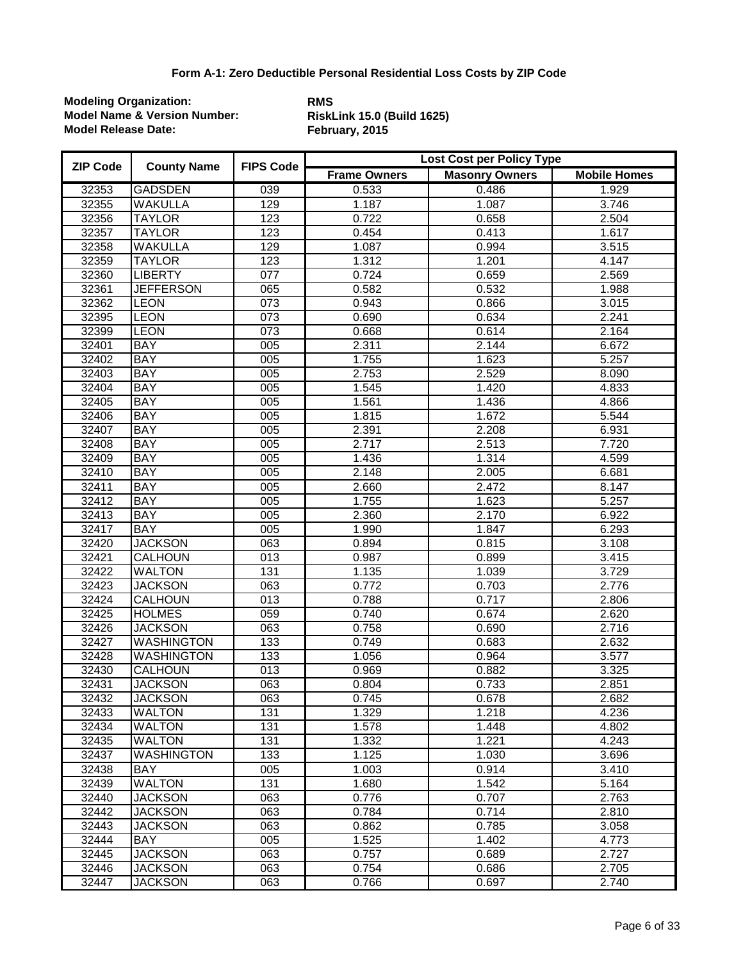| <b>ZIP Code</b> | <b>County Name</b> | <b>FIPS Code</b> | <b>Lost Cost per Policy Type</b> |                       |                     |  |
|-----------------|--------------------|------------------|----------------------------------|-----------------------|---------------------|--|
|                 |                    |                  | <b>Frame Owners</b>              | <b>Masonry Owners</b> | <b>Mobile Homes</b> |  |
| 32353           | <b>GADSDEN</b>     | 039              | 0.533                            | 0.486                 | 1.929               |  |
| 32355           | WAKULLA            | 129              | $\overline{1.187}$               | 1.087                 | 3.746               |  |
| 32356           | <b>TAYLOR</b>      | 123              | 0.722                            | 0.658                 | 2.504               |  |
| 32357           | <b>TAYLOR</b>      | 123              | 0.454                            | 0.413                 | 1.617               |  |
| 32358           | <b>WAKULLA</b>     | 129              | 1.087                            | 0.994                 | 3.515               |  |
| 32359           | <b>TAYLOR</b>      | 123              | 1.312                            | 1.201                 | 4.147               |  |
| 32360           | <b>LIBERTY</b>     | $\overline{077}$ | 0.724                            | 0.659                 | 2.569               |  |
| 32361           | <b>JEFFERSON</b>   | 065              | 0.582                            | 0.532                 | 1.988               |  |
| 32362           | <b>LEON</b>        | 073              | 0.943                            | 0.866                 | 3.015               |  |
| 32395           | <b>LEON</b>        | $\overline{073}$ | 0.690                            | 0.634                 | 2.241               |  |
| 32399           | <b>LEON</b>        | $\overline{073}$ | 0.668                            | 0.614                 | 2.164               |  |
| 32401           | <b>BAY</b>         | 005              | 2.311                            | 2.144                 | 6.672               |  |
| 32402           | <b>BAY</b>         | 005              | 1.755                            | 1.623                 | 5.257               |  |
| 32403           | <b>BAY</b>         | 005              | 2.753                            | 2.529                 | 8.090               |  |
| 32404           | <b>BAY</b>         | 005              | 1.545                            | 1.420                 | 4.833               |  |
| 32405           | <b>BAY</b>         | 005              | 1.561                            | 1.436                 | 4.866               |  |
| 32406           | <b>BAY</b>         | 005              | 1.815                            | 1.672                 | 5.544               |  |
| 32407           | <b>BAY</b>         | 005              | 2.391                            | 2.208                 | 6.931               |  |
| 32408           | <b>BAY</b>         | 005              | 2.717                            | 2.513                 | 7.720               |  |
| 32409           | <b>BAY</b>         | 005              | 1.436                            | 1.314                 | 4.599               |  |
| 32410           | <b>BAY</b>         | 005              | 2.148                            | 2.005                 | 6.681               |  |
| 32411           | <b>BAY</b>         | 005              | 2.660                            | 2.472                 | 8.147               |  |
| 32412           | <b>BAY</b>         | 005              | 1.755                            | 1.623                 | 5.257               |  |
| 32413           | <b>BAY</b>         | 005              | 2.360                            | 2.170                 | 6.922               |  |
| 32417           | <b>BAY</b>         | 005              | 1.990                            | 1.847                 | 6.293               |  |
| 32420           | <b>JACKSON</b>     | 063              | 0.894                            | 0.815                 | 3.108               |  |
| 32421           | <b>CALHOUN</b>     | $\overline{013}$ | 0.987                            | 0.899                 | 3.415               |  |
| 32422           | <b>WALTON</b>      | 131              | 1.135                            | 1.039                 | 3.729               |  |
| 32423           | <b>JACKSON</b>     | 063              | 0.772                            | 0.703                 | 2.776               |  |
| 32424           | <b>CALHOUN</b>     | $\overline{013}$ | 0.788                            | 0.717                 | 2.806               |  |
| 32425           | <b>HOLMES</b>      | $\overline{059}$ | 0.740                            | 0.674                 | 2.620               |  |
| 32426           | <b>JACKSON</b>     | 063              | 0.758                            | 0.690                 | 2.716               |  |
| 32427           | <b>WASHINGTON</b>  | 133              | 0.749                            | 0.683                 | 2.632               |  |
| 32428           | <b>WASHINGTON</b>  | 133              | 1.056                            | 0.964                 | 3.577               |  |
| 32430           | CALHOUN            | $\overline{013}$ | 0.969                            | 0.882                 | 3.325               |  |
| 32431           | <b>JACKSON</b>     | 063              | 0.804                            | 0.733                 | 2.851               |  |
| 32432           | <b>JACKSON</b>     | 063              | 0.745                            | 0.678                 | 2.682               |  |
| 32433           | <b>WALTON</b>      | 131              | 1.329                            | 1.218                 | 4.236               |  |
| 32434           | WALTON             | 131              | 1.578                            | 1.448                 | 4.802               |  |
| 32435           | <b>WALTON</b>      | 131              | 1.332                            | 1.221                 | 4.243               |  |
| 32437           | <b>WASHINGTON</b>  | 133              | 1.125                            | 1.030                 | 3.696               |  |
| 32438           | <b>BAY</b>         | 005              | 1.003                            | 0.914                 | 3.410               |  |
| 32439           | <b>WALTON</b>      | 131              | 1.680                            | 1.542                 | 5.164               |  |
| 32440           | <b>JACKSON</b>     | 063              | 0.776                            | 0.707                 | 2.763               |  |
| 32442           | <b>JACKSON</b>     | 063              | 0.784                            | 0.714                 | 2.810               |  |
| 32443           | <b>JACKSON</b>     | 063              | 0.862                            | 0.785                 | 3.058               |  |
| 32444           | <b>BAY</b>         | 005              | 1.525                            | 1.402                 | 4.773               |  |
| 32445           | <b>JACKSON</b>     | 063              | 0.757                            | 0.689                 | 2.727               |  |
| 32446           | <b>JACKSON</b>     | 063              | 0.754                            | 0.686                 | 2.705               |  |
| 32447           | <b>JACKSON</b>     | 063              | 0.766                            | 0.697                 | 2.740               |  |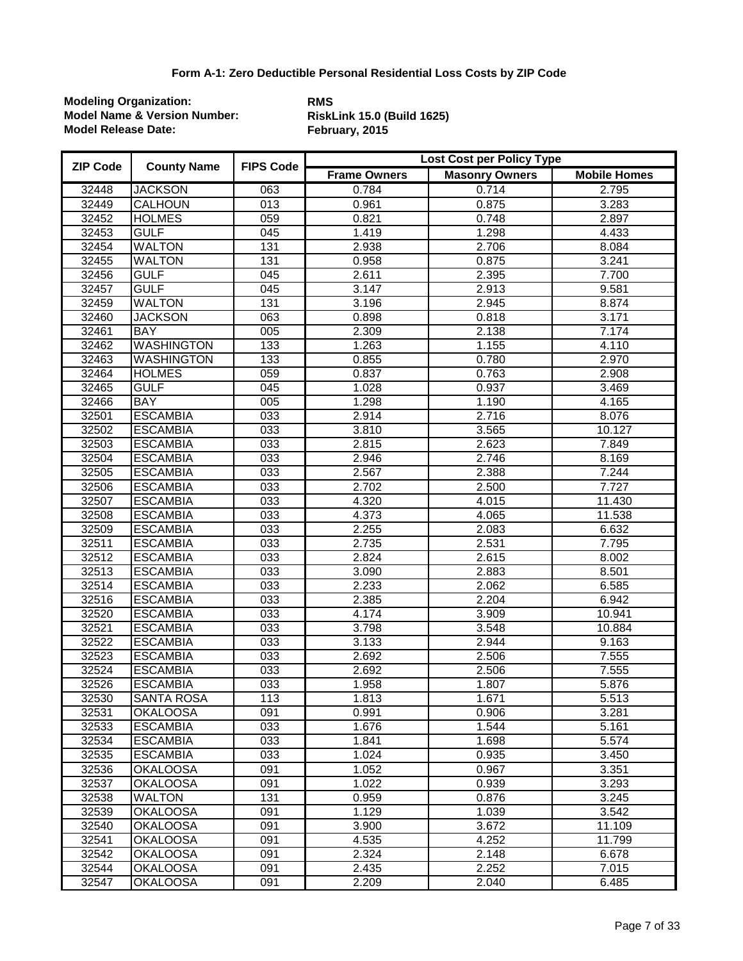| <b>ZIP Code</b> | <b>County Name</b> | <b>FIPS Code</b> | Lost Cost per Policy Type |                       |                     |  |
|-----------------|--------------------|------------------|---------------------------|-----------------------|---------------------|--|
|                 |                    |                  | <b>Frame Owners</b>       | <b>Masonry Owners</b> | <b>Mobile Homes</b> |  |
| 32448           | <b>JACKSON</b>     | 063              | 0.784                     | 0.714                 | 2.795               |  |
| 32449           | <b>CALHOUN</b>     | 013              | 0.961                     | 0.875                 | 3.283               |  |
| 32452           | <b>HOLMES</b>      | $\overline{059}$ | 0.821                     | 0.748                 | 2.897               |  |
| 32453           | <b>GULF</b>        | $\overline{045}$ | 1.419                     | 1.298                 | 4.433               |  |
| 32454           | <b>WALTON</b>      | 131              | 2.938                     | 2.706                 | 8.084               |  |
| 32455           | <b>WALTON</b>      | 131              | 0.958                     | 0.875                 | 3.241               |  |
| 32456           | <b>GULF</b>        | $\overline{045}$ | 2.611                     | 2.395                 | 7.700               |  |
| 32457           | <b>GULF</b>        | $\overline{045}$ | 3.147                     | 2.913                 | 9.581               |  |
| 32459           | <b>WALTON</b>      | 131              | 3.196                     | 2.945                 | 8.874               |  |
| 32460           | <b>JACKSON</b>     | 063              | 0.898                     | 0.818                 | 3.171               |  |
| 32461           | <b>BAY</b>         | 005              | 2.309                     | 2.138                 | 7.174               |  |
| 32462           | <b>WASHINGTON</b>  | 133              | 1.263                     | 1.155                 | 4.110               |  |
| 32463           | <b>WASHINGTON</b>  | 133              | 0.855                     | 0.780                 | 2.970               |  |
| 32464           | <b>HOLMES</b>      | $\overline{059}$ | 0.837                     | 0.763                 | 2.908               |  |
| 32465           | <b>GULF</b>        | $\overline{045}$ | 1.028                     | 0.937                 | 3.469               |  |
| 32466           | <b>BAY</b>         | 005              | 1.298                     | 1.190                 | 4.165               |  |
| 32501           | <b>ESCAMBIA</b>    | 033              | 2.914                     | 2.716                 | 8.076               |  |
| 32502           | <b>ESCAMBIA</b>    | 033              | 3.810                     | 3.565                 | 10.127              |  |
| 32503           | <b>ESCAMBIA</b>    | 033              | 2.815                     | 2.623                 | 7.849               |  |
| 32504           | <b>ESCAMBIA</b>    | 033              | 2.946                     | 2.746                 | 8.169               |  |
| 32505           | <b>ESCAMBIA</b>    | 033              | 2.567                     | 2.388                 | 7.244               |  |
| 32506           | <b>ESCAMBIA</b>    | 033              | 2.702                     | 2.500                 | 7.727               |  |
| 32507           | <b>ESCAMBIA</b>    | 033              | 4.320                     | 4.015                 | 11.430              |  |
| 32508           | <b>ESCAMBIA</b>    | 033              | 4.373                     | 4.065                 | 11.538              |  |
| 32509           | <b>ESCAMBIA</b>    | $\overline{033}$ | 2.255                     | 2.083                 | 6.632               |  |
| 32511           | <b>ESCAMBIA</b>    | 033              | 2.735                     | 2.531                 | 7.795               |  |
| 32512           | <b>ESCAMBIA</b>    | 033              | 2.824                     | 2.615                 | 8.002               |  |
| 32513           | <b>ESCAMBIA</b>    | 033              | 3.090                     | 2.883                 | 8.501               |  |
| 32514           | <b>ESCAMBIA</b>    | 033              | 2.233                     | 2.062                 | 6.585               |  |
| 32516           | <b>ESCAMBIA</b>    | 033              | 2.385                     | 2.204                 | 6.942               |  |
| 32520           | <b>ESCAMBIA</b>    | 033              | 4.174                     | 3.909                 | 10.941              |  |
| 32521           | <b>ESCAMBIA</b>    | 033              | 3.798                     | 3.548                 | 10.884              |  |
| 32522           | <b>ESCAMBIA</b>    | 033              | 3.133                     | 2.944                 | 9.163               |  |
| 32523           | <b>ESCAMBIA</b>    | $\overline{033}$ | 2.692                     | 2.506                 | 7.555               |  |
| 32524           | <b>ESCAMBIA</b>    | 033              | 2.692                     | 2.506                 | 7.555               |  |
| 32526           | <b>ESCAMBIA</b>    | 033              | 1.958                     | 1.807                 | 5.876               |  |
| 32530           | <b>SANTA ROSA</b>  | 113              | 1.813                     | 1.671                 | 5.513               |  |
| 32531           | <b>OKALOOSA</b>    | 091              | 0.991                     | 0.906                 | 3.281               |  |
| 32533           | <b>ESCAMBIA</b>    | 033              | 1.676                     | 1.544                 | 5.161               |  |
| 32534           | <b>ESCAMBIA</b>    | 033              | 1.841                     | 1.698                 | 5.574               |  |
| 32535           | <b>ESCAMBIA</b>    | 033              | 1.024                     | 0.935                 | 3.450               |  |
| 32536           | <b>OKALOOSA</b>    | 091              | 1.052                     | 0.967                 | 3.351               |  |
| 32537           | <b>OKALOOSA</b>    | 091              | 1.022                     | 0.939                 | 3.293               |  |
| 32538           | <b>WALTON</b>      | 131              | 0.959                     | 0.876                 | 3.245               |  |
| 32539           | <b>OKALOOSA</b>    | 091              | 1.129                     | 1.039                 | 3.542               |  |
| 32540           | <b>OKALOOSA</b>    | 091              | 3.900                     | 3.672                 | 11.109              |  |
| 32541           | <b>OKALOOSA</b>    | 091              | 4.535                     | 4.252                 | 11.799              |  |
| 32542           | <b>OKALOOSA</b>    | 091              | 2.324                     | 2.148                 | 6.678               |  |
| 32544           | <b>OKALOOSA</b>    | 091              | 2.435                     | 2.252                 | 7.015               |  |
| 32547           | <b>OKALOOSA</b>    | 091              | 2.209                     | 2.040                 | 6.485               |  |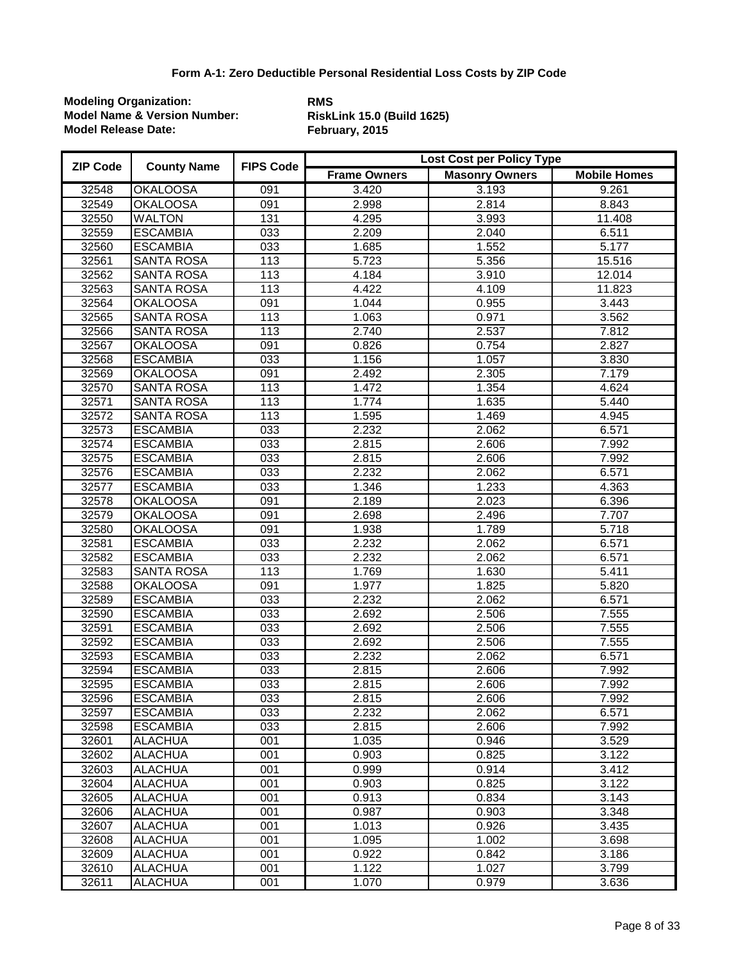| <b>ZIP Code</b> | <b>County Name</b> | <b>FIPS Code</b> | Lost Cost per Policy Type |                       |                     |  |
|-----------------|--------------------|------------------|---------------------------|-----------------------|---------------------|--|
|                 |                    |                  | <b>Frame Owners</b>       | <b>Masonry Owners</b> | <b>Mobile Homes</b> |  |
| 32548           | <b>OKALOOSA</b>    | 091              | 3.420                     | 3.193                 | 9.261               |  |
| 32549           | <b>OKALOOSA</b>    | 091              | 2.998                     | 2.814                 | 8.843               |  |
| 32550           | <b>WALTON</b>      | 131              | 4.295                     | 3.993                 | 11.408              |  |
| 32559           | <b>ESCAMBIA</b>    | 033              | 2.209                     | 2.040                 | 6.511               |  |
| 32560           | <b>ESCAMBIA</b>    | 033              | 1.685                     | 1.552                 | 5.177               |  |
| 32561           | <b>SANTA ROSA</b>  | 113              | 5.723                     | 5.356                 | 15.516              |  |
| 32562           | <b>SANTA ROSA</b>  | 113              | 4.184                     | 3.910                 | 12.014              |  |
| 32563           | <b>SANTA ROSA</b>  | 113              | 4.422                     | 4.109                 | 11.823              |  |
| 32564           | <b>OKALOOSA</b>    | 091              | 1.044                     | 0.955                 | 3.443               |  |
| 32565           | <b>SANTA ROSA</b>  | 113              | 1.063                     | 0.971                 | 3.562               |  |
| 32566           | <b>SANTA ROSA</b>  | 113              | 2.740                     | 2.537                 | 7.812               |  |
| 32567           | <b>OKALOOSA</b>    | 091              | 0.826                     | 0.754                 | 2.827               |  |
| 32568           | <b>ESCAMBIA</b>    | 033              | 1.156                     | 1.057                 | 3.830               |  |
| 32569           | <b>OKALOOSA</b>    | 091              | 2.492                     | 2.305                 | 7.179               |  |
| 32570           | <b>SANTA ROSA</b>  | 113              | 1.472                     | 1.354                 | 4.624               |  |
| 32571           | <b>SANTA ROSA</b>  | 113              | 1.774                     | 1.635                 | 5.440               |  |
| 32572           | <b>SANTA ROSA</b>  | 113              | 1.595                     | 1.469                 | 4.945               |  |
| 32573           | <b>ESCAMBIA</b>    | $\overline{033}$ | 2.232                     | 2.062                 | 6.571               |  |
| 32574           | <b>ESCAMBIA</b>    | $\overline{033}$ | 2.815                     | 2.606                 | 7.992               |  |
| 32575           | <b>ESCAMBIA</b>    | $\overline{033}$ | 2.815                     | 2.606                 | 7.992               |  |
| 32576           | <b>ESCAMBIA</b>    | 033              | 2.232                     | 2.062                 | 6.571               |  |
| 32577           | <b>ESCAMBIA</b>    | 033              | 1.346                     | 1.233                 | 4.363               |  |
| 32578           | <b>OKALOOSA</b>    | 091              | 2.189                     | 2.023                 | 6.396               |  |
| 32579           | <b>OKALOOSA</b>    | 091              | 2.698                     | 2.496                 | 7.707               |  |
| 32580           | <b>OKALOOSA</b>    | 091              | 1.938                     | 1.789                 | 5.718               |  |
| 32581           | <b>ESCAMBIA</b>    | 033              | 2.232                     | 2.062                 | 6.571               |  |
| 32582           | <b>ESCAMBIA</b>    | 033              | 2.232                     | 2.062                 | 6.571               |  |
| 32583           | <b>SANTA ROSA</b>  | 113              | 1.769                     | 1.630                 | 5.411               |  |
| 32588           | <b>OKALOOSA</b>    | 091              | 1.977                     | 1.825                 | 5.820               |  |
| 32589           | <b>ESCAMBIA</b>    | 033              | 2.232                     | 2.062                 | 6.571               |  |
| 32590           | <b>ESCAMBIA</b>    | 033              | 2.692                     | 2.506                 | 7.555               |  |
| 32591           | <b>ESCAMBIA</b>    | 033              | 2.692                     | 2.506                 | 7.555               |  |
| 32592           | <b>ESCAMBIA</b>    | $\overline{033}$ | 2.692                     | 2.506                 | 7.555               |  |
| 32593           | <b>ESCAMBIA</b>    | $\overline{033}$ | 2.232                     | 2.062                 | 6.571               |  |
| 32594           | <b>ESCAMBIA</b>    | $\overline{033}$ | 2.815                     | 2.606                 | 7.992               |  |
| 32595           | <b>ESCAMBIA</b>    | 033              | 2.815                     | 2.606                 | 7.992               |  |
| 32596           | <b>ESCAMBIA</b>    | 033              | 2.815                     | 2.606                 | 7.992               |  |
| 32597           | <b>ESCAMBIA</b>    | 033              | 2.232                     | 2.062                 | 6.571               |  |
| 32598           | <b>ESCAMBIA</b>    | 033              | 2.815                     | 2.606                 | 7.992               |  |
| 32601           | <b>ALACHUA</b>     | 001              | 1.035                     | 0.946                 | 3.529               |  |
| 32602           | <b>ALACHUA</b>     | 001              | 0.903                     | 0.825                 | 3.122               |  |
| 32603           | <b>ALACHUA</b>     | 001              | 0.999                     | 0.914                 | 3.412               |  |
| 32604           | <b>ALACHUA</b>     | 001              | 0.903                     | 0.825                 | 3.122               |  |
| 32605           | <b>ALACHUA</b>     | 001              | 0.913                     | 0.834                 | 3.143               |  |
| 32606           | <b>ALACHUA</b>     | 001              | 0.987                     | 0.903                 | 3.348               |  |
| 32607           | <b>ALACHUA</b>     | 001              | 1.013                     | 0.926                 | 3.435               |  |
| 32608           | <b>ALACHUA</b>     | 001              | 1.095                     | 1.002                 | 3.698               |  |
| 32609           | <b>ALACHUA</b>     | 001              | 0.922                     | 0.842                 | 3.186               |  |
| 32610           | <b>ALACHUA</b>     | 001              | 1.122                     | 1.027                 | 3.799               |  |
| 32611           | <b>ALACHUA</b>     | 001              | 1.070                     | 0.979                 | 3.636               |  |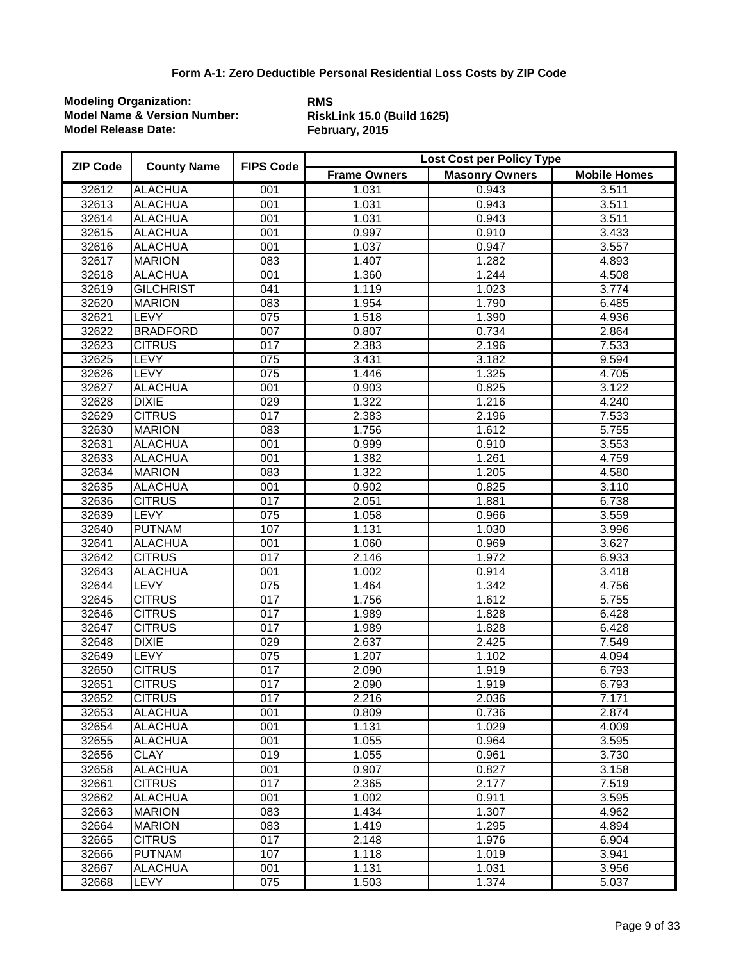| <b>ZIP Code</b> | <b>County Name</b> | <b>FIPS Code</b> | Lost Cost per Policy Type |                       |                     |  |
|-----------------|--------------------|------------------|---------------------------|-----------------------|---------------------|--|
|                 |                    |                  | <b>Frame Owners</b>       | <b>Masonry Owners</b> | <b>Mobile Homes</b> |  |
| 32612           | <b>ALACHUA</b>     | 001              | 1.031                     | 0.943                 | 3.511               |  |
| 32613           | <b>ALACHUA</b>     | 001              | 1.031                     | 0.943                 | 3.511               |  |
| 32614           | <b>ALACHUA</b>     | 001              | 1.031                     | 0.943                 | 3.511               |  |
| 32615           | <b>ALACHUA</b>     | 001              | 0.997                     | 0.910                 | 3.433               |  |
| 32616           | <b>ALACHUA</b>     | 001              | 1.037                     | 0.947                 | 3.557               |  |
| 32617           | <b>MARION</b>      | $\overline{083}$ | 1.407                     | 1.282                 | 4.893               |  |
| 32618           | <b>ALACHUA</b>     | 001              | 1.360                     | 1.244                 | 4.508               |  |
| 32619           | <b>GILCHRIST</b>   | 041              | 1.119                     | 1.023                 | 3.774               |  |
| 32620           | <b>MARION</b>      | $\overline{083}$ | 1.954                     | 1.790                 | 6.485               |  |
| 32621           | <b>LEVY</b>        | $\overline{075}$ | 1.518                     | 1.390                 | 4.936               |  |
| 32622           | <b>BRADFORD</b>    | $\overline{007}$ | 0.807                     | 0.734                 | 2.864               |  |
| 32623           | <b>CITRUS</b>      | $\overline{017}$ | 2.383                     | 2.196                 | 7.533               |  |
| 32625           | LEVY               | $\overline{075}$ | 3.431                     | 3.182                 | 9.594               |  |
| 32626           | <b>LEVY</b>        | 075              | 1.446                     | 1.325                 | 4.705               |  |
| 32627           | <b>ALACHUA</b>     | 001              | 0.903                     | 0.825                 | 3.122               |  |
| 32628           | <b>DIXIE</b>       | 029              | 1.322                     | 1.216                 | 4.240               |  |
| 32629           | <b>CITRUS</b>      | $\overline{017}$ | 2.383                     | 2.196                 | 7.533               |  |
| 32630           | <b>MARION</b>      | $\overline{083}$ | 1.756                     | 1.612                 | 5.755               |  |
| 32631           | <b>ALACHUA</b>     | 001              | 0.999                     | 0.910                 | 3.553               |  |
| 32633           | <b>ALACHUA</b>     | 001              | 1.382                     | 1.261                 | 4.759               |  |
| 32634           | <b>MARION</b>      | $\overline{083}$ | 1.322                     | 1.205                 | 4.580               |  |
| 32635           | <b>ALACHUA</b>     | 001              | 0.902                     | 0.825                 | 3.110               |  |
| 32636           | <b>CITRUS</b>      | 017              | 2.051                     | 1.881                 | 6.738               |  |
| 32639           | <b>LEVY</b>        | $\overline{075}$ | 1.058                     | 0.966                 | 3.559               |  |
| 32640           | <b>PUTNAM</b>      | 107              | 1.131                     | 1.030                 | 3.996               |  |
| 32641           | <b>ALACHUA</b>     | 001              | 1.060                     | 0.969                 | 3.627               |  |
| 32642           | <b>CITRUS</b>      | $\overline{017}$ | 2.146                     | 1.972                 | 6.933               |  |
| 32643           | <b>ALACHUA</b>     | 001              | 1.002                     | 0.914                 | 3.418               |  |
| 32644           | <b>LEVY</b>        | $\overline{075}$ | 1.464                     | 1.342                 | 4.756               |  |
| 32645           | <b>CITRUS</b>      | $\overline{017}$ | 1.756                     | 1.612                 | 5.755               |  |
| 32646           | <b>CITRUS</b>      | $\overline{017}$ | 1.989                     | 1.828                 | 6.428               |  |
| 32647           | <b>CITRUS</b>      | 017              | 1.989                     | 1.828                 | 6.428               |  |
| 32648           | <b>DIXIE</b>       | $\overline{029}$ | 2.637                     | 2.425                 | 7.549               |  |
| 32649           | <b>LEVY</b>        | $\overline{075}$ | 1.207                     | 1.102                 | 4.094               |  |
| 32650           | <b>CITRUS</b>      | $\overline{017}$ | 2.090                     | 1.919                 | 6.793               |  |
| 32651           | <b>CITRUS</b>      | 017              | 2.090                     | 1.919                 | 6.793               |  |
| 32652           | <b>CITRUS</b>      | 017              | 2.216                     | 2.036                 | 7.171               |  |
| 32653           | ALACHUA            | 001              | 0.809                     | 0.736                 | 2.874               |  |
| 32654           | <b>ALACHUA</b>     | 001              | 1.131                     | 1.029                 | 4.009               |  |
| 32655           | <b>ALACHUA</b>     | 001              | 1.055                     | 0.964                 | 3.595               |  |
| 32656           | <b>CLAY</b>        | 019              | 1.055                     | 0.961                 | 3.730               |  |
| 32658           | <b>ALACHUA</b>     | 001              | 0.907                     | 0.827                 | 3.158               |  |
| 32661           | <b>CITRUS</b>      | 017              | 2.365                     | 2.177                 | 7.519               |  |
| 32662           | <b>ALACHUA</b>     | 001              | 1.002                     | 0.911                 | 3.595               |  |
| 32663           | <b>MARION</b>      | 083              | 1.434                     | 1.307                 | 4.962               |  |
| 32664           | <b>MARION</b>      | 083              | 1.419                     | 1.295                 | 4.894               |  |
| 32665           | <b>CITRUS</b>      | 017              | 2.148                     | 1.976                 | 6.904               |  |
| 32666           | <b>PUTNAM</b>      | 107              | 1.118                     | 1.019                 | 3.941               |  |
| 32667           | <b>ALACHUA</b>     | 001              | 1.131                     | 1.031                 | 3.956               |  |
| 32668           | LEVY               | $\overline{075}$ | 1.503                     | 1.374                 | 5.037               |  |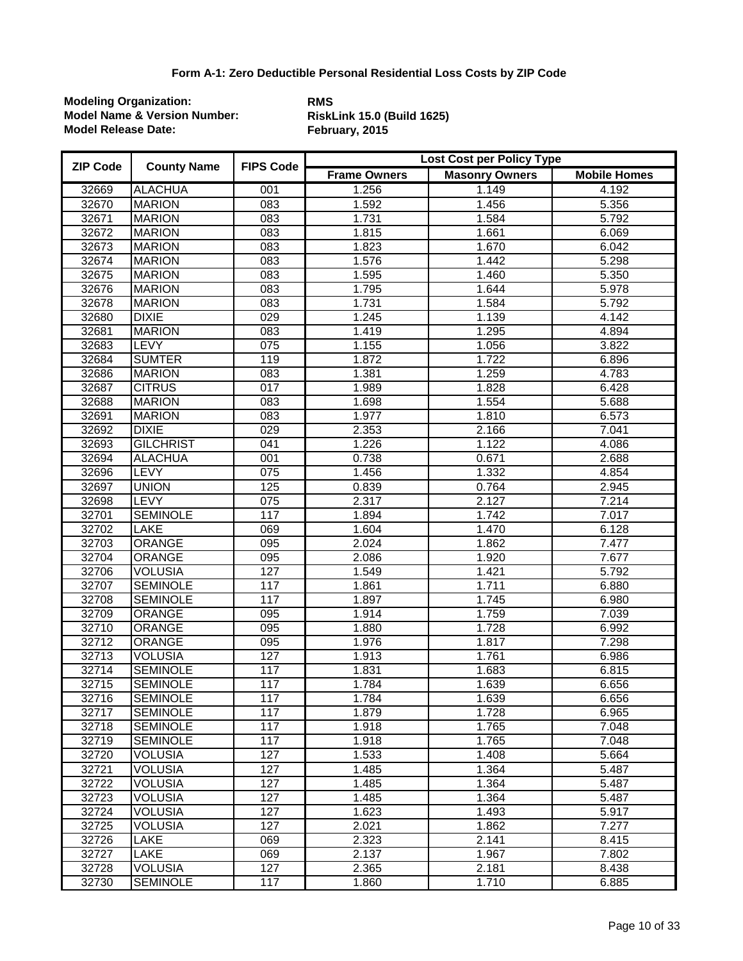| <b>ZIP Code</b> | <b>County Name</b> | <b>FIPS Code</b> | Lost Cost per Policy Type |                       |                     |
|-----------------|--------------------|------------------|---------------------------|-----------------------|---------------------|
|                 |                    |                  | <b>Frame Owners</b>       | <b>Masonry Owners</b> | <b>Mobile Homes</b> |
| 32669           | <b>ALACHUA</b>     | 001              | 1.256                     | 1.149                 | 4.192               |
| 32670           | <b>MARION</b>      | 083              | 1.592                     | 1.456                 | 5.356               |
| 32671           | <b>MARION</b>      | $\overline{083}$ | 1.731                     | 1.584                 | 5.792               |
| 32672           | <b>MARION</b>      | $\overline{083}$ | 1.815                     | 1.661                 | 6.069               |
| 32673           | <b>MARION</b>      | $\overline{083}$ | 1.823                     | 1.670                 | 6.042               |
| 32674           | <b>MARION</b>      | $\overline{083}$ | 1.576                     | 1.442                 | 5.298               |
| 32675           | <b>MARION</b>      | $\overline{083}$ | 1.595                     | 1.460                 | 5.350               |
| 32676           | <b>MARION</b>      | 083              | 1.795                     | 1.644                 | 5.978               |
| 32678           | <b>MARION</b>      | $\overline{083}$ | 1.731                     | 1.584                 | 5.792               |
| 32680           | <b>DIXIE</b>       | $\overline{029}$ | 1.245                     | 1.139                 | 4.142               |
| 32681           | <b>MARION</b>      | $\overline{083}$ | 1.419                     | 1.295                 | 4.894               |
| 32683           | <b>LEVY</b>        | $\overline{075}$ | 1.155                     | 1.056                 | 3.822               |
| 32684           | <b>SUMTER</b>      | 119              | 1.872                     | 1.722                 | 6.896               |
| 32686           | <b>MARION</b>      | $\overline{083}$ | 1.381                     | 1.259                 | 4.783               |
| 32687           | <b>CITRUS</b>      | $\overline{017}$ | 1.989                     | 1.828                 | 6.428               |
| 32688           | <b>MARION</b>      | $\overline{083}$ | 1.698                     | 1.554                 | 5.688               |
| 32691           | <b>MARION</b>      | $\overline{083}$ | 1.977                     | 1.810                 | 6.573               |
| 32692           | <b>DIXIE</b>       | $\overline{029}$ | 2.353                     | 2.166                 | 7.041               |
| 32693           | <b>GILCHRIST</b>   | $\overline{041}$ | 1.226                     | 1.122                 | 4.086               |
| 32694           | <b>ALACHUA</b>     | 001              | 0.738                     | 0.671                 | 2.688               |
| 32696           | <b>LEVY</b>        | $\overline{075}$ | 1.456                     | 1.332                 | 4.854               |
| 32697           | <b>UNION</b>       | 125              | 0.839                     | 0.764                 | 2.945               |
| 32698           | <b>LEVY</b>        | $\overline{075}$ | 2.317                     | 2.127                 | 7.214               |
| 32701           | <b>SEMINOLE</b>    | 117              | 1.894                     | 1.742                 | 7.017               |
| 32702           | <b>LAKE</b>        | 069              | 1.604                     | 1.470                 | 6.128               |
| 32703           | <b>ORANGE</b>      | 095              | 2.024                     | 1.862                 | 7.477               |
| 32704           | <b>ORANGE</b>      | 095              | 2.086                     | 1.920                 | 7.677               |
| 32706           | <b>VOLUSIA</b>     | 127              | 1.549                     | 1.421                 | 5.792               |
| 32707           | <b>SEMINOLE</b>    | 117              | 1.861                     | 1.711                 | 6.880               |
| 32708           | <b>SEMINOLE</b>    | 117              | 1.897                     | 1.745                 | 6.980               |
| 32709           | <b>ORANGE</b>      | 095              | 1.914                     | 1.759                 | 7.039               |
| 32710           | <b>ORANGE</b>      | 095              | 1.880                     | 1.728                 | 6.992               |
| 32712           | <b>ORANGE</b>      | 095              | 1.976                     | 1.817                 | 7.298               |
| 32713           | <b>VOLUSIA</b>     | 127              | 1.913                     | 1.761                 | 6.986               |
| 32714           | <b>SEMINOLE</b>    | 117              | 1.831                     | 1.683                 | 6.815               |
| 32715           | <b>SEMINOLE</b>    | 117              | 1.784                     | 1.639                 | 6.656               |
| 32716           | <b>SEMINOLE</b>    | 117              | 1.784                     | 1.639                 | 6.656               |
| 32717           | <b>SEMINOLE</b>    | 117              | 1.879                     | 1.728                 | 6.965               |
| 32718           | <b>SEMINOLE</b>    | 117              | 1.918                     | 1.765                 | 7.048               |
| 32719           | <b>SEMINOLE</b>    | 117              | 1.918                     | 1.765                 | 7.048               |
| 32720           | <b>VOLUSIA</b>     | 127              | 1.533                     | 1.408                 | 5.664               |
| 32721           | <b>VOLUSIA</b>     | 127              | 1.485                     | 1.364                 | 5.487               |
| 32722           | <b>VOLUSIA</b>     | 127              | 1.485                     | 1.364                 | 5.487               |
| 32723           | <b>VOLUSIA</b>     | 127              | 1.485                     | 1.364                 | 5.487               |
| 32724           | <b>VOLUSIA</b>     | 127              | 1.623                     | 1.493                 | 5.917               |
| 32725           | <b>VOLUSIA</b>     | 127              | 2.021                     | 1.862                 | 7.277               |
| 32726           | LAKE               | 069              | 2.323                     | 2.141                 | 8.415               |
| 32727           | LAKE               | 069              | 2.137                     | 1.967                 | 7.802               |
| 32728           | <b>VOLUSIA</b>     | 127              | 2.365                     | 2.181                 | 8.438               |
| 32730           | <b>SEMINOLE</b>    | 117              | 1.860                     | 1.710                 | 6.885               |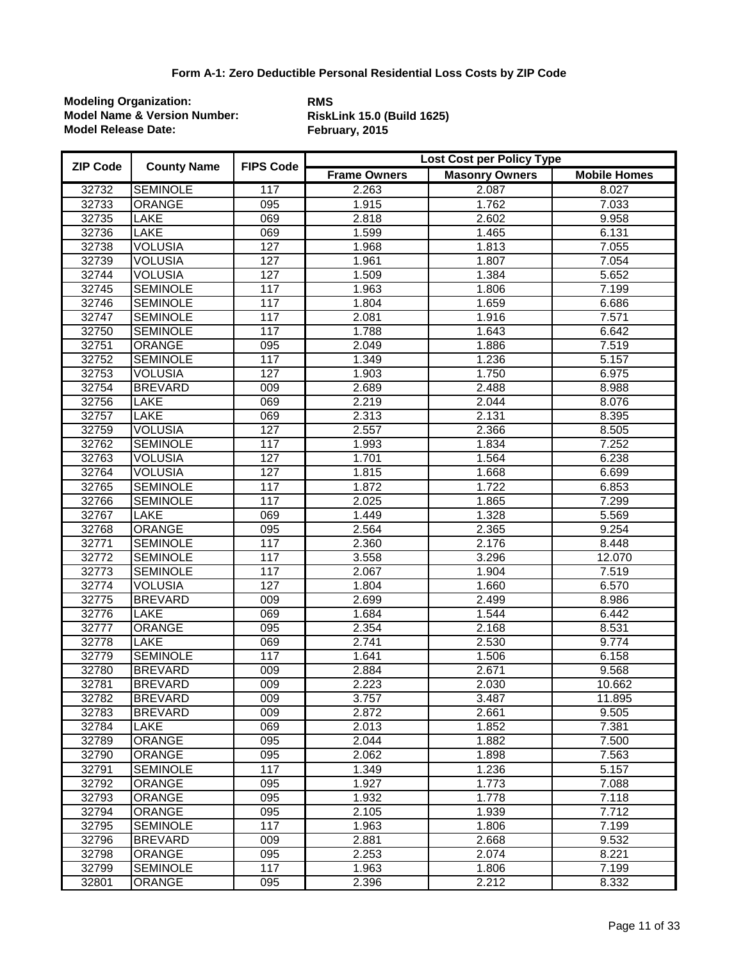| <b>ZIP Code</b> | <b>County Name</b> | <b>FIPS Code</b> | Lost Cost per Policy Type |                       |                     |  |
|-----------------|--------------------|------------------|---------------------------|-----------------------|---------------------|--|
|                 |                    |                  | <b>Frame Owners</b>       | <b>Masonry Owners</b> | <b>Mobile Homes</b> |  |
| 32732           | <b>SEMINOLE</b>    | 117              | 2.263                     | 2.087                 | 8.027               |  |
| 32733           | ORANGE             | 095              | 1.915                     | 1.762                 | 7.033               |  |
| 32735           | <b>LAKE</b>        | $\overline{069}$ | 2.818                     | 2.602                 | 9.958               |  |
| 32736           | LAKE               | 069              | 1.599                     | 1.465                 | 6.131               |  |
| 32738           | <b>VOLUSIA</b>     | 127              | 1.968                     | 1.813                 | 7.055               |  |
| 32739           | <b>VOLUSIA</b>     | 127              | 1.961                     | 1.807                 | 7.054               |  |
| 32744           | <b>VOLUSIA</b>     | 127              | 1.509                     | 1.384                 | 5.652               |  |
| 32745           | <b>SEMINOLE</b>    | 117              | 1.963                     | 1.806                 | 7.199               |  |
| 32746           | <b>SEMINOLE</b>    | 117              | 1.804                     | 1.659                 | 6.686               |  |
| 32747           | <b>SEMINOLE</b>    | 117              | 2.081                     | 1.916                 | 7.571               |  |
| 32750           | <b>SEMINOLE</b>    | 117              | 1.788                     | 1.643                 | 6.642               |  |
| 32751           | <b>ORANGE</b>      | 095              | 2.049                     | 1.886                 | 7.519               |  |
| 32752           | <b>SEMINOLE</b>    | 117              | 1.349                     | 1.236                 | 5.157               |  |
| 32753           | <b>VOLUSIA</b>     | 127              | 1.903                     | 1.750                 | 6.975               |  |
| 32754           | <b>BREVARD</b>     | 009              | 2.689                     | 2.488                 | 8.988               |  |
| 32756           | LAKE               | 069              | 2.219                     | 2.044                 | 8.076               |  |
| 32757           | LAKE               | 069              | 2.313                     | 2.131                 | 8.395               |  |
| 32759           | <b>VOLUSIA</b>     | 127              | 2.557                     | 2.366                 | 8.505               |  |
| 32762           | <b>SEMINOLE</b>    | 117              | 1.993                     | 1.834                 | 7.252               |  |
| 32763           | <b>VOLUSIA</b>     | 127              | 1.701                     | 1.564                 | 6.238               |  |
| 32764           | <b>VOLUSIA</b>     | 127              | 1.815                     | 1.668                 | 6.699               |  |
| 32765           | <b>SEMINOLE</b>    | 117              | 1.872                     | 1.722                 | 6.853               |  |
| 32766           | <b>SEMINOLE</b>    | 117              | 2.025                     | 1.865                 | 7.299               |  |
| 32767           | LAKE               | 069              | 1.449                     | $\overline{1.328}$    | 5.569               |  |
| 32768           | <b>ORANGE</b>      | 095              | 2.564                     | 2.365                 | 9.254               |  |
| 32771           | <b>SEMINOLE</b>    | 117              | 2.360                     | 2.176                 | 8.448               |  |
| 32772           | <b>SEMINOLE</b>    | 117              | 3.558                     | 3.296                 | 12.070              |  |
| 32773           | <b>SEMINOLE</b>    | 117              | 2.067                     | 1.904                 | 7.519               |  |
| 32774           | <b>VOLUSIA</b>     | 127              | 1.804                     | 1.660                 | 6.570               |  |
| 32775           | <b>BREVARD</b>     | 009              | 2.699                     | 2.499                 | 8.986               |  |
| 32776           | LAKE               | 069              | 1.684                     | 1.544                 | 6.442               |  |
| 32777           | <b>ORANGE</b>      | 095              | 2.354                     | 2.168                 | 8.531               |  |
| 32778           | <b>LAKE</b>        | 069              | 2.741                     | 2.530                 | 9.774               |  |
| 32779           | <b>SEMINOLE</b>    | 117              | 1.641                     | 1.506                 | 6.158               |  |
| 32780           | <b>BREVARD</b>     | $\overline{009}$ | 2.884                     | 2.671                 | 9.568               |  |
| 32781           | <b>BREVARD</b>     | 009              | 2.223                     | 2.030                 | 10.662              |  |
| 32782           | <b>BREVARD</b>     | 009              | 3.757                     | 3.487                 | 11.895              |  |
| 32783           | <b>BREVARD</b>     | 009              | 2.872                     | 2.661                 | 9.505               |  |
| 32784           | LAKE               | 069              | 2.013                     | 1.852                 | 7.381               |  |
| 32789           | <b>ORANGE</b>      | 095              | 2.044                     | 1.882                 | 7.500               |  |
| 32790           | <b>ORANGE</b>      | 095              | 2.062                     | 1.898                 | 7.563               |  |
| 32791           | <b>SEMINOLE</b>    | 117              | 1.349                     | 1.236                 | 5.157               |  |
| 32792           | <b>ORANGE</b>      | 095              | 1.927                     | 1.773                 | 7.088               |  |
| 32793           | <b>ORANGE</b>      | 095              | 1.932                     | 1.778                 | 7.118               |  |
| 32794           | ORANGE             | 095              | 2.105                     | 1.939                 | 7.712               |  |
| 32795           | <b>SEMINOLE</b>    | 117              | 1.963                     | 1.806                 | 7.199               |  |
| 32796           | <b>BREVARD</b>     | 009              | 2.881                     | 2.668                 | 9.532               |  |
| 32798           | <b>ORANGE</b>      | 095              | 2.253                     | 2.074                 | 8.221               |  |
| 32799           | <b>SEMINOLE</b>    | 117              | 1.963                     | 1.806                 | 7.199               |  |
| 32801           | <b>ORANGE</b>      | 095              | 2.396                     | 2.212                 | 8.332               |  |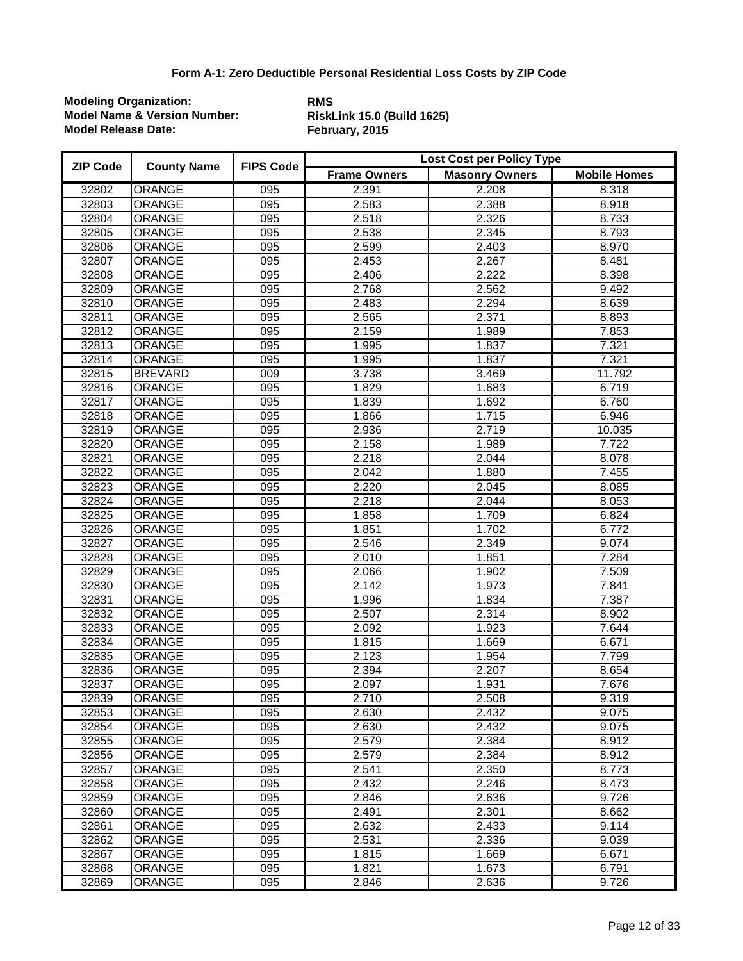| <b>ZIP Code</b> | <b>County Name</b> | <b>FIPS Code</b> | Lost Cost per Policy Type |                       |                     |
|-----------------|--------------------|------------------|---------------------------|-----------------------|---------------------|
|                 |                    |                  | <b>Frame Owners</b>       | <b>Masonry Owners</b> | <b>Mobile Homes</b> |
| 32802           | ORANGE             | 095              | 2.391                     | 2.208                 | 8.318               |
| 32803           | ORANGE             | 095              | 2.583                     | 2.388                 | 8.918               |
| 32804           | ORANGE             | $\overline{095}$ | 2.518                     | 2.326                 | 8.733               |
| 32805           | <b>ORANGE</b>      | $\overline{095}$ | 2.538                     | 2.345                 | 8.793               |
| 32806           | <b>ORANGE</b>      | $\overline{095}$ | 2.599                     | 2.403                 | 8.970               |
| 32807           | ORANGE             | $\overline{095}$ | 2.453                     | 2.267                 | 8.481               |
| 32808           | ORANGE             | 095              | 2.406                     | 2.222                 | 8.398               |
| 32809           | <b>ORANGE</b>      | 095              | 2.768                     | 2.562                 | 9.492               |
| 32810           | <b>ORANGE</b>      | $\overline{095}$ | 2.483                     | 2.294                 | 8.639               |
| 32811           | <b>ORANGE</b>      | $\overline{095}$ | 2.565                     | 2.371                 | 8.893               |
| 32812           | <b>ORANGE</b>      | 095              | 2.159                     | 1.989                 | 7.853               |
| 32813           | ORANGE             | 095              | 1.995                     | 1.837                 | 7.321               |
| 32814           | <b>ORANGE</b>      | 095              | 1.995                     | 1.837                 | 7.321               |
| 32815           | <b>BREVARD</b>     | $\overline{009}$ | 3.738                     | 3.469                 | 11.792              |
| 32816           | ORANGE             | 095              | 1.829                     | 1.683                 | 6.719               |
| 32817           | <b>ORANGE</b>      | 095              | 1.839                     | 1.692                 | 6.760               |
| 32818           | ORANGE             | $\overline{095}$ | 1.866                     | 1.715                 | 6.946               |
| 32819           | ORANGE             | $\overline{095}$ | 2.936                     | 2.719                 | 10.035              |
| 32820           | ORANGE             | $\overline{095}$ | 2.158                     | 1.989                 | 7.722               |
| 32821           | ORANGE             | 095              | 2.218                     | 2.044                 | 8.078               |
| 32822           | <b>ORANGE</b>      | $\overline{095}$ | 2.042                     | 1.880                 | 7.455               |
| 32823           | ORANGE             | 095              | 2.220                     | 2.045                 | 8.085               |
| 32824           | ORANGE             | $\overline{095}$ | 2.218                     | 2.044                 | 8.053               |
| 32825           | ORANGE             | 095              | 1.858                     | 1.709                 | 6.824               |
| 32826           | <b>ORANGE</b>      | 095              | 1.851                     | 1.702                 | 6.772               |
| 32827           | <b>ORANGE</b>      | $\overline{095}$ | 2.546                     | 2.349                 | 9.074               |
| 32828           | <b>ORANGE</b>      | 095              | 2.010                     | 1.851                 | 7.284               |
| 32829           | ORANGE             | 095              | 2.066                     | 1.902                 | 7.509               |
| 32830           | <b>ORANGE</b>      | 095              | 2.142                     | 1.973                 | 7.841               |
| 32831           | <b>ORANGE</b>      | 095              | 1.996                     | 1.834                 | 7.387               |
| 32832           | <b>ORANGE</b>      | 095              | 2.507                     | 2.314                 | 8.902               |
| 32833           | <b>ORANGE</b>      | 095              | 2.092                     | 1.923                 | 7.644               |
| 32834           | <b>ORANGE</b>      | 095              | 1.815                     | 1.669                 | 6.671               |
| 32835           | ORANGE             | 095              | 2.123                     | 1.954                 | 7.799               |
| 32836           | ORANGE             | $\overline{095}$ | 2.394                     | 2.207                 | 8.654               |
| 32837           | <b>ORANGE</b>      | $\overline{095}$ | 2.097                     | 1.931                 | 7.676               |
| 32839           | <b>ORANGE</b>      | 095              | 2.710                     | 2.508                 | 9.319               |
| 32853           | ORANGE             | 095              | 2.630                     | 2.432                 | 9.075               |
| 32854           | <b>ORANGE</b>      | 095              | 2.630                     | 2.432                 | 9.075               |
| 32855           | <b>ORANGE</b>      | 095              | 2.579                     | 2.384                 | 8.912               |
| 32856           | <b>ORANGE</b>      | 095              | 2.579                     | 2.384                 | 8.912               |
| 32857           | <b>ORANGE</b>      | 095              | 2.541                     | 2.350                 | 8.773               |
| 32858           | <b>ORANGE</b>      | 095              | 2.432                     | 2.246                 | 8.473               |
| 32859           | <b>ORANGE</b>      | 095              | 2.846                     | 2.636                 | 9.726               |
| 32860           | <b>ORANGE</b>      | 095              | 2.491                     | 2.301                 | 8.662               |
| 32861           | <b>ORANGE</b>      | 095              | 2.632                     | 2.433                 | 9.114               |
| 32862           | <b>ORANGE</b>      | 095              | 2.531                     | 2.336                 | 9.039               |
| 32867           | <b>ORANGE</b>      | 095              | 1.815                     | 1.669                 | 6.671               |
| 32868           | <b>ORANGE</b>      | 095              | 1.821                     | 1.673                 | 6.791               |
| 32869           | <b>ORANGE</b>      | $\overline{095}$ | 2.846                     | 2.636                 | 9.726               |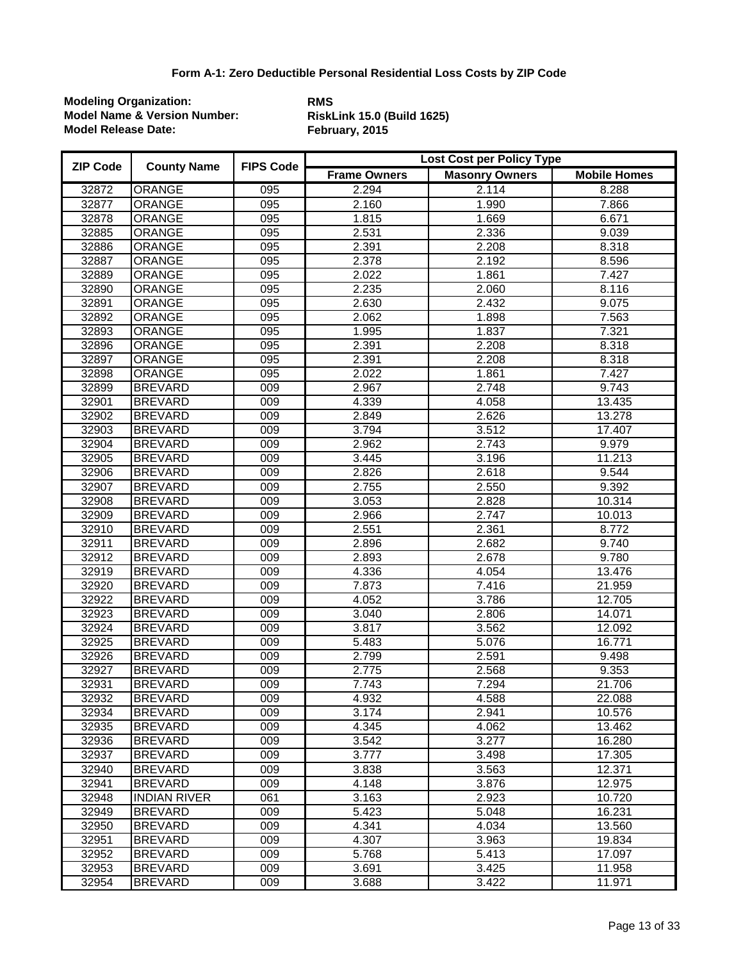| <b>ZIP Code</b> | <b>County Name</b>  | <b>FIPS Code</b> | Lost Cost per Policy Type |                       |                     |  |
|-----------------|---------------------|------------------|---------------------------|-----------------------|---------------------|--|
|                 |                     |                  | <b>Frame Owners</b>       | <b>Masonry Owners</b> | <b>Mobile Homes</b> |  |
| 32872           | ORANGE              | 095              | 2.294                     | 2.114                 | 8.288               |  |
| 32877           | <b>ORANGE</b>       | 095              | 2.160                     | 1.990                 | 7.866               |  |
| 32878           | <b>ORANGE</b>       | 095              | 1.815                     | 1.669                 | 6.671               |  |
| 32885           | ORANGE              | 095              | 2.531                     | 2.336                 | 9.039               |  |
| 32886           | ORANGE              | 095              | 2.391                     | 2.208                 | 8.318               |  |
| 32887           | ORANGE              | $\overline{095}$ | 2.378                     | 2.192                 | 8.596               |  |
| 32889           | ORANGE              | $\overline{095}$ | 2.022                     | 1.861                 | 7.427               |  |
| 32890           | <b>ORANGE</b>       | $\overline{095}$ | 2.235                     | 2.060                 | 8.116               |  |
| 32891           | ORANGE              | 095              | 2.630                     | 2.432                 | 9.075               |  |
| 32892           | <b>ORANGE</b>       | 095              | 2.062                     | 1.898                 | 7.563               |  |
| 32893           | <b>ORANGE</b>       | $\overline{095}$ | 1.995                     | 1.837                 | 7.321               |  |
| 32896           | <b>ORANGE</b>       | 095              | 2.391                     | 2.208                 | 8.318               |  |
| 32897           | ORANGE              | 095              | 2.391                     | 2.208                 | 8.318               |  |
| 32898           | <b>ORANGE</b>       | 095              | 2.022                     | 1.861                 | 7.427               |  |
| 32899           | <b>BREVARD</b>      | 009              | 2.967                     | 2.748                 | 9.743               |  |
| 32901           | <b>BREVARD</b>      | $\overline{009}$ | 4.339                     | 4.058                 | 13.435              |  |
| 32902           | <b>BREVARD</b>      | $\overline{009}$ | 2.849                     | 2.626                 | 13.278              |  |
| 32903           | <b>BREVARD</b>      | $\overline{009}$ | 3.794                     | 3.512                 | 17.407              |  |
| 32904           | <b>BREVARD</b>      | 009              | 2.962                     | 2.743                 | 9.979               |  |
| 32905           | <b>BREVARD</b>      | $\overline{009}$ | 3.445                     | 3.196                 | 11.213              |  |
| 32906           | <b>BREVARD</b>      | $\overline{009}$ | 2.826                     | 2.618                 | 9.544               |  |
| 32907           | <b>BREVARD</b>      | 009              | 2.755                     | 2.550                 | 9.392               |  |
| 32908           | <b>BREVARD</b>      | 009              | 3.053                     | 2.828                 | 10.314              |  |
| 32909           | <b>BREVARD</b>      | 009              | 2.966                     | 2.747                 | 10.013              |  |
| 32910           | <b>BREVARD</b>      | $\overline{009}$ | 2.551                     | 2.361                 | 8.772               |  |
| 32911           | <b>BREVARD</b>      | $\overline{009}$ | 2.896                     | 2.682                 | 9.740               |  |
| 32912           | <b>BREVARD</b>      | 009              | 2.893                     | 2.678                 | 9.780               |  |
| 32919           | <b>BREVARD</b>      | $\overline{009}$ | 4.336                     | 4.054                 | 13.476              |  |
| 32920           | <b>BREVARD</b>      | 009              | 7.873                     | 7.416                 | 21.959              |  |
| 32922           | <b>BREVARD</b>      | 009              | 4.052                     | 3.786                 | 12.705              |  |
| 32923           | <b>BREVARD</b>      | 009              | 3.040                     | 2.806                 | 14.071              |  |
| 32924           | <b>BREVARD</b>      | 009              | 3.817                     | 3.562                 | 12.092              |  |
| 32925           | <b>BREVARD</b>      | $\overline{009}$ | 5.483                     | 5.076                 | 16.771              |  |
| 32926           | <b>BREVARD</b>      | $\overline{009}$ | 2.799                     | 2.591                 | 9.498               |  |
| 32927           | <b>BREVARD</b>      | 009              | 2.775                     | 2.568                 | 9.353               |  |
| 32931           | <b>BREVARD</b>      | 009              | 7.743                     | 7.294                 | 21.706              |  |
| 32932           | <b>BREVARD</b>      | 009              | 4.932                     | 4.588                 | 22.088              |  |
| 32934           | <b>BREVARD</b>      | 009              | 3.174                     | 2.941                 | 10.576              |  |
| 32935           | <b>BREVARD</b>      | 009              | 4.345                     | 4.062                 | 13.462              |  |
| 32936           | <b>BREVARD</b>      | 009              | 3.542                     | 3.277                 | 16.280              |  |
| 32937           | <b>BREVARD</b>      | 009              | 3.777                     | 3.498                 | 17.305              |  |
| 32940           | <b>BREVARD</b>      | 009              | 3.838                     | 3.563                 | 12.371              |  |
| 32941           | <b>BREVARD</b>      | 009              | 4.148                     | 3.876                 | 12.975              |  |
| 32948           | <b>INDIAN RIVER</b> | 061              | 3.163                     | 2.923                 | 10.720              |  |
| 32949           | <b>BREVARD</b>      | 009              | 5.423                     | 5.048                 | 16.231              |  |
| 32950           | <b>BREVARD</b>      | 009              | 4.341                     | 4.034                 | 13.560              |  |
| 32951           | <b>BREVARD</b>      | 009              | 4.307                     | 3.963                 | 19.834              |  |
| 32952           | <b>BREVARD</b>      | 009              | 5.768                     | 5.413                 | 17.097              |  |
| 32953           | <b>BREVARD</b>      | 009              | 3.691                     | 3.425                 | 11.958              |  |
| 32954           | <b>BREVARD</b>      | 009              | 3.688                     | 3.422                 | 11.971              |  |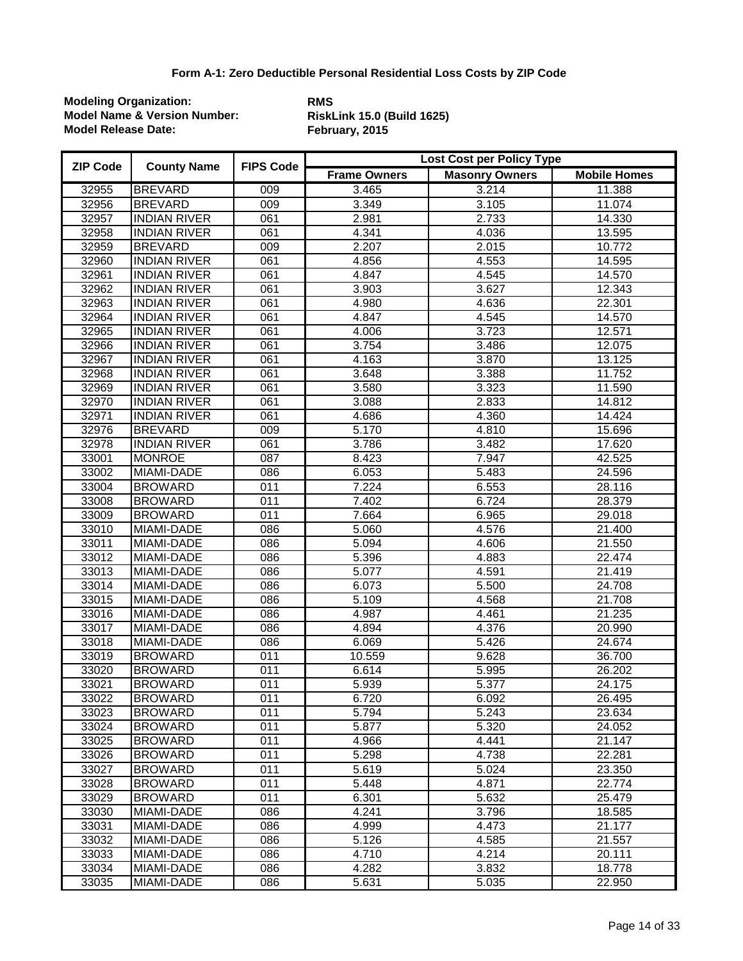| <b>ZIP Code</b> | <b>County Name</b>  | <b>FIPS Code</b> | Lost Cost per Policy Type |                       |                     |  |
|-----------------|---------------------|------------------|---------------------------|-----------------------|---------------------|--|
|                 |                     |                  | <b>Frame Owners</b>       | <b>Masonry Owners</b> | <b>Mobile Homes</b> |  |
| 32955           | <b>BREVARD</b>      | 009              | 3.465                     | 3.214                 | 11.388              |  |
| 32956           | <b>BREVARD</b>      | 009              | 3.349                     | 3.105                 | 11.074              |  |
| 32957           | <b>INDIAN RIVER</b> | 061              | 2.981                     | 2.733                 | 14.330              |  |
| 32958           | <b>INDIAN RIVER</b> | 061              | 4.341                     | 4.036                 | 13.595              |  |
| 32959           | <b>BREVARD</b>      | 009              | 2.207                     | 2.015                 | 10.772              |  |
| 32960           | <b>INDIAN RIVER</b> | 061              | 4.856                     | 4.553                 | 14.595              |  |
| 32961           | <b>INDIAN RIVER</b> | 061              | 4.847                     | 4.545                 | 14.570              |  |
| 32962           | <b>INDIAN RIVER</b> | 061              | 3.903                     | 3.627                 | 12.343              |  |
| 32963           | <b>INDIAN RIVER</b> | 061              | 4.980                     | 4.636                 | 22.301              |  |
| 32964           | <b>INDIAN RIVER</b> | 061              | 4.847                     | 4.545                 | 14.570              |  |
| 32965           | <b>INDIAN RIVER</b> | 061              | 4.006                     | 3.723                 | 12.571              |  |
| 32966           | <b>INDIAN RIVER</b> | 061              | 3.754                     | 3.486                 | 12.075              |  |
| 32967           | <b>INDIAN RIVER</b> | 061              | 4.163                     | 3.870                 | 13.125              |  |
| 32968           | <b>INDIAN RIVER</b> | 061              | 3.648                     | 3.388                 | 11.752              |  |
| 32969           | <b>INDIAN RIVER</b> | 061              | 3.580                     | 3.323                 | 11.590              |  |
| 32970           | <b>INDIAN RIVER</b> | 061              | 3.088                     | 2.833                 | 14.812              |  |
| 32971           | <b>INDIAN RIVER</b> | 061              | 4.686                     | 4.360                 | 14.424              |  |
| 32976           | <b>BREVARD</b>      | 009              | 5.170                     | 4.810                 | 15.696              |  |
| 32978           | <b>INDIAN RIVER</b> | 061              | 3.786                     | 3.482                 | 17.620              |  |
| 33001           | <b>MONROE</b>       | $\overline{087}$ | 8.423                     | 7.947                 | 42.525              |  |
| 33002           | MIAMI-DADE          | 086              | 6.053                     | 5.483                 | 24.596              |  |
| 33004           | <b>BROWARD</b>      | 011              | 7.224                     | 6.553                 | 28.116              |  |
| 33008           | <b>BROWARD</b>      | 011              | 7.402                     | 6.724                 | 28.379              |  |
| 33009           | <b>BROWARD</b>      | 011              | 7.664                     | 6.965                 | 29.018              |  |
| 33010           | MIAMI-DADE          | 086              | 5.060                     | 4.576                 | 21.400              |  |
| 33011           | MIAMI-DADE          | 086              | 5.094                     | 4.606                 | 21.550              |  |
| 33012           | MIAMI-DADE          | 086              | 5.396                     | 4.883                 | 22.474              |  |
| 33013           | MIAMI-DADE          | 086              | 5.077                     | 4.591                 | 21.419              |  |
| 33014           | MIAMI-DADE          | 086              | 6.073                     | 5.500                 | 24.708              |  |
| 33015           | MIAMI-DADE          | 086              | 5.109                     | 4.568                 | 21.708              |  |
| 33016           | MIAMI-DADE          | 086              | 4.987                     | 4.461                 | 21.235              |  |
| 33017           | MIAMI-DADE          | 086              | 4.894                     | 4.376                 | 20.990              |  |
| 33018           | MIAMI-DADE          | 086              | 6.069                     | 5.426                 | 24.674              |  |
| 33019           | <b>BROWARD</b>      | 011              | 10.559                    | 9.628                 | 36.700              |  |
| 33020           | <b>BROWARD</b>      | 011              | 6.614                     | 5.995                 | 26.202              |  |
| 33021           | <b>BROWARD</b>      | 011              | 5.939                     | 5.377                 | 24.175              |  |
| 33022           | <b>BROWARD</b>      | 011              | 6.720                     | 6.092                 | 26.495              |  |
| 33023           | <b>BROWARD</b>      | 011              | 5.794                     | 5.243                 | 23.634              |  |
| 33024           | <b>BROWARD</b>      | 011              | 5.877                     | 5.320                 | 24.052              |  |
| 33025           | <b>BROWARD</b>      | 011              | 4.966                     | 4.441                 | 21.147              |  |
| 33026           | <b>BROWARD</b>      | 011              | 5.298                     | 4.738                 | 22.281              |  |
| 33027           | <b>BROWARD</b>      | 011              | 5.619                     | 5.024                 | 23.350              |  |
| 33028           | <b>BROWARD</b>      | 011              | 5.448                     | 4.871                 | 22.774              |  |
| 33029           | <b>BROWARD</b>      | 011              | 6.301                     | 5.632                 | 25.479              |  |
| 33030           | MIAMI-DADE          | 086              | 4.241                     | 3.796                 | 18.585              |  |
| 33031           | MIAMI-DADE          | 086              | 4.999                     | 4.473                 | 21.177              |  |
| 33032           | MIAMI-DADE          | 086              | 5.126                     | 4.585                 | 21.557              |  |
| 33033           | MIAMI-DADE          | 086              | 4.710                     | 4.214                 | 20.111              |  |
| 33034           | MIAMI-DADE          | 086              | 4.282                     | 3.832                 | 18.778              |  |
| 33035           | MIAMI-DADE          | 086              | 5.631                     | 5.035                 | 22.950              |  |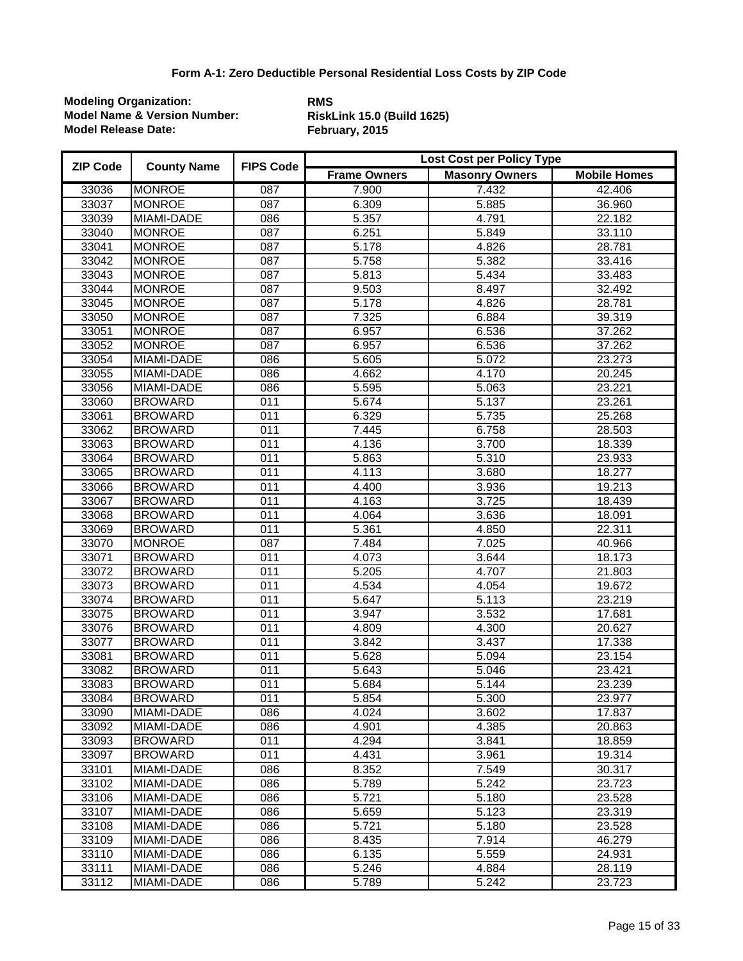| <b>ZIP Code</b> | <b>County Name</b> | <b>FIPS Code</b> | <b>Lost Cost per Policy Type</b> |                       |                     |  |
|-----------------|--------------------|------------------|----------------------------------|-----------------------|---------------------|--|
|                 |                    |                  | <b>Frame Owners</b>              | <b>Masonry Owners</b> | <b>Mobile Homes</b> |  |
| 33036           | <b>MONROE</b>      | 087              | 7.900                            | 7.432                 | 42.406              |  |
| 33037           | <b>MONROE</b>      | 087              | 6.309                            | 5.885                 | 36.960              |  |
| 33039           | MIAMI-DADE         | 086              | 5.357                            | 4.791                 | 22.182              |  |
| 33040           | <b>MONROE</b>      | 087              | 6.251                            | 5.849                 | 33.110              |  |
| 33041           | <b>MONROE</b>      | $\overline{087}$ | 5.178                            | 4.826                 | 28.781              |  |
| 33042           | <b>MONROE</b>      | $\overline{087}$ | 5.758                            | 5.382                 | 33.416              |  |
| 33043           | <b>MONROE</b>      | $\overline{087}$ | 5.813                            | 5.434                 | 33.483              |  |
| 33044           | <b>MONROE</b>      | $\overline{087}$ | 9.503                            | 8.497                 | 32.492              |  |
| 33045           | <b>MONROE</b>      | $\overline{087}$ | 5.178                            | 4.826                 | 28.781              |  |
| 33050           | <b>MONROE</b>      | 087              | 7.325                            | 6.884                 | 39.319              |  |
| 33051           | <b>MONROE</b>      | 087              | 6.957                            | 6.536                 | 37.262              |  |
| 33052           | <b>MONROE</b>      | 087              | 6.957                            | 6.536                 | 37.262              |  |
| 33054           | MIAMI-DADE         | 086              | 5.605                            | 5.072                 | 23.273              |  |
| 33055           | MIAMI-DADE         | 086              | 4.662                            | 4.170                 | 20.245              |  |
| 33056           | MIAMI-DADE         | 086              | 5.595                            | 5.063                 | 23.221              |  |
| 33060           | <b>BROWARD</b>     | 011              | 5.674                            | 5.137                 | 23.261              |  |
| 33061           | <b>BROWARD</b>     | 011              | 6.329                            | 5.735                 | 25.268              |  |
| 33062           | <b>BROWARD</b>     | 011              | 7.445                            | 6.758                 | 28.503              |  |
| 33063           | <b>BROWARD</b>     | 011              | 4.136                            | 3.700                 | 18.339              |  |
| 33064           | <b>BROWARD</b>     | 011              | 5.863                            | 5.310                 | 23.933              |  |
| 33065           | <b>BROWARD</b>     | 011              | 4.113                            | 3.680                 | 18.277              |  |
| 33066           | <b>BROWARD</b>     | 011              | 4.400                            | 3.936                 | 19.213              |  |
| 33067           | <b>BROWARD</b>     | 011              | 4.163                            | 3.725                 | 18.439              |  |
| 33068           | <b>BROWARD</b>     | 011              | 4.064                            | 3.636                 | 18.091              |  |
| 33069           | <b>BROWARD</b>     | 011              | 5.361                            | 4.850                 | 22.311              |  |
| 33070           | <b>MONROE</b>      | $\overline{087}$ | 7.484                            | 7.025                 | 40.966              |  |
| 33071           | <b>BROWARD</b>     | 011              | 4.073                            | 3.644                 | 18.173              |  |
| 33072           | <b>BROWARD</b>     | 011              | 5.205                            | 4.707                 | 21.803              |  |
| 33073           | <b>BROWARD</b>     | 011              | 4.534                            | 4.054                 | 19.672              |  |
| 33074           | <b>BROWARD</b>     | 011              | 5.647                            | 5.113                 | 23.219              |  |
| 33075           | <b>BROWARD</b>     | 011              | 3.947                            | 3.532                 | 17.681              |  |
| 33076           | <b>BROWARD</b>     | 011              | 4.809                            | 4.300                 | 20.627              |  |
| 33077           | <b>BROWARD</b>     | 011              | 3.842                            | 3.437                 | 17.338              |  |
| 33081           | <b>BROWARD</b>     | 011              | 5.628                            | 5.094                 | 23.154              |  |
| 33082           | <b>BROWARD</b>     | 011              | 5.643                            | 5.046                 | 23.421              |  |
| 33083           | <b>BROWARD</b>     | 011              | 5.684                            | 5.144                 | 23.239              |  |
| 33084           | <b>BROWARD</b>     | 011              | 5.854                            | 5.300                 | 23.977              |  |
| 33090           | <b>MIAMI-DADE</b>  | 086              | 4.024                            | 3.602                 | 17.837              |  |
| 33092           | MIAMI-DADE         | 086              | 4.901                            | 4.385                 | 20.863              |  |
| 33093           | <b>BROWARD</b>     | 011              | 4.294                            | 3.841                 | 18.859              |  |
| 33097           | <b>BROWARD</b>     | 011              | 4.431                            | 3.961                 | 19.314              |  |
| 33101           | MIAMI-DADE         | 086              | 8.352                            | 7.549                 | 30.317              |  |
| 33102           | MIAMI-DADE         | 086              | 5.789                            | 5.242                 | 23.723              |  |
| 33106           | MIAMI-DADE         | 086              | 5.721                            | 5.180                 | 23.528              |  |
| 33107           | MIAMI-DADE         | 086              | 5.659                            | 5.123                 | 23.319              |  |
| 33108           | MIAMI-DADE         | 086              | 5.721                            | 5.180                 | 23.528              |  |
| 33109           | MIAMI-DADE         | 086              | 8.435                            | 7.914                 | 46.279              |  |
| 33110           | MIAMI-DADE         | 086              | 6.135                            | 5.559                 | 24.931              |  |
| 33111           | MIAMI-DADE         | 086              | 5.246                            | 4.884                 | 28.119              |  |
| 33112           | MIAMI-DADE         | 086              | 5.789                            | 5.242                 | 23.723              |  |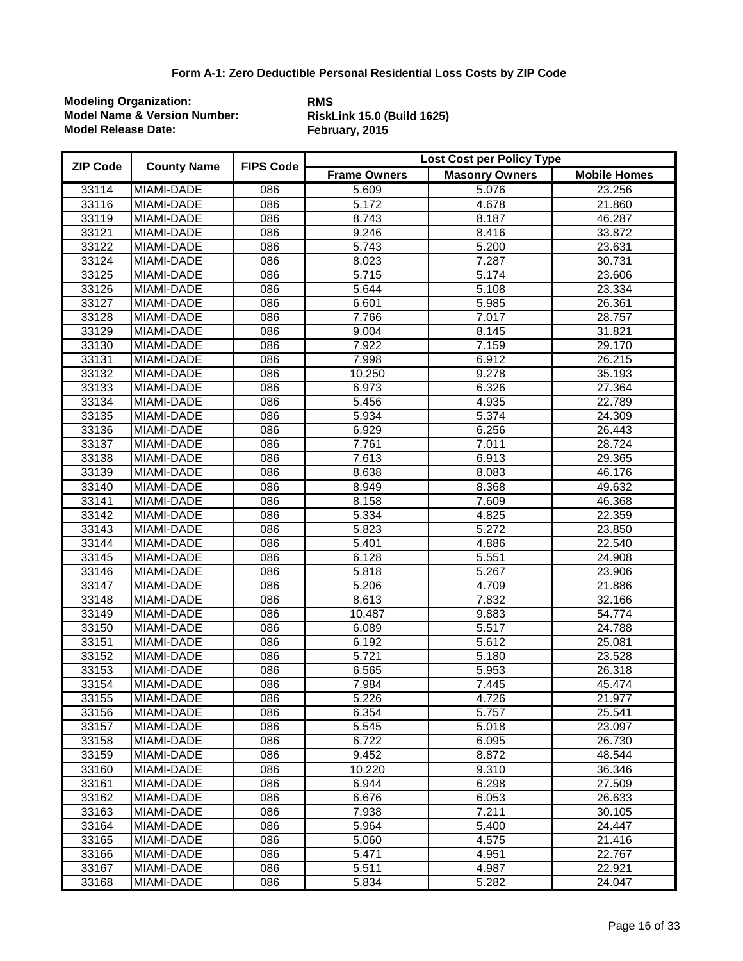| <b>ZIP Code</b> | <b>County Name</b> | <b>FIPS Code</b> | Lost Cost per Policy Type |                       |                     |  |
|-----------------|--------------------|------------------|---------------------------|-----------------------|---------------------|--|
|                 |                    |                  | <b>Frame Owners</b>       | <b>Masonry Owners</b> | <b>Mobile Homes</b> |  |
| 33114           | MIAMI-DADE         | 086              | 5.609                     | 5.076                 | 23.256              |  |
| 33116           | MIAMI-DADE         | 086              | 5.172                     | 4.678                 | 21.860              |  |
| 33119           | MIAMI-DADE         | 086              | 8.743                     | 8.187                 | 46.287              |  |
| 33121           | MIAMI-DADE         | 086              | 9.246                     | 8.416                 | 33.872              |  |
| 33122           | MIAMI-DADE         | 086              | 5.743                     | 5.200                 | 23.631              |  |
| 33124           | MIAMI-DADE         | 086              | 8.023                     | 7.287                 | 30.731              |  |
| 33125           | <b>MIAMI-DADE</b>  | 086              | 5.715                     | 5.174                 | 23.606              |  |
| 33126           | MIAMI-DADE         | 086              | 5.644                     | 5.108                 | 23.334              |  |
| 33127           | MIAMI-DADE         | 086              | 6.601                     | 5.985                 | 26.361              |  |
| 33128           | MIAMI-DADE         | 086              | 7.766                     | 7.017                 | 28.757              |  |
| 33129           | MIAMI-DADE         | 086              | 9.004                     | 8.145                 | 31.821              |  |
| 33130           | MIAMI-DADE         | 086              | 7.922                     | 7.159                 | 29.170              |  |
| 33131           | MIAMI-DADE         | 086              | 7.998                     | 6.912                 | 26.215              |  |
| 33132           | MIAMI-DADE         | 086              | 10.250                    | 9.278                 | 35.193              |  |
| 33133           | MIAMI-DADE         | 086              | 6.973                     | 6.326                 | 27.364              |  |
| 33134           | MIAMI-DADE         | 086              | 5.456                     | 4.935                 | 22.789              |  |
| 33135           | MIAMI-DADE         | 086              | 5.934                     | 5.374                 | 24.309              |  |
| 33136           | MIAMI-DADE         | 086              | 6.929                     | 6.256                 | 26.443              |  |
| 33137           | MIAMI-DADE         | 086              | 7.761                     | 7.011                 | 28.724              |  |
| 33138           | MIAMI-DADE         | 086              | 7.613                     | 6.913                 | 29.365              |  |
| 33139           | MIAMI-DADE         | 086              | 8.638                     | 8.083                 | 46.176              |  |
| 33140           | MIAMI-DADE         | 086              | 8.949                     | 8.368                 | 49.632              |  |
| 33141           | MIAMI-DADE         | 086              | 8.158                     | 7.609                 | 46.368              |  |
| 33142           | MIAMI-DADE         | 086              | 5.334                     | 4.825                 | 22.359              |  |
| 33143           | MIAMI-DADE         | 086              | 5.823                     | 5.272                 | 23.850              |  |
| 33144           | MIAMI-DADE         | 086              | 5.401                     | 4.886                 | 22.540              |  |
| 33145           | MIAMI-DADE         | 086              | 6.128                     | 5.551                 | 24.908              |  |
| 33146           | MIAMI-DADE         | 086              | 5.818                     | 5.267                 | 23.906              |  |
| 33147           | MIAMI-DADE         | 086              | 5.206                     | 4.709                 | 21.886              |  |
| 33148           | MIAMI-DADE         | 086              | 8.613                     | 7.832                 | 32.166              |  |
| 33149           | MIAMI-DADE         | 086              | 10.487                    | 9.883                 | 54.774              |  |
| 33150           | MIAMI-DADE         | 086              | 6.089                     | 5.517                 | 24.788              |  |
| 33151           | MIAMI-DADE         | 086              | 6.192                     | 5.612                 | 25.081              |  |
| 33152           | MIAMI-DADE         | 086              | 5.721                     | 5.180                 | 23.528              |  |
| 33153           | <b>MIAMI-DADE</b>  | 086              | 6.565                     | 5.953                 | 26.318              |  |
| 33154           | MIAMI-DADE         | 086              | 7.984                     | 7.445                 | 45.474              |  |
| 33155           | MIAMI-DADE         | 086              | 5.226                     | 4.726                 | 21.977              |  |
| 33156           | MIAMI-DADE         | 086              | 6.354                     | 5.757                 | 25.541              |  |
| 33157           | MIAMI-DADE         | 086              | 5.545                     | 5.018                 | 23.097              |  |
| 33158           | MIAMI-DADE         | 086              | 6.722                     | 6.095                 | 26.730              |  |
| 33159           | MIAMI-DADE         | 086              | 9.452                     | 8.872                 | 48.544              |  |
| 33160           | MIAMI-DADE         | 086              | 10.220                    | 9.310                 | 36.346              |  |
| 33161           | MIAMI-DADE         | 086              | 6.944                     | 6.298                 | 27.509              |  |
| 33162           | MIAMI-DADE         | 086              | 6.676                     | 6.053                 | 26.633              |  |
| 33163           | MIAMI-DADE         | 086              | 7.938                     | 7.211                 | 30.105              |  |
| 33164           | MIAMI-DADE         | 086              | 5.964                     | 5.400                 | 24.447              |  |
| 33165           | MIAMI-DADE         | 086              | 5.060                     | 4.575                 | 21.416              |  |
| 33166           | MIAMI-DADE         | 086              | 5.471                     | 4.951                 | 22.767              |  |
| 33167           | MIAMI-DADE         | 086              | 5.511                     | 4.987                 | 22.921              |  |
| 33168           | MIAMI-DADE         | 086              | 5.834                     | 5.282                 | 24.047              |  |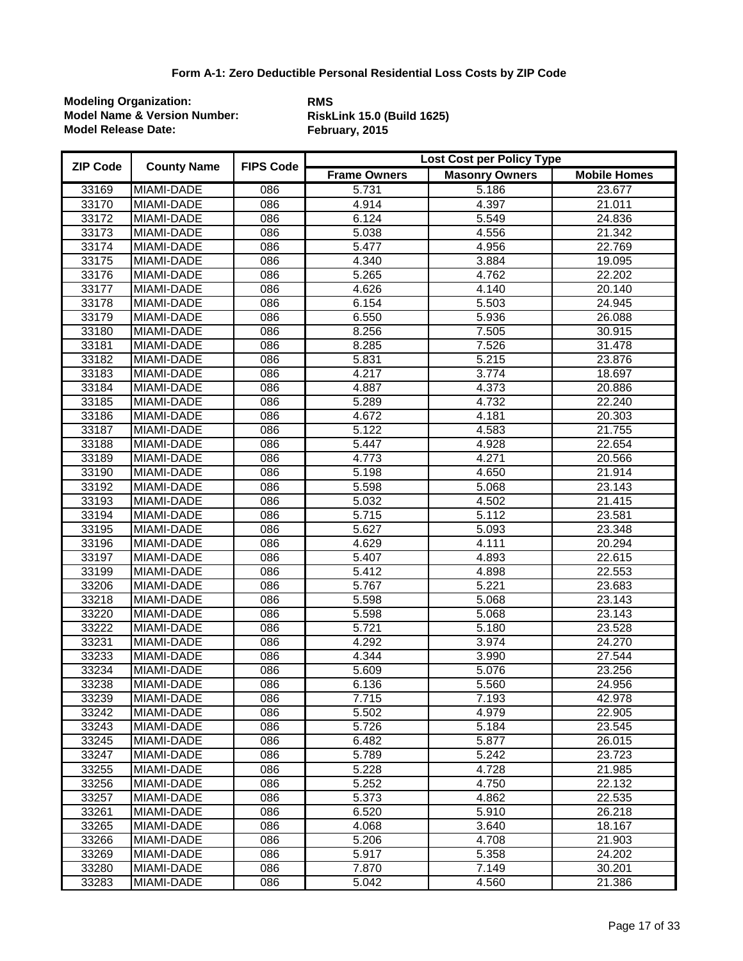| <b>ZIP Code</b> | <b>County Name</b> | <b>FIPS Code</b> | <b>Lost Cost per Policy Type</b> |                       |                     |  |
|-----------------|--------------------|------------------|----------------------------------|-----------------------|---------------------|--|
|                 |                    |                  | <b>Frame Owners</b>              | <b>Masonry Owners</b> | <b>Mobile Homes</b> |  |
| 33169           | MIAMI-DADE         | 086              | 5.731                            | 5.186                 | 23.677              |  |
| 33170           | MIAMI-DADE         | 086              | 4.914                            | 4.397                 | 21.011              |  |
| 33172           | MIAMI-DADE         | 086              | 6.124                            | 5.549                 | 24.836              |  |
| 33173           | <b>MIAMI-DADE</b>  | 086              | 5.038                            | 4.556                 | 21.342              |  |
| 33174           | MIAMI-DADE         | 086              | 5.477                            | 4.956                 | 22.769              |  |
| 33175           | MIAMI-DADE         | 086              | 4.340                            | 3.884                 | 19.095              |  |
| 33176           | MIAMI-DADE         | 086              | 5.265                            | 4.762                 | 22.202              |  |
| 33177           | <b>MIAMI-DADE</b>  | 086              | 4.626                            | 4.140                 | 20.140              |  |
| 33178           | MIAMI-DADE         | 086              | 6.154                            | 5.503                 | 24.945              |  |
| 33179           | MIAMI-DADE         | 086              | 6.550                            | 5.936                 | 26.088              |  |
| 33180           | MIAMI-DADE         | 086              | 8.256                            | 7.505                 | 30.915              |  |
| 33181           | MIAMI-DADE         | 086              | 8.285                            | 7.526                 | 31.478              |  |
| 33182           | MIAMI-DADE         | 086              | 5.831                            | 5.215                 | 23.876              |  |
| 33183           | MIAMI-DADE         | 086              | 4.217                            | 3.774                 | 18.697              |  |
| 33184           | MIAMI-DADE         | 086              | 4.887                            | 4.373                 | 20.886              |  |
| 33185           | MIAMI-DADE         | 086              | 5.289                            | 4.732                 | 22.240              |  |
| 33186           | MIAMI-DADE         | 086              | $\overline{4.672}$               | 4.181                 | 20.303              |  |
| 33187           | <b>MIAMI-DADE</b>  | 086              | 5.122                            | 4.583                 | 21.755              |  |
| 33188           | MIAMI-DADE         | 086              | 5.447                            | 4.928                 | 22.654              |  |
| 33189           | <b>MIAMI-DADE</b>  | 086              | 4.773                            | 4.271                 | 20.566              |  |
| 33190           | MIAMI-DADE         | 086              | 5.198                            | 4.650                 | 21.914              |  |
| 33192           | MIAMI-DADE         | 086              | 5.598                            | 5.068                 | 23.143              |  |
| 33193           | MIAMI-DADE         | 086              | 5.032                            | 4.502                 | 21.415              |  |
| 33194           | MIAMI-DADE         | 086              | 5.715                            | 5.112                 | 23.581              |  |
| 33195           | MIAMI-DADE         | 086              | 5.627                            | 5.093                 | 23.348              |  |
| 33196           | MIAMI-DADE         | 086              | 4.629                            | 4.111                 | 20.294              |  |
| 33197           | MIAMI-DADE         | 086              | 5.407                            | 4.893                 | 22.615              |  |
| 33199           | MIAMI-DADE         | 086              | 5.412                            | 4.898                 | 22.553              |  |
| 33206           | MIAMI-DADE         | 086              | 5.767                            | 5.221                 | 23.683              |  |
| 33218           | MIAMI-DADE         | 086              | 5.598                            | 5.068                 | 23.143              |  |
| 33220           | MIAMI-DADE         | 086              | 5.598                            | 5.068                 | 23.143              |  |
| 33222           | MIAMI-DADE         | 086              | 5.721                            | 5.180                 | 23.528              |  |
| 33231           | <b>MIAMI-DADE</b>  | 086              | 4.292                            | 3.974                 | 24.270              |  |
| 33233           | MIAMI-DADE         | 086              | 4.344                            | 3.990                 | 27.544              |  |
| 33234           | MIAMI-DADE         | 086              | 5.609                            | 5.076                 | 23.256              |  |
| 33238           | <b>MIAMI-DADE</b>  | 086              | 6.136                            | 5.560                 | 24.956              |  |
| 33239           | MIAMI-DADE         | 086              | 7.715                            | 7.193                 | 42.978              |  |
| 33242           | MIAMI-DADE         | 086              | 5.502                            | 4.979                 | 22.905              |  |
| 33243           | MIAMI-DADE         | 086              | 5.726                            | 5.184                 | 23.545              |  |
| 33245           | MIAMI-DADE         | 086              | 6.482                            | 5.877                 | 26.015              |  |
| 33247           | <b>MIAMI-DADE</b>  | 086              | 5.789                            | 5.242                 | 23.723              |  |
| 33255           | MIAMI-DADE         | 086              | 5.228                            | 4.728                 | 21.985              |  |
| 33256           | MIAMI-DADE         | 086              | 5.252                            | 4.750                 | 22.132              |  |
| 33257           | MIAMI-DADE         | 086              | 5.373                            | 4.862                 | 22.535              |  |
| 33261           | MIAMI-DADE         | 086              | 6.520                            | 5.910                 | 26.218              |  |
| 33265           | MIAMI-DADE         | 086              | 4.068                            | 3.640                 | 18.167              |  |
| 33266           | MIAMI-DADE         | 086              | 5.206                            | 4.708                 | 21.903              |  |
| 33269           | MIAMI-DADE         | 086              | 5.917                            | 5.358                 | 24.202              |  |
| 33280           | MIAMI-DADE         | 086              | 7.870                            | 7.149                 | 30.201              |  |
| 33283           | MIAMI-DADE         | 086              | 5.042                            | 4.560                 | 21.386              |  |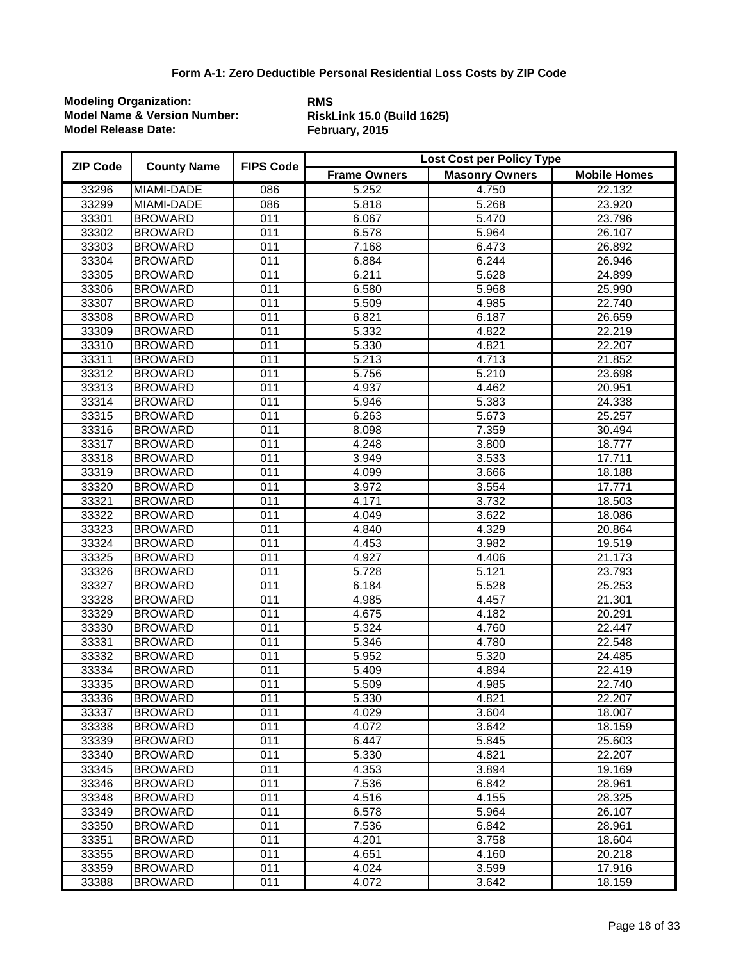| <b>ZIP Code</b> | <b>County Name</b> | <b>FIPS Code</b> | Lost Cost per Policy Type |                       |                     |  |
|-----------------|--------------------|------------------|---------------------------|-----------------------|---------------------|--|
|                 |                    |                  | <b>Frame Owners</b>       | <b>Masonry Owners</b> | <b>Mobile Homes</b> |  |
| 33296           | <b>MIAMI-DADE</b>  | 086              | 5.252                     | 4.750                 | 22.132              |  |
| 33299           | MIAMI-DADE         | 086              | 5.818                     | 5.268                 | 23.920              |  |
| 33301           | <b>BROWARD</b>     | $\overline{011}$ | 6.067                     | 5.470                 | 23.796              |  |
| 33302           | <b>BROWARD</b>     | 011              | 6.578                     | 5.964                 | 26.107              |  |
| 33303           | <b>BROWARD</b>     | 011              | 7.168                     | 6.473                 | 26.892              |  |
| 33304           | <b>BROWARD</b>     | 011              | 6.884                     | 6.244                 | 26.946              |  |
| 33305           | <b>BROWARD</b>     | 011              | 6.211                     | 5.628                 | 24.899              |  |
| 33306           | <b>BROWARD</b>     | 011              | 6.580                     | 5.968                 | 25.990              |  |
| 33307           | <b>BROWARD</b>     | 011              | 5.509                     | 4.985                 | 22.740              |  |
| 33308           | <b>BROWARD</b>     | 011              | 6.821                     | 6.187                 | 26.659              |  |
| 33309           | <b>BROWARD</b>     | 011              | 5.332                     | 4.822                 | 22.219              |  |
| 33310           | <b>BROWARD</b>     | 011              | 5.330                     | 4.821                 | 22.207              |  |
| 33311           | <b>BROWARD</b>     | 011              | 5.213                     | 4.713                 | 21.852              |  |
| 33312           | <b>BROWARD</b>     | 011              | 5.756                     | 5.210                 | 23.698              |  |
| 33313           | <b>BROWARD</b>     | 011              | 4.937                     | 4.462                 | 20.951              |  |
| 33314           | <b>BROWARD</b>     | 011              | 5.946                     | 5.383                 | 24.338              |  |
| 33315           | <b>BROWARD</b>     | 011              | 6.263                     | 5.673                 | 25.257              |  |
| 33316           | <b>BROWARD</b>     | 011              | 8.098                     | 7.359                 | 30.494              |  |
| 33317           | <b>BROWARD</b>     | 011              | 4.248                     | 3.800                 | 18.777              |  |
| 33318           | <b>BROWARD</b>     | 011              | 3.949                     | 3.533                 | 17.711              |  |
| 33319           | <b>BROWARD</b>     | 011              | 4.099                     | 3.666                 | 18.188              |  |
| 33320           | <b>BROWARD</b>     | 011              | 3.972                     | 3.554                 | 17.771              |  |
| 33321           | <b>BROWARD</b>     | 011              | 4.171                     | 3.732                 | 18.503              |  |
| 33322           | <b>BROWARD</b>     | 011              | 4.049                     | 3.622                 | 18.086              |  |
| 33323           | <b>BROWARD</b>     | 011              | 4.840                     | 4.329                 | 20.864              |  |
| 33324           | <b>BROWARD</b>     | 011              | 4.453                     | 3.982                 | 19.519              |  |
| 33325           | <b>BROWARD</b>     | 011              | 4.927                     | 4.406                 | 21.173              |  |
| 33326           | <b>BROWARD</b>     | 011              | 5.728                     | 5.121                 | 23.793              |  |
| 33327           | <b>BROWARD</b>     | 011              | 6.184                     | 5.528                 | 25.253              |  |
| 33328           | <b>BROWARD</b>     | 011              | 4.985                     | 4.457                 | 21.301              |  |
| 33329           | <b>BROWARD</b>     | 011              | 4.675                     | 4.182                 | 20.291              |  |
| 33330           | <b>BROWARD</b>     | 011              | 5.324                     | 4.760                 | 22.447              |  |
| 33331           | <b>BROWARD</b>     | 011              | 5.346                     | 4.780                 | 22.548              |  |
| 33332           | <b>BROWARD</b>     | 011              | 5.952                     | 5.320                 | 24.485              |  |
| 33334           | <b>BROWARD</b>     | 011              | 5.409                     | 4.894                 | 22.419              |  |
| 33335           | <b>BROWARD</b>     | 011              | 5.509                     | 4.985                 | 22.740              |  |
| 33336           | <b>BROWARD</b>     | 011              | 5.330                     | 4.821                 | 22.207              |  |
| 33337           | <b>BROWARD</b>     | 011              | 4.029                     | 3.604                 | 18.007              |  |
| 33338           | <b>BROWARD</b>     | 011              | 4.072                     | 3.642                 | 18.159              |  |
| 33339           | <b>BROWARD</b>     | 011              | 6.447                     | 5.845                 | 25.603              |  |
| 33340           | <b>BROWARD</b>     | 011              | 5.330                     | 4.821                 | 22.207              |  |
| 33345           | <b>BROWARD</b>     | 011              | 4.353                     | 3.894                 | 19.169              |  |
| 33346           | <b>BROWARD</b>     | 011              | 7.536                     | 6.842                 | 28.961              |  |
| 33348           | <b>BROWARD</b>     | 011              | 4.516                     | 4.155                 | 28.325              |  |
| 33349           | <b>BROWARD</b>     | 011              | 6.578                     | 5.964                 | 26.107              |  |
| 33350           | <b>BROWARD</b>     | 011              | 7.536                     | 6.842                 | 28.961              |  |
| 33351           | <b>BROWARD</b>     | 011              | 4.201                     | 3.758                 | 18.604              |  |
| 33355           | <b>BROWARD</b>     | 011              | 4.651                     | 4.160                 | 20.218              |  |
| 33359           | <b>BROWARD</b>     | 011              | 4.024                     | 3.599                 | 17.916              |  |
| 33388           | <b>BROWARD</b>     | 011              | 4.072                     | 3.642                 | 18.159              |  |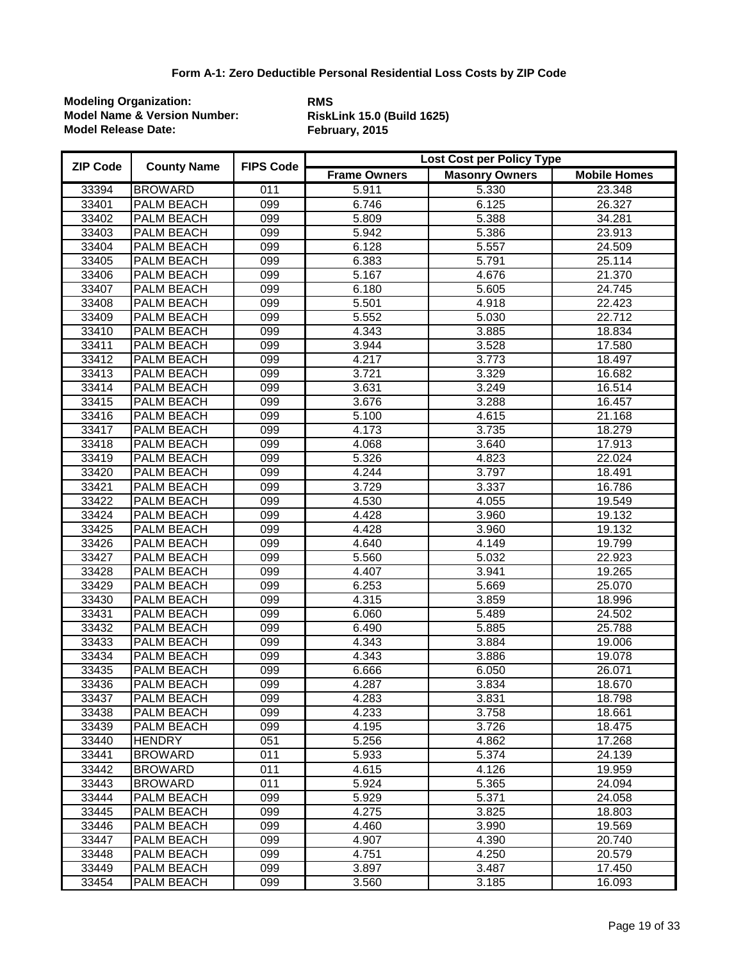| <b>ZIP Code</b> | <b>County Name</b> | <b>FIPS Code</b> | <b>Lost Cost per Policy Type</b> |                       |                     |  |
|-----------------|--------------------|------------------|----------------------------------|-----------------------|---------------------|--|
|                 |                    |                  | <b>Frame Owners</b>              | <b>Masonry Owners</b> | <b>Mobile Homes</b> |  |
| 33394           | <b>BROWARD</b>     | 011              | 5.911                            | 5.330                 | 23.348              |  |
| 33401           | PALM BEACH         | 099              | 6.746                            | 6.125                 | 26.327              |  |
| 33402           | PALM BEACH         | 099              | 5.809                            | 5.388                 | 34.281              |  |
| 33403           | PALM BEACH         | 099              | 5.942                            | 5.386                 | 23.913              |  |
| 33404           | PALM BEACH         | 099              | 6.128                            | 5.557                 | 24.509              |  |
| 33405           | PALM BEACH         | 099              | 6.383                            | 5.791                 | 25.114              |  |
| 33406           | <b>PALM BEACH</b>  | 099              | 5.167                            | 4.676                 | 21.370              |  |
| 33407           | PALM BEACH         | 099              | 6.180                            | 5.605                 | 24.745              |  |
| 33408           | PALM BEACH         | 099              | 5.501                            | 4.918                 | 22.423              |  |
| 33409           | PALM BEACH         | 099              | 5.552                            | 5.030                 | 22.712              |  |
| 33410           | <b>PALM BEACH</b>  | 099              | 4.343                            | 3.885                 | 18.834              |  |
| 33411           | PALM BEACH         | 099              | 3.944                            | 3.528                 | 17.580              |  |
| 33412           | PALM BEACH         | 099              | 4.217                            | 3.773                 | 18.497              |  |
| 33413           | PALM BEACH         | $\overline{099}$ | 3.721                            | 3.329                 | 16.682              |  |
| 33414           | PALM BEACH         | 099              | 3.631                            | 3.249                 | 16.514              |  |
| 33415           | PALM BEACH         | 099              | 3.676                            | 3.288                 | 16.457              |  |
| 33416           | PALM BEACH         | 099              | $\overline{5.100}$               | $\overline{4.615}$    | 21.168              |  |
| 33417           | PALM BEACH         | 099              | 4.173                            | 3.735                 | 18.279              |  |
| 33418           | PALM BEACH         | 099              | 4.068                            | 3.640                 | 17.913              |  |
| 33419           | <b>PALM BEACH</b>  | 099              | 5.326                            | 4.823                 | 22.024              |  |
| 33420           | PALM BEACH         | 099              | 4.244                            | 3.797                 | 18.491              |  |
| 33421           | <b>PALM BEACH</b>  | 099              | 3.729                            | 3.337                 | 16.786              |  |
| 33422           | PALM BEACH         | 099              | 4.530                            | 4.055                 | 19.549              |  |
| 33424           | PALM BEACH         | 099              | 4.428                            | 3.960                 | 19.132              |  |
| 33425           | PALM BEACH         | 099              | 4.428                            | 3.960                 | 19.132              |  |
| 33426           | PALM BEACH         | 099              | 4.640                            | 4.149                 | 19.799              |  |
| 33427           | PALM BEACH         | 099              | 5.560                            | 5.032                 | 22.923              |  |
| 33428           | PALM BEACH         | 099              | 4.407                            | 3.941                 | 19.265              |  |
| 33429           | PALM BEACH         | 099              | 6.253                            | 5.669                 | 25.070              |  |
| 33430           | PALM BEACH         | 099              | 4.315                            | 3.859                 | 18.996              |  |
| 33431           | PALM BEACH         | $\overline{099}$ | 6.060                            | 5.489                 | 24.502              |  |
| 33432           | PALM BEACH         | 099              | 6.490                            | 5.885                 | 25.788              |  |
| 33433           | PALM BEACH         | 099              | 4.343                            | 3.884                 | 19.006              |  |
| 33434           | PALM BEACH         | 099              | 4.343                            | 3.886                 | 19.078              |  |
| 33435           | <b>PALM BEACH</b>  | 099              | 6.666                            | 6.050                 | 26.071              |  |
| 33436           | <b>PALM BEACH</b>  | 099              | 4.287                            | 3.834                 | 18.670              |  |
| 33437           | PALM BEACH         | 099              | 4.283                            | 3.831                 | 18.798              |  |
| 33438           | <b>PALM BEACH</b>  | 099              | 4.233                            | 3.758                 | 18.661              |  |
| 33439           | <b>PALM BEACH</b>  | 099              | 4.195                            | 3.726                 | 18.475              |  |
| 33440           | <b>HENDRY</b>      | 051              | 5.256                            | 4.862                 | 17.268              |  |
| 33441           | <b>BROWARD</b>     | 011              | 5.933                            | 5.374                 | 24.139              |  |
| 33442           | <b>BROWARD</b>     | 011              | 4.615                            | 4.126                 | 19.959              |  |
| 33443           | <b>BROWARD</b>     | 011              | 5.924                            | 5.365                 | 24.094              |  |
| 33444           | PALM BEACH         | 099              | 5.929                            | 5.371                 | 24.058              |  |
| 33445           | PALM BEACH         | 099              | 4.275                            | 3.825                 | 18.803              |  |
| 33446           | PALM BEACH         | 099              | 4.460                            | 3.990                 | 19.569              |  |
| 33447           | <b>PALM BEACH</b>  | 099              | 4.907                            | 4.390                 | 20.740              |  |
| 33448           | PALM BEACH         | 099              | 4.751                            | 4.250                 | 20.579              |  |
| 33449           | PALM BEACH         | 099              | 3.897                            | 3.487                 | 17.450              |  |
| 33454           | PALM BEACH         | 099              | 3.560                            | 3.185                 | 16.093              |  |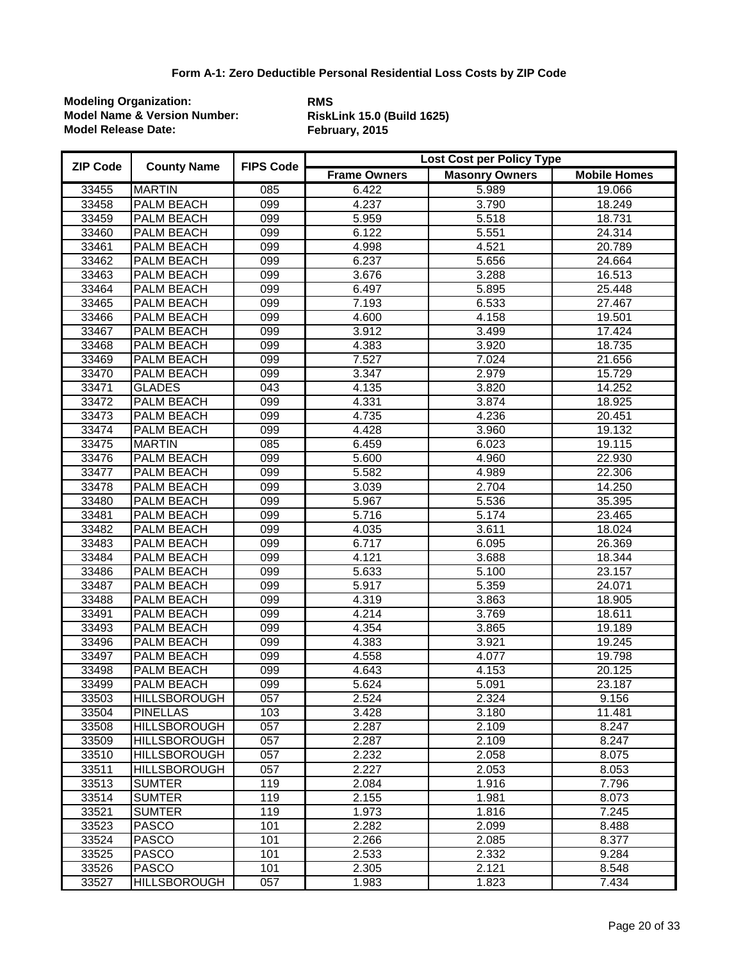| <b>ZIP Code</b> | <b>County Name</b>  | <b>FIPS Code</b> | <b>Lost Cost per Policy Type</b> |                       |                     |  |
|-----------------|---------------------|------------------|----------------------------------|-----------------------|---------------------|--|
|                 |                     |                  | <b>Frame Owners</b>              | <b>Masonry Owners</b> | <b>Mobile Homes</b> |  |
| 33455           | <b>MARTIN</b>       | 085              | 6.422                            | 5.989                 | 19.066              |  |
| 33458           | PALM BEACH          | 099              | 4.237                            | 3.790                 | 18.249              |  |
| 33459           | PALM BEACH          | 099              | 5.959                            | 5.518                 | 18.731              |  |
| 33460           | PALM BEACH          | 099              | 6.122                            | 5.551                 | 24.314              |  |
| 33461           | PALM BEACH          | 099              | 4.998                            | 4.521                 | 20.789              |  |
| 33462           | PALM BEACH          | 099              | 6.237                            | 5.656                 | 24.664              |  |
| 33463           | PALM BEACH          | 099              | 3.676                            | 3.288                 | 16.513              |  |
| 33464           | PALM BEACH          | 099              | 6.497                            | 5.895                 | 25.448              |  |
| 33465           | PALM BEACH          | 099              | 7.193                            | 6.533                 | 27.467              |  |
| 33466           | PALM BEACH          | 099              | 4.600                            | 4.158                 | 19.501              |  |
| 33467           | PALM BEACH          | 099              | 3.912                            | 3.499                 | 17.424              |  |
| 33468           | PALM BEACH          | 099              | 4.383                            | 3.920                 | 18.735              |  |
| 33469           | PALM BEACH          | 099              | 7.527                            | 7.024                 | 21.656              |  |
| 33470           | PALM BEACH          | $\overline{099}$ | 3.347                            | 2.979                 | 15.729              |  |
| 33471           | <b>GLADES</b>       | $\overline{043}$ | 4.135                            | 3.820                 | 14.252              |  |
| 33472           | PALM BEACH          | 099              | 4.331                            | 3.874                 | 18.925              |  |
| 33473           | PALM BEACH          | 099              | 4.735                            | 4.236                 | 20.451              |  |
| 33474           | <b>PALM BEACH</b>   | 099              | 4.428                            | 3.960                 | 19.132              |  |
| 33475           | <b>MARTIN</b>       | $\overline{085}$ | 6.459                            | 6.023                 | 19.115              |  |
| 33476           | PALM BEACH          | 099              | 5.600                            | 4.960                 | 22.930              |  |
| 33477           | PALM BEACH          | 099              | 5.582                            | 4.989                 | 22.306              |  |
| 33478           | PALM BEACH          | 099              | 3.039                            | 2.704                 | 14.250              |  |
| 33480           | PALM BEACH          | 099              | 5.967                            | 5.536                 | 35.395              |  |
| 33481           | PALM BEACH          | 099              | 5.716                            | 5.174                 | 23.465              |  |
| 33482           | PALM BEACH          | 099              | 4.035                            | 3.611                 | 18.024              |  |
| 33483           | PALM BEACH          | 099              | 6.717                            | 6.095                 | 26.369              |  |
| 33484           | PALM BEACH          | 099              | 4.121                            | 3.688                 | 18.344              |  |
| 33486           | PALM BEACH          | 099              | 5.633                            | 5.100                 | 23.157              |  |
| 33487           | PALM BEACH          | 099              | 5.917                            | 5.359                 | 24.071              |  |
| 33488           | PALM BEACH          | 099              | 4.319                            | 3.863                 | 18.905              |  |
| 33491           | PALM BEACH          | $\overline{099}$ | 4.214                            | 3.769                 | 18.611              |  |
| 33493           | PALM BEACH          | 099              | 4.354                            | 3.865                 | 19.189              |  |
| 33496           | PALM BEACH          | 099              | 4.383                            | 3.921                 | 19.245              |  |
| 33497           | PALM BEACH          | 099              | 4.558                            | 4.077                 | 19.798              |  |
| 33498           | PALM BEACH          | 099              | 4.643                            | 4.153                 | 20.125              |  |
| 33499           | <b>PALM BEACH</b>   | 099              | 5.624                            | 5.091                 | 23.187              |  |
| 33503           | <b>HILLSBOROUGH</b> | 057              | 2.524                            | 2.324                 | 9.156               |  |
| 33504           | <b>PINELLAS</b>     | 103              | 3.428                            | 3.180                 | 11.481              |  |
| 33508           | <b>HILLSBOROUGH</b> | 057              | 2.287                            | 2.109                 | 8.247               |  |
| 33509           | <b>HILLSBOROUGH</b> | 057              | 2.287                            | 2.109                 | 8.247               |  |
| 33510           | <b>HILLSBOROUGH</b> | 057              | 2.232                            | 2.058                 | 8.075               |  |
| 33511           | <b>HILLSBOROUGH</b> | 057              | 2.227                            | 2.053                 | 8.053               |  |
| 33513           | <b>SUMTER</b>       | 119              | 2.084                            | 1.916                 | 7.796               |  |
| 33514           | <b>SUMTER</b>       | 119              | 2.155                            | 1.981                 | 8.073               |  |
| 33521           | <b>SUMTER</b>       | 119              | 1.973                            | 1.816                 | 7.245               |  |
| 33523           | <b>PASCO</b>        | 101              | 2.282                            | 2.099                 | 8.488               |  |
| 33524           | <b>PASCO</b>        | 101              | 2.266                            | 2.085                 | 8.377               |  |
| 33525           | <b>PASCO</b>        | 101              | 2.533                            | 2.332                 | 9.284               |  |
| 33526           | <b>PASCO</b>        | 101              | 2.305                            | 2.121                 | 8.548               |  |
| 33527           | <b>HILLSBOROUGH</b> | 057              | 1.983                            | 1.823                 | 7.434               |  |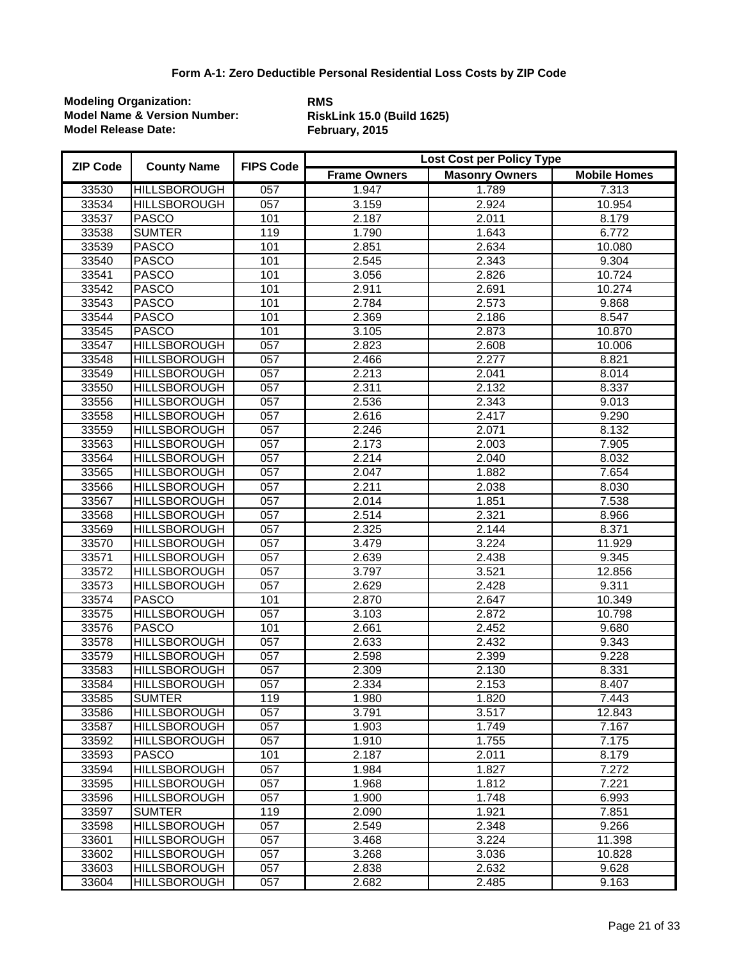| <b>ZIP Code</b> | <b>County Name</b>  | <b>FIPS Code</b> | <b>Lost Cost per Policy Type</b> |                       |                     |  |
|-----------------|---------------------|------------------|----------------------------------|-----------------------|---------------------|--|
|                 |                     |                  | <b>Frame Owners</b>              | <b>Masonry Owners</b> | <b>Mobile Homes</b> |  |
| 33530           | <b>HILLSBOROUGH</b> | $\overline{057}$ | 1.947                            | 1.789                 | 7.313               |  |
| 33534           | <b>HILLSBOROUGH</b> | 057              | 3.159                            | 2.924                 | 10.954              |  |
| 33537           | <b>PASCO</b>        | 101              | 2.187                            | 2.011                 | 8.179               |  |
| 33538           | <b>SUMTER</b>       | 119              | 1.790                            | 1.643                 | 6.772               |  |
| 33539           | <b>PASCO</b>        | 101              | 2.851                            | 2.634                 | 10.080              |  |
| 33540           | <b>PASCO</b>        | 101              | 2.545                            | 2.343                 | 9.304               |  |
| 33541           | <b>PASCO</b>        | 101              | 3.056                            | 2.826                 | 10.724              |  |
| 33542           | <b>PASCO</b>        | 101              | 2.911                            | 2.691                 | 10.274              |  |
| 33543           | <b>PASCO</b>        | 101              | 2.784                            | 2.573                 | 9.868               |  |
| 33544           | <b>PASCO</b>        | 101              | 2.369                            | 2.186                 | 8.547               |  |
| 33545           | <b>PASCO</b>        | 101              | 3.105                            | 2.873                 | 10.870              |  |
| 33547           | <b>HILLSBOROUGH</b> | $\overline{057}$ | 2.823                            | 2.608                 | 10.006              |  |
| 33548           | <b>HILLSBOROUGH</b> | 057              | 2.466                            | 2.277                 | 8.821               |  |
| 33549           | <b>HILLSBOROUGH</b> | 057              | 2.213                            | 2.041                 | 8.014               |  |
| 33550           | <b>HILLSBOROUGH</b> | $\overline{057}$ | 2.311                            | 2.132                 | 8.337               |  |
| 33556           | <b>HILLSBOROUGH</b> | $\overline{057}$ | 2.536                            | 2.343                 | 9.013               |  |
| 33558           | <b>HILLSBOROUGH</b> | $\overline{057}$ | 2.616                            | 2.417                 | 9.290               |  |
| 33559           | <b>HILLSBOROUGH</b> | $\overline{057}$ | 2.246                            | 2.071                 | 8.132               |  |
| 33563           | <b>HILLSBOROUGH</b> | $\overline{057}$ | 2.173                            | 2.003                 | 7.905               |  |
| 33564           | <b>HILLSBOROUGH</b> | $\overline{057}$ | 2.214                            | 2.040                 | 8.032               |  |
| 33565           | <b>HILLSBOROUGH</b> | $\overline{057}$ | 2.047                            | 1.882                 | 7.654               |  |
| 33566           | <b>HILLSBOROUGH</b> | 057              | 2.211                            | 2.038                 | 8.030               |  |
| 33567           | <b>HILLSBOROUGH</b> | 057              | 2.014                            | 1.851                 | 7.538               |  |
| 33568           | <b>HILLSBOROUGH</b> | 057              | 2.514                            | 2.321                 | 8.966               |  |
| 33569           | <b>HILLSBOROUGH</b> | $\overline{057}$ | 2.325                            | 2.144                 | 8.371               |  |
| 33570           | <b>HILLSBOROUGH</b> | $\overline{057}$ | 3.479                            | 3.224                 | 11.929              |  |
| 33571           | <b>HILLSBOROUGH</b> | 057              | 2.639                            | 2.438                 | 9.345               |  |
| 33572           | <b>HILLSBOROUGH</b> | 057              | 3.797                            | 3.521                 | 12.856              |  |
| 33573           | <b>HILLSBOROUGH</b> | $\overline{057}$ | 2.629                            | 2.428                 | 9.311               |  |
| 33574           | <b>PASCO</b>        | 101              | 2.870                            | 2.647                 | 10.349              |  |
| 33575           | <b>HILLSBOROUGH</b> | $\overline{057}$ | 3.103                            | 2.872                 | 10.798              |  |
| 33576           | <b>PASCO</b>        | 101              | 2.661                            | 2.452                 | 9.680               |  |
| 33578           | <b>HILLSBOROUGH</b> | 057              | 2.633                            | 2.432                 | 9.343               |  |
| 33579           | <b>HILLSBOROUGH</b> | $\overline{057}$ | 2.598                            | 2.399                 | 9.228               |  |
| 33583           | <b>HILLSBOROUGH</b> | $\overline{057}$ | 2.309                            | 2.130                 | 8.331               |  |
| 33584           | <b>HILLSBOROUGH</b> | 057              | 2.334                            | 2.153                 | 8.407               |  |
| 33585           | <b>SUMTER</b>       | 119              | 1.980                            | 1.820                 | 7.443               |  |
| 33586           | <b>HILLSBOROUGH</b> | 057              | 3.791                            | 3.517                 | 12.843              |  |
| 33587           | <b>HILLSBOROUGH</b> | 057              | 1.903                            | 1.749                 | 7.167               |  |
| 33592           | <b>HILLSBOROUGH</b> | 057              | 1.910                            | 1.755                 | 7.175               |  |
| 33593           | <b>PASCO</b>        | 101              | 2.187                            | 2.011                 | 8.179               |  |
| 33594           | <b>HILLSBOROUGH</b> | 057              | 1.984                            | 1.827                 | 7.272               |  |
| 33595           | <b>HILLSBOROUGH</b> | 057              | 1.968                            | 1.812                 | 7.221               |  |
| 33596           | <b>HILLSBOROUGH</b> | 057              | 1.900                            | 1.748                 | 6.993               |  |
| 33597           | <b>SUMTER</b>       | 119              | 2.090                            | 1.921                 | 7.851               |  |
| 33598           | <b>HILLSBOROUGH</b> | 057              | 2.549                            | 2.348                 | 9.266               |  |
| 33601           | <b>HILLSBOROUGH</b> | 057              | 3.468                            | 3.224                 | 11.398              |  |
| 33602           | <b>HILLSBOROUGH</b> | 057              | 3.268                            | 3.036                 | 10.828              |  |
| 33603           | <b>HILLSBOROUGH</b> | 057              | 2.838                            | 2.632                 | 9.628               |  |
| 33604           | <b>HILLSBOROUGH</b> | 057              | 2.682                            | 2.485                 | 9.163               |  |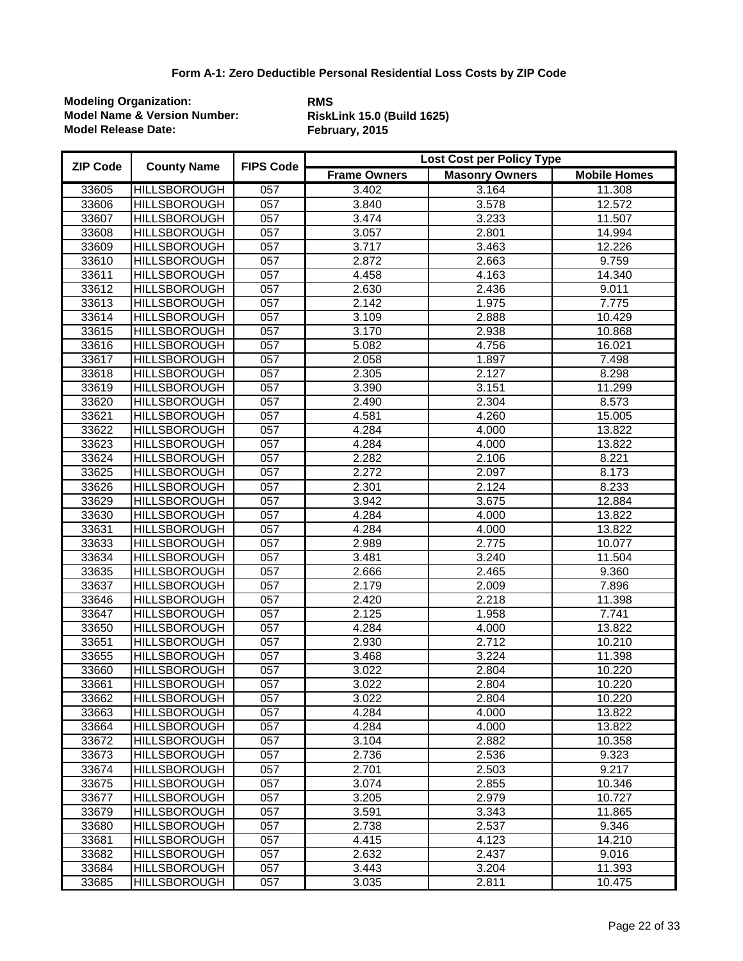| <b>ZIP Code</b> | <b>County Name</b>  | <b>FIPS Code</b> | Lost Cost per Policy Type |                       |                     |  |
|-----------------|---------------------|------------------|---------------------------|-----------------------|---------------------|--|
|                 |                     |                  | <b>Frame Owners</b>       | <b>Masonry Owners</b> | <b>Mobile Homes</b> |  |
| 33605           | <b>HILLSBOROUGH</b> | 057              | 3.402                     | 3.164                 | 11.308              |  |
| 33606           | <b>HILLSBOROUGH</b> | 057              | 3.840                     | 3.578                 | 12.572              |  |
| 33607           | <b>HILLSBOROUGH</b> | $\overline{057}$ | 3.474                     | 3.233                 | 11.507              |  |
| 33608           | <b>HILLSBOROUGH</b> | $\overline{057}$ | 3.057                     | 2.801                 | 14.994              |  |
| 33609           | <b>HILLSBOROUGH</b> | $\overline{057}$ | 3.717                     | 3.463                 | 12.226              |  |
| 33610           | <b>HILLSBOROUGH</b> | $\overline{057}$ | 2.872                     | 2.663                 | 9.759               |  |
| 33611           | <b>HILLSBOROUGH</b> | $\overline{057}$ | 4.458                     | 4.163                 | 14.340              |  |
| 33612           | <b>HILLSBOROUGH</b> | 057              | 2.630                     | 2.436                 | 9.011               |  |
| 33613           | <b>HILLSBOROUGH</b> | 057              | 2.142                     | 1.975                 | 7.775               |  |
| 33614           | <b>HILLSBOROUGH</b> | $\overline{057}$ | 3.109                     | 2.888                 | 10.429              |  |
| 33615           | <b>HILLSBOROUGH</b> | 057              | 3.170                     | 2.938                 | 10.868              |  |
| 33616           | <b>HILLSBOROUGH</b> | 057              | 5.082                     | 4.756                 | 16.021              |  |
| 33617           | <b>HILLSBOROUGH</b> | 057              | 2.058                     | 1.897                 | 7.498               |  |
| 33618           | <b>HILLSBOROUGH</b> | $\overline{057}$ | 2.305                     | 2.127                 | 8.298               |  |
| 33619           | <b>HILLSBOROUGH</b> | 057              | 3.390                     | 3.151                 | 11.299              |  |
| 33620           | <b>HILLSBOROUGH</b> | $\overline{057}$ | 2.490                     | 2.304                 | 8.573               |  |
| 33621           | <b>HILLSBOROUGH</b> | 057              | 4.581                     | 4.260                 | 15.005              |  |
| 33622           | <b>HILLSBOROUGH</b> | $\overline{057}$ | 4.284                     | 4.000                 | 13.822              |  |
| 33623           | <b>HILLSBOROUGH</b> | 057              | 4.284                     | 4.000                 | 13.822              |  |
| 33624           | <b>HILLSBOROUGH</b> | $\overline{057}$ | 2.282                     | 2.106                 | 8.221               |  |
| 33625           | <b>HILLSBOROUGH</b> | $\overline{057}$ | 2.272                     | 2.097                 | 8.173               |  |
| 33626           | <b>HILLSBOROUGH</b> | 057              | 2.301                     | 2.124                 | 8.233               |  |
| 33629           | <b>HILLSBOROUGH</b> | 057              | 3.942                     | 3.675                 | 12.884              |  |
| 33630           | <b>HILLSBOROUGH</b> | 057              | 4.284                     | 4.000                 | 13.822              |  |
| 33631           | <b>HILLSBOROUGH</b> | 057              | 4.284                     | 4.000                 | 13.822              |  |
| 33633           | <b>HILLSBOROUGH</b> | 057              | 2.989                     | 2.775                 | 10.077              |  |
| 33634           | <b>HILLSBOROUGH</b> | $\overline{057}$ | 3.481                     | 3.240                 | 11.504              |  |
| 33635           | <b>HILLSBOROUGH</b> | 057              | 2.666                     | 2.465                 | 9.360               |  |
| 33637           | <b>HILLSBOROUGH</b> | $\overline{057}$ | 2.179                     | 2.009                 | 7.896               |  |
| 33646           | <b>HILLSBOROUGH</b> | $\overline{057}$ | 2.420                     | 2.218                 | 11.398              |  |
| 33647           | <b>HILLSBOROUGH</b> | $\overline{057}$ | 2.125                     | 1.958                 | 7.741               |  |
| 33650           | <b>HILLSBOROUGH</b> | $\overline{057}$ | 4.284                     | 4.000                 | 13.822              |  |
| 33651           | <b>HILLSBOROUGH</b> | $\overline{057}$ | 2.930                     | 2.712                 | 10.210              |  |
| 33655           | <b>HILLSBOROUGH</b> | 057              | 3.468                     | 3.224                 | 11.398              |  |
| 33660           | <b>HILLSBOROUGH</b> | $\overline{057}$ | 3.022                     | 2.804                 | 10.220              |  |
| 33661           | <b>HILLSBOROUGH</b> | 057              | 3.022                     | 2.804                 | 10.220              |  |
| 33662           | <b>HILLSBOROUGH</b> | 057              | 3.022                     | 2.804                 | 10.220              |  |
| 33663           | <b>HILLSBOROUGH</b> | 057              | 4.284                     | 4.000                 | 13.822              |  |
| 33664           | <b>HILLSBOROUGH</b> | 057              | 4.284                     | 4.000                 | 13.822              |  |
| 33672           | <b>HILLSBOROUGH</b> | 057              | 3.104                     | 2.882                 | 10.358              |  |
| 33673           | <b>HILLSBOROUGH</b> | 057              | 2.736                     | 2.536                 | 9.323               |  |
| 33674           | <b>HILLSBOROUGH</b> | 057              | 2.701                     | 2.503                 | 9.217               |  |
| 33675           | <b>HILLSBOROUGH</b> | 057              | 3.074                     | 2.855                 | 10.346              |  |
| 33677           | <b>HILLSBOROUGH</b> | 057              | 3.205                     | 2.979                 | 10.727              |  |
| 33679           | <b>HILLSBOROUGH</b> | 057              | 3.591                     | 3.343                 | 11.865              |  |
| 33680           | <b>HILLSBOROUGH</b> | 057              | 2.738                     | 2.537                 | 9.346               |  |
| 33681           | <b>HILLSBOROUGH</b> | 057              | 4.415                     | 4.123                 | 14.210              |  |
| 33682           | <b>HILLSBOROUGH</b> | 057              | 2.632                     | 2.437                 | 9.016               |  |
| 33684           | <b>HILLSBOROUGH</b> | 057              | 3.443                     | 3.204                 | 11.393              |  |
| 33685           | <b>HILLSBOROUGH</b> | 057              | 3.035                     | 2.811                 | 10.475              |  |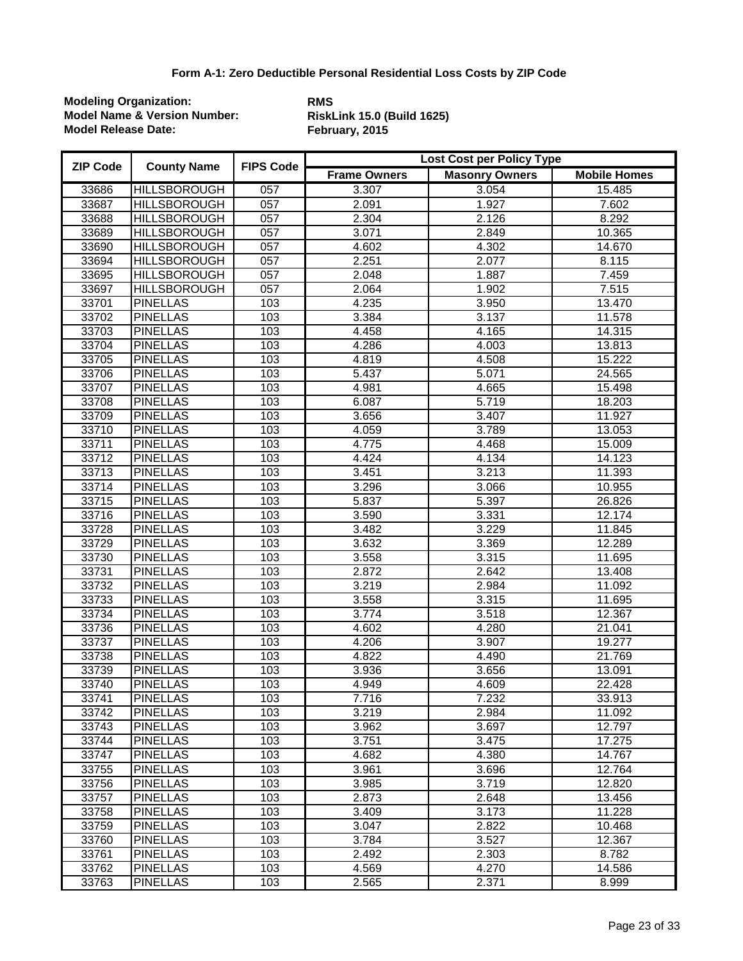| <b>ZIP Code</b> | <b>County Name</b>  | <b>FIPS Code</b> | Lost Cost per Policy Type |                       |                     |  |
|-----------------|---------------------|------------------|---------------------------|-----------------------|---------------------|--|
|                 |                     |                  | <b>Frame Owners</b>       | <b>Masonry Owners</b> | <b>Mobile Homes</b> |  |
| 33686           | <b>HILLSBOROUGH</b> | 057              | 3.307                     | 3.054                 | 15.485              |  |
| 33687           | <b>HILLSBOROUGH</b> | 057              | 2.091                     | 1.927                 | 7.602               |  |
| 33688           | <b>HILLSBOROUGH</b> | $\overline{057}$ | 2.304                     | 2.126                 | 8.292               |  |
| 33689           | <b>HILLSBOROUGH</b> | $\overline{057}$ | 3.071                     | 2.849                 | 10.365              |  |
| 33690           | <b>HILLSBOROUGH</b> | 057              | 4.602                     | 4.302                 | 14.670              |  |
| 33694           | <b>HILLSBOROUGH</b> | 057              | 2.251                     | 2.077                 | 8.115               |  |
| 33695           | <b>HILLSBOROUGH</b> | 057              | 2.048                     | 1.887                 | 7.459               |  |
| 33697           | <b>HILLSBOROUGH</b> | $\overline{057}$ | 2.064                     | 1.902                 | 7.515               |  |
| 33701           | <b>PINELLAS</b>     | 103              | 4.235                     | 3.950                 | 13.470              |  |
| 33702           | <b>PINELLAS</b>     | 103              | 3.384                     | 3.137                 | 11.578              |  |
| 33703           | <b>PINELLAS</b>     | 103              | 4.458                     | 4.165                 | 14.315              |  |
| 33704           | <b>PINELLAS</b>     | 103              | 4.286                     | 4.003                 | 13.813              |  |
| 33705           | <b>PINELLAS</b>     | 103              | 4.819                     | 4.508                 | 15.222              |  |
| 33706           | <b>PINELLAS</b>     | 103              | 5.437                     | 5.071                 | 24.565              |  |
| 33707           | <b>PINELLAS</b>     | 103              | 4.981                     | 4.665                 | 15.498              |  |
| 33708           | <b>PINELLAS</b>     | 103              | 6.087                     | 5.719                 | 18.203              |  |
| 33709           | <b>PINELLAS</b>     | 103              | 3.656                     | 3.407                 | 11.927              |  |
| 33710           | <b>PINELLAS</b>     | 103              | 4.059                     | 3.789                 | 13.053              |  |
| 33711           | <b>PINELLAS</b>     | 103              | 4.775                     | 4.468                 | 15.009              |  |
| 33712           | <b>PINELLAS</b>     | 103              | 4.424                     | 4.134                 | 14.123              |  |
| 33713           | <b>PINELLAS</b>     | 103              | 3.451                     | 3.213                 | 11.393              |  |
| 33714           | <b>PINELLAS</b>     | 103              | 3.296                     | 3.066                 | 10.955              |  |
| 33715           | <b>PINELLAS</b>     | 103              | 5.837                     | 5.397                 | 26.826              |  |
| 33716           | <b>PINELLAS</b>     | 103              | 3.590                     | 3.331                 | 12.174              |  |
| 33728           | <b>PINELLAS</b>     | 103              | 3.482                     | 3.229                 | 11.845              |  |
| 33729           | <b>PINELLAS</b>     | 103              | 3.632                     | 3.369                 | 12.289              |  |
| 33730           | <b>PINELLAS</b>     | 103              | 3.558                     | 3.315                 | 11.695              |  |
| 33731           | <b>PINELLAS</b>     | 103              | 2.872                     | 2.642                 | 13.408              |  |
| 33732           | <b>PINELLAS</b>     | 103              | 3.219                     | 2.984                 | 11.092              |  |
| 33733           | <b>PINELLAS</b>     | 103              | 3.558                     | 3.315                 | 11.695              |  |
| 33734           | <b>PINELLAS</b>     | 103              | 3.774                     | 3.518                 | 12.367              |  |
| 33736           | <b>PINELLAS</b>     | 103              | 4.602                     | 4.280                 | 21.041              |  |
| 33737           | <b>PINELLAS</b>     | 103              | 4.206                     | 3.907                 | 19.277              |  |
| 33738           | <b>PINELLAS</b>     | 103              | 4.822                     | 4.490                 | 21.769              |  |
| 33739           | <b>PINELLAS</b>     | 103              | 3.936                     | 3.656                 | 13.091              |  |
| 33740           | <b>PINELLAS</b>     | 103              | 4.949                     | 4.609                 | 22.428              |  |
| 33741           | <b>PINELLAS</b>     | 103              | 7.716                     | 7.232                 | 33.913              |  |
| 33742           | <b>PINELLAS</b>     | 103              | 3.219                     | 2.984                 | 11.092              |  |
| 33743           | <b>PINELLAS</b>     | 103              | 3.962                     | 3.697                 | 12.797              |  |
| 33744           | <b>PINELLAS</b>     | 103              | 3.751                     | 3.475                 | 17.275              |  |
| 33747           | <b>PINELLAS</b>     | 103              | 4.682                     | 4.380                 | 14.767              |  |
| 33755           | <b>PINELLAS</b>     | 103              | 3.961                     | 3.696                 | 12.764              |  |
| 33756           | <b>PINELLAS</b>     | 103              | 3.985                     | 3.719                 | 12.820              |  |
| 33757           | <b>PINELLAS</b>     | 103              | 2.873                     | 2.648                 | 13.456              |  |
| 33758           | <b>PINELLAS</b>     | 103              | 3.409                     | 3.173                 | 11.228              |  |
| 33759           | <b>PINELLAS</b>     | 103              | 3.047                     | 2.822                 | 10.468              |  |
| 33760           | <b>PINELLAS</b>     | 103              | 3.784                     | 3.527                 | 12.367              |  |
| 33761           | <b>PINELLAS</b>     | 103              | 2.492                     | 2.303                 | 8.782               |  |
| 33762           | <b>PINELLAS</b>     | 103              | 4.569                     | 4.270                 | 14.586              |  |
| 33763           | <b>PINELLAS</b>     | 103              | 2.565                     | 2.371                 | 8.999               |  |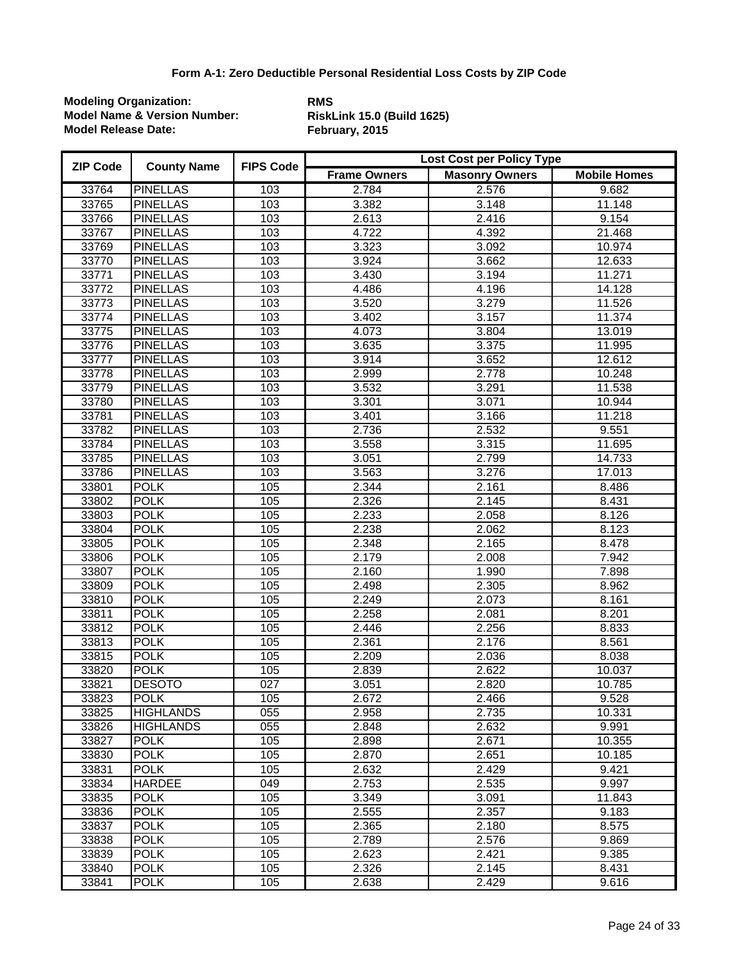| <b>ZIP Code</b> | <b>County Name</b> | <b>FIPS Code</b> | Lost Cost per Policy Type |                       |                     |  |
|-----------------|--------------------|------------------|---------------------------|-----------------------|---------------------|--|
|                 |                    |                  | <b>Frame Owners</b>       | <b>Masonry Owners</b> | <b>Mobile Homes</b> |  |
| 33764           | <b>PINELLAS</b>    | 103              | 2.784                     | 2.576                 | 9.682               |  |
| 33765           | <b>PINELLAS</b>    | 103              | 3.382                     | 3.148                 | 11.148              |  |
| 33766           | <b>PINELLAS</b>    | 103              | 2.613                     | 2.416                 | 9.154               |  |
| 33767           | <b>PINELLAS</b>    | 103              | 4.722                     | 4.392                 | 21.468              |  |
| 33769           | <b>PINELLAS</b>    | 103              | 3.323                     | 3.092                 | 10.974              |  |
| 33770           | <b>PINELLAS</b>    | 103              | 3.924                     | 3.662                 | 12.633              |  |
| 33771           | <b>PINELLAS</b>    | 103              | 3.430                     | 3.194                 | 11.271              |  |
| 33772           | <b>PINELLAS</b>    | 103              | 4.486                     | 4.196                 | 14.128              |  |
| 33773           | <b>PINELLAS</b>    | 103              | 3.520                     | 3.279                 | 11.526              |  |
| 33774           | <b>PINELLAS</b>    | 103              | 3.402                     | 3.157                 | 11.374              |  |
| 33775           | <b>PINELLAS</b>    | 103              | 4.073                     | 3.804                 | 13.019              |  |
| 33776           | <b>PINELLAS</b>    | 103              | 3.635                     | 3.375                 | 11.995              |  |
| 33777           | <b>PINELLAS</b>    | 103              | 3.914                     | 3.652                 | 12.612              |  |
| 33778           | <b>PINELLAS</b>    | 103              | 2.999                     | 2.778                 | 10.248              |  |
| 33779           | <b>PINELLAS</b>    | 103              | 3.532                     | 3.291                 | 11.538              |  |
| 33780           | <b>PINELLAS</b>    | 103              | 3.301                     | 3.071                 | 10.944              |  |
| 33781           | <b>PINELLAS</b>    | 103              | 3.401                     | 3.166                 | 11.218              |  |
| 33782           | <b>PINELLAS</b>    | 103              | 2.736                     | 2.532                 | 9.551               |  |
| 33784           | <b>PINELLAS</b>    | 103              | 3.558                     | 3.315                 | 11.695              |  |
| 33785           | <b>PINELLAS</b>    | 103              | 3.051                     | 2.799                 | 14.733              |  |
| 33786           | <b>PINELLAS</b>    | 103              | 3.563                     | 3.276                 | 17.013              |  |
| 33801           | <b>POLK</b>        | 105              | 2.344                     | 2.161                 | 8.486               |  |
| 33802           | <b>POLK</b>        | 105              | 2.326                     | 2.145                 | 8.431               |  |
| 33803           | <b>POLK</b>        | 105              | 2.233                     | 2.058                 | 8.126               |  |
| 33804           | <b>POLK</b>        | 105              | 2.238                     | 2.062                 | 8.123               |  |
| 33805           | <b>POLK</b>        | 105              | 2.348                     | 2.165                 | 8.478               |  |
| 33806           | <b>POLK</b>        | 105              | 2.179                     | 2.008                 | 7.942               |  |
| 33807           | <b>POLK</b>        | 105              | 2.160                     | 1.990                 | 7.898               |  |
| 33809           | <b>POLK</b>        | 105              | 2.498                     | 2.305                 | 8.962               |  |
| 33810           | <b>POLK</b>        | 105              | 2.249                     | 2.073                 | 8.161               |  |
| 33811           | <b>POLK</b>        | 105              | 2.258                     | 2.081                 | 8.201               |  |
| 33812           | <b>POLK</b>        | 105              | 2.446                     | 2.256                 | 8.833               |  |
| 33813           | <b>POLK</b>        | 105              | 2.361                     | 2.176                 | 8.561               |  |
| 33815           | <b>POLK</b>        | 105              | 2.209                     | 2.036                 | 8.038               |  |
| 33820           | <b>POLK</b>        | 105              | 2.839                     | 2.622                 | 10.037              |  |
| 33821           | <b>DESOTO</b>      | $\overline{027}$ | 3.051                     | 2.820                 | 10.785              |  |
| 33823           | <b>POLK</b>        | 105              | 2.672                     | 2.466                 | 9.528               |  |
| 33825           | <b>HIGHLANDS</b>   | 055              | 2.958                     | 2.735                 | 10.331              |  |
| 33826           | <b>HIGHLANDS</b>   | 055              | 2.848                     | 2.632                 | 9.991               |  |
| 33827           | <b>POLK</b>        | 105              | 2.898                     | 2.671                 | 10.355              |  |
| 33830           | <b>POLK</b>        | 105              | 2.870                     | 2.651                 | 10.185              |  |
| 33831           | <b>POLK</b>        | 105              | 2.632                     | 2.429                 | 9.421               |  |
| 33834           | <b>HARDEE</b>      | 049              | 2.753                     | 2.535                 | 9.997               |  |
| 33835           | <b>POLK</b>        | 105              | 3.349                     | 3.091                 | 11.843              |  |
| 33836           | <b>POLK</b>        | 105              | 2.555                     | 2.357                 | 9.183               |  |
| 33837           | <b>POLK</b>        | 105              | 2.365                     | 2.180                 | 8.575               |  |
| 33838           | <b>POLK</b>        | 105              | 2.789                     | 2.576                 | 9.869               |  |
| 33839           | <b>POLK</b>        | 105              | 2.623                     | 2.421                 | 9.385               |  |
| 33840           | <b>POLK</b>        | 105              | 2.326                     | 2.145                 | 8.431               |  |
| 33841           | <b>POLK</b>        | 105              | 2.638                     | 2.429                 | 9.616               |  |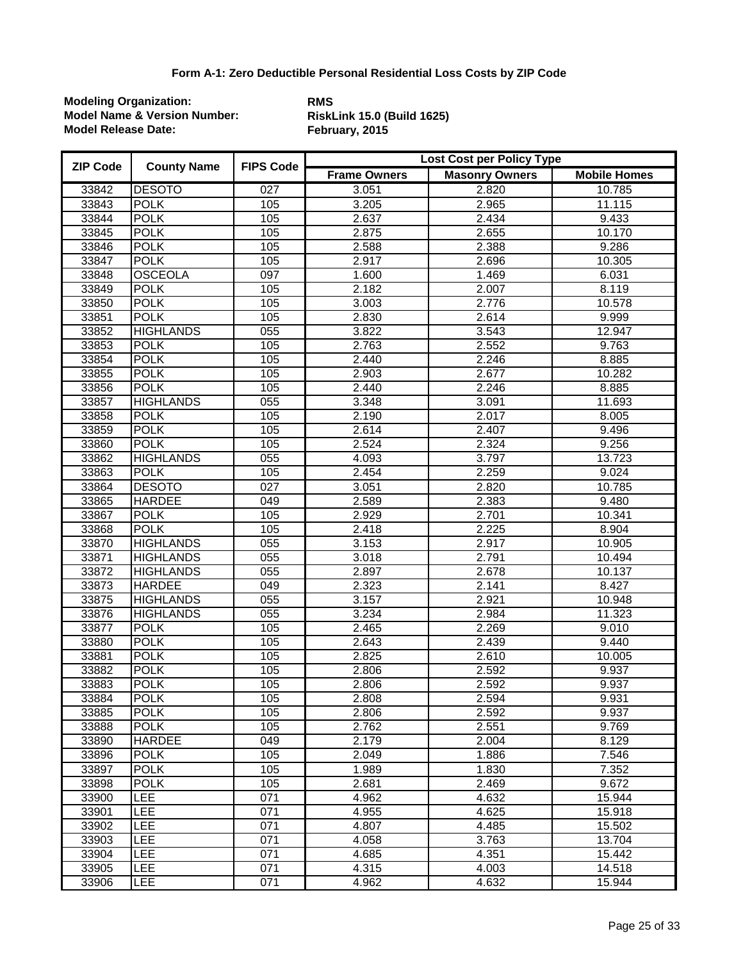| <b>ZIP Code</b> | <b>County Name</b> | <b>FIPS Code</b> | <b>Lost Cost per Policy Type</b> |                       |                     |  |
|-----------------|--------------------|------------------|----------------------------------|-----------------------|---------------------|--|
|                 |                    |                  | <b>Frame Owners</b>              | <b>Masonry Owners</b> | <b>Mobile Homes</b> |  |
| 33842           | <b>DESOTO</b>      | 027              | 3.051                            | 2.820                 | 10.785              |  |
| 33843           | <b>POLK</b>        | 105              | 3.205                            | 2.965                 | 11.115              |  |
| 33844           | <b>POLK</b>        | 105              | 2.637                            | 2.434                 | 9.433               |  |
| 33845           | <b>POLK</b>        | 105              | 2.875                            | 2.655                 | 10.170              |  |
| 33846           | <b>POLK</b>        | 105              | 2.588                            | 2.388                 | 9.286               |  |
| 33847           | <b>POLK</b>        | 105              | 2.917                            | 2.696                 | 10.305              |  |
| 33848           | <b>OSCEOLA</b>     | 097              | 1.600                            | 1.469                 | 6.031               |  |
| 33849           | <b>POLK</b>        | 105              | 2.182                            | 2.007                 | 8.119               |  |
| 33850           | <b>POLK</b>        | 105              | 3.003                            | 2.776                 | 10.578              |  |
| 33851           | <b>POLK</b>        | 105              | 2.830                            | 2.614                 | 9.999               |  |
| 33852           | <b>HIGHLANDS</b>   | 055              | 3.822                            | 3.543                 | 12.947              |  |
| 33853           | <b>POLK</b>        | 105              | 2.763                            | 2.552                 | 9.763               |  |
| 33854           | <b>POLK</b>        | 105              | 2.440                            | 2.246                 | 8.885               |  |
| 33855           | <b>POLK</b>        | 105              | 2.903                            | 2.677                 | 10.282              |  |
| 33856           | <b>POLK</b>        | 105              | 2.440                            | 2.246                 | 8.885               |  |
| 33857           | <b>HIGHLANDS</b>   | $\overline{055}$ | 3.348                            | 3.091                 | 11.693              |  |
| 33858           | <b>POLK</b>        | 105              | 2.190                            | 2.017                 | 8.005               |  |
| 33859           | <b>POLK</b>        | 105              | 2.614                            | 2.407                 | 9.496               |  |
| 33860           | <b>POLK</b>        | 105              | 2.524                            | 2.324                 | 9.256               |  |
| 33862           | <b>HIGHLANDS</b>   | $\overline{055}$ | 4.093                            | 3.797                 | 13.723              |  |
| 33863           | <b>POLK</b>        | 105              | 2.454                            | 2.259                 | 9.024               |  |
| 33864           | <b>DESOTO</b>      | 027              | 3.051                            | 2.820                 | 10.785              |  |
| 33865           | <b>HARDEE</b>      | 049              | 2.589                            | 2.383                 | 9.480               |  |
| 33867           | <b>POLK</b>        | 105              | 2.929                            | 2.701                 | 10.341              |  |
| 33868           | <b>POLK</b>        | 105              | 2.418                            | 2.225                 | 8.904               |  |
| 33870           | <b>HIGHLANDS</b>   | $\overline{055}$ | 3.153                            | 2.917                 | 10.905              |  |
| 33871           | <b>HIGHLANDS</b>   | 055              | 3.018                            | 2.791                 | 10.494              |  |
| 33872           | <b>HIGHLANDS</b>   | 055              | 2.897                            | 2.678                 | 10.137              |  |
| 33873           | <b>HARDEE</b>      | $\overline{049}$ | 2.323                            | 2.141                 | 8.427               |  |
| 33875           | <b>HIGHLANDS</b>   | $\overline{055}$ | 3.157                            | 2.921                 | 10.948              |  |
| 33876           | <b>HIGHLANDS</b>   | 055              | 3.234                            | 2.984                 | 11.323              |  |
| 33877           | <b>POLK</b>        | 105              | 2.465                            | 2.269                 | 9.010               |  |
| 33880           | <b>POLK</b>        | 105              | 2.643                            | 2.439                 | 9.440               |  |
| 33881           | <b>POLK</b>        | 105              | 2.825                            | 2.610                 | 10.005              |  |
| 33882           | <b>POLK</b>        | 105              | 2.806                            | 2.592                 | 9.937               |  |
| 33883           | <b>POLK</b>        | 105              | 2.806                            | 2.592                 | 9.937               |  |
| 33884           | <b>POLK</b>        | 105              | 2.808                            | 2.594                 | 9.931               |  |
| 33885           | <b>POLK</b>        | 105              | 2.806                            | 2.592                 | 9.937               |  |
| 33888           | <b>POLK</b>        | 105              | 2.762                            | 2.551                 | 9.769               |  |
| 33890           | <b>HARDEE</b>      | 049              | 2.179                            | 2.004                 | 8.129               |  |
| 33896           | <b>POLK</b>        | 105              | 2.049                            | 1.886                 | 7.546               |  |
| 33897           | <b>POLK</b>        | 105              | 1.989                            | 1.830                 | 7.352               |  |
| 33898           | <b>POLK</b>        | 105              | 2.681                            | 2.469                 | 9.672               |  |
| 33900           | LEE                | 071              | 4.962                            | 4.632                 | 15.944              |  |
| 33901           | LEE                | 071              | 4.955                            | 4.625                 | 15.918              |  |
| 33902           | LEE                | 071              | 4.807                            | 4.485                 | 15.502              |  |
| 33903           | <b>LEE</b>         | 071              | 4.058                            | 3.763                 | 13.704              |  |
| 33904           | <b>LEE</b>         | 071              | 4.685                            | 4.351                 | 15.442              |  |
| 33905           | LEE                | 071              | 4.315                            | 4.003                 | 14.518              |  |
| 33906           | <b>LEE</b>         | 071              | 4.962                            | 4.632                 | 15.944              |  |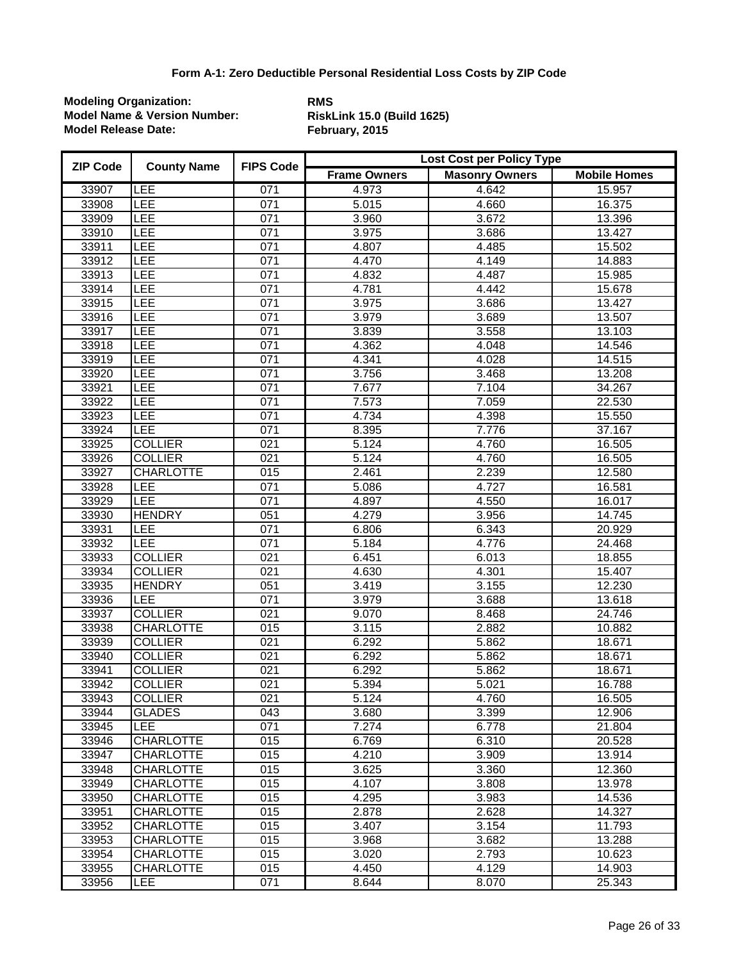| <b>ZIP Code</b> | <b>County Name</b> | <b>FIPS Code</b> | <b>Lost Cost per Policy Type</b> |                       |                     |  |
|-----------------|--------------------|------------------|----------------------------------|-----------------------|---------------------|--|
|                 |                    |                  | <b>Frame Owners</b>              | <b>Masonry Owners</b> | <b>Mobile Homes</b> |  |
| 33907           | LEE                | 071              | 4.973                            | 4.642                 | 15.957              |  |
| 33908           | LEE                | 071              | 5.015                            | 4.660                 | 16.375              |  |
| 33909           | LEE                | 071              | 3.960                            | 3.672                 | 13.396              |  |
| 33910           | LEE                | 071              | 3.975                            | 3.686                 | 13.427              |  |
| 33911           | LEE                | 071              | 4.807                            | 4.485                 | 15.502              |  |
| 33912           | LEE                | 071              | 4.470                            | 4.149                 | 14.883              |  |
| 33913           | LEE                | 071              | 4.832                            | 4.487                 | 15.985              |  |
| 33914           | LEE                | 071              | 4.781                            | 4.442                 | 15.678              |  |
| 33915           | LEE                | 071              | 3.975                            | 3.686                 | 13.427              |  |
| 33916           | LEE                | 071              | 3.979                            | 3.689                 | 13.507              |  |
| 33917           | <b>LEE</b>         | 071              | 3.839                            | 3.558                 | 13.103              |  |
| 33918           | <b>LEE</b>         | 071              | 4.362                            | 4.048                 | 14.546              |  |
| 33919           | <b>LEE</b>         | 071              | 4.341                            | 4.028                 | 14.515              |  |
| 33920           | <b>LEE</b>         | 071              | 3.756                            | 3.468                 | 13.208              |  |
| 33921           | LEE                | 071              | 7.677                            | 7.104                 | 34.267              |  |
| 33922           | LEE                | 071              | 7.573                            | 7.059                 | 22.530              |  |
| 33923           | LEE                | 071              | 4.734                            | 4.398                 | 15.550              |  |
| 33924           | LEE                | 071              | 8.395                            | 7.776                 | 37.167              |  |
| 33925           | <b>COLLIER</b>     | 021              | 5.124                            | 4.760                 | 16.505              |  |
| 33926           | <b>COLLIER</b>     | 021              | 5.124                            | 4.760                 | 16.505              |  |
| 33927           | <b>CHARLOTTE</b>   | 015              | 2.461                            | 2.239                 | 12.580              |  |
| 33928           | LEE                | 071              | 5.086                            | 4.727                 | 16.581              |  |
| 33929           | <b>LEE</b>         | 071              | 4.897                            | 4.550                 | 16.017              |  |
| 33930           | <b>HENDRY</b>      | 051              | 4.279                            | 3.956                 | 14.745              |  |
| 33931           | LEE                | 071              | 6.806                            | 6.343                 | 20.929              |  |
| 33932           | <b>LEE</b>         | 071              | 5.184                            | 4.776                 | 24.468              |  |
| 33933           | <b>COLLIER</b>     | 021              | 6.451                            | 6.013                 | 18.855              |  |
| 33934           | <b>COLLIER</b>     | 021              | 4.630                            | 4.301                 | 15.407              |  |
| 33935           | <b>HENDRY</b>      | 051              | 3.419                            | 3.155                 | 12.230              |  |
| 33936           | <b>LEE</b>         | 071              | 3.979                            | 3.688                 | 13.618              |  |
| 33937           | <b>COLLIER</b>     | 021              | 9.070                            | 8.468                 | 24.746              |  |
| 33938           | <b>CHARLOTTE</b>   | 015              | 3.115                            | 2.882                 | 10.882              |  |
| 33939           | <b>COLLIER</b>     | 021              | 6.292                            | 5.862                 | 18.671              |  |
| 33940           | <b>COLLIER</b>     | 021              | 6.292                            | 5.862                 | 18.671              |  |
| 33941           | <b>COLLIER</b>     | 021              | 6.292                            | 5.862                 | 18.671              |  |
| 33942           | <b>COLLIER</b>     | $\overline{021}$ | $\overline{5.394}$               | 5.021                 | 16.788              |  |
| 33943           | <b>COLLIER</b>     | 021              | 5.124                            | 4.760                 | 16.505              |  |
| 33944           | <b>GLADES</b>      | 043              | 3.680                            | 3.399                 | 12.906              |  |
| 33945           | <b>LEE</b>         | 071              | 7.274                            | 6.778                 | 21.804              |  |
| 33946           | <b>CHARLOTTE</b>   | 015              | 6.769                            | 6.310                 | 20.528              |  |
| 33947           | <b>CHARLOTTE</b>   | 015              | 4.210                            | 3.909                 | 13.914              |  |
| 33948           | <b>CHARLOTTE</b>   | 015              | 3.625                            | 3.360                 | 12.360              |  |
| 33949           | <b>CHARLOTTE</b>   | 015              | 4.107                            | 3.808                 | 13.978              |  |
| 33950           | <b>CHARLOTTE</b>   | 015              | 4.295                            | 3.983                 | 14.536              |  |
| 33951           | <b>CHARLOTTE</b>   | 015              | 2.878                            | 2.628                 | 14.327              |  |
| 33952           | <b>CHARLOTTE</b>   | 015              | 3.407                            | 3.154                 | 11.793              |  |
| 33953           | <b>CHARLOTTE</b>   | 015              | 3.968                            | 3.682                 | 13.288              |  |
| 33954           | <b>CHARLOTTE</b>   | 015              | 3.020                            | 2.793                 | 10.623              |  |
| 33955           | <b>CHARLOTTE</b>   | 015              | 4.450                            | 4.129                 | 14.903              |  |
| 33956           | LEE                | 071              | 8.644                            | 8.070                 | 25.343              |  |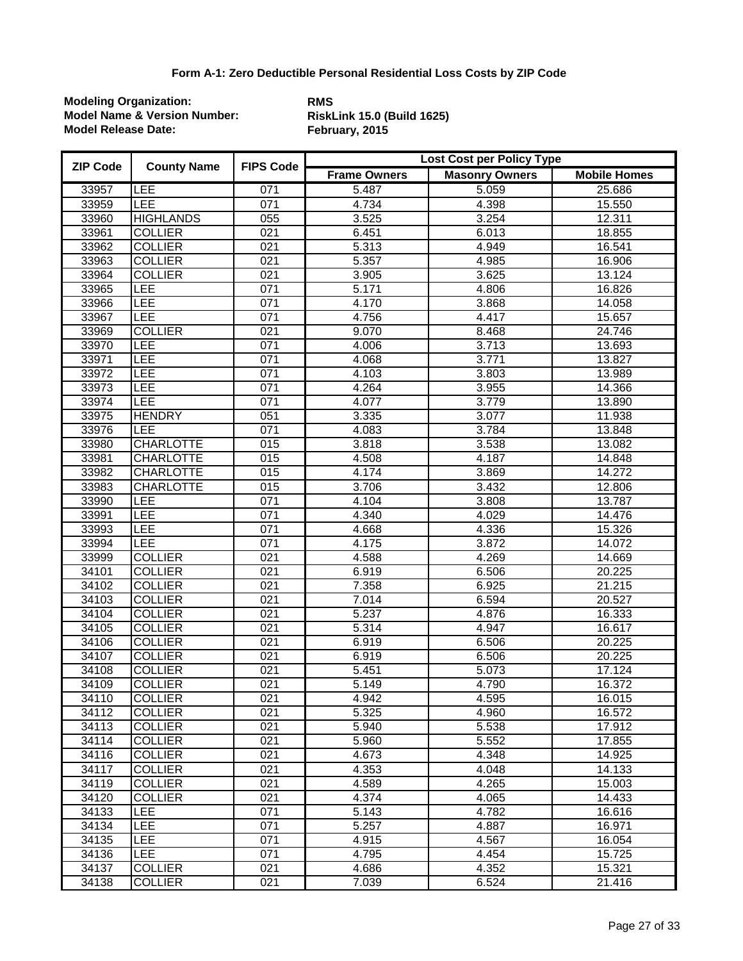| <b>ZIP Code</b> | <b>County Name</b> | <b>FIPS Code</b> | Lost Cost per Policy Type |                       |                     |  |
|-----------------|--------------------|------------------|---------------------------|-----------------------|---------------------|--|
|                 |                    |                  | <b>Frame Owners</b>       | <b>Masonry Owners</b> | <b>Mobile Homes</b> |  |
| 33957           | <b>LEE</b>         | 071              | 5.487                     | 5.059                 | 25.686              |  |
| 33959           | <b>LEE</b>         | 071              | 4.734                     | 4.398                 | 15.550              |  |
| 33960           | <b>HIGHLANDS</b>   | 055              | 3.525                     | 3.254                 | 12.311              |  |
| 33961           | <b>COLLIER</b>     | $\overline{021}$ | 6.451                     | 6.013                 | 18.855              |  |
| 33962           | <b>COLLIER</b>     | 021              | 5.313                     | 4.949                 | 16.541              |  |
| 33963           | <b>COLLIER</b>     | 021              | 5.357                     | 4.985                 | 16.906              |  |
| 33964           | <b>COLLIER</b>     | 021              | 3.905                     | 3.625                 | 13.124              |  |
| 33965           | LEE                | 071              | 5.171                     | 4.806                 | 16.826              |  |
| 33966           | LEE                | 071              | 4.170                     | 3.868                 | 14.058              |  |
| 33967           | LEE                | 071              | 4.756                     | 4.417                 | 15.657              |  |
| 33969           | <b>COLLIER</b>     | 021              | 9.070                     | 8.468                 | 24.746              |  |
| 33970           | <b>LEE</b>         | 071              | 4.006                     | 3.713                 | 13.693              |  |
| 33971           | LEE                | 071              | 4.068                     | 3.771                 | 13.827              |  |
| 33972           | LEE                | 071              | 4.103                     | 3.803                 | 13.989              |  |
| 33973           | LEE                | 071              | 4.264                     | 3.955                 | 14.366              |  |
| 33974           | LEE                | 071              | 4.077                     | 3.779                 | 13.890              |  |
| 33975           | <b>HENDRY</b>      | 051              | 3.335                     | 3.077                 | 11.938              |  |
| 33976           | LEE                | 071              | 4.083                     | 3.784                 | 13.848              |  |
| 33980           | <b>CHARLOTTE</b>   | 015              | 3.818                     | 3.538                 | 13.082              |  |
| 33981           | <b>CHARLOTTE</b>   | $\overline{015}$ | 4.508                     | 4.187                 | 14.848              |  |
| 33982           | <b>CHARLOTTE</b>   | $\overline{015}$ | 4.174                     | 3.869                 | 14.272              |  |
| 33983           | <b>CHARLOTTE</b>   | 015              | 3.706                     | 3.432                 | 12.806              |  |
| 33990           | <b>LEE</b>         | 071              | 4.104                     | 3.808                 | 13.787              |  |
| 33991           | LEE                | $\overline{071}$ | 4.340                     | 4.029                 | 14.476              |  |
| 33993           | LEE                | 071              | 4.668                     | 4.336                 | 15.326              |  |
| 33994           | LEE                | 071              | 4.175                     | 3.872                 | 14.072              |  |
| 33999           | <b>COLLIER</b>     | 021              | 4.588                     | 4.269                 | 14.669              |  |
| 34101           | <b>COLLIER</b>     | 021              | 6.919                     | 6.506                 | 20.225              |  |
| 34102           | <b>COLLIER</b>     | 021              | 7.358                     | 6.925                 | 21.215              |  |
| 34103           | <b>COLLIER</b>     | $\overline{021}$ | 7.014                     | 6.594                 | 20.527              |  |
| 34104           | <b>COLLIER</b>     | 021              | 5.237                     | 4.876                 | 16.333              |  |
| 34105           | <b>COLLIER</b>     | $\overline{021}$ | 5.314                     | 4.947                 | 16.617              |  |
| 34106           | <b>COLLIER</b>     | $\overline{021}$ | 6.919                     | 6.506                 | 20.225              |  |
| 34107           | <b>COLLIER</b>     | 021              | 6.919                     | 6.506                 | 20.225              |  |
| 34108           | <b>COLLIER</b>     | 021              | 5.451                     | 5.073                 | 17.124              |  |
| 34109           | <b>COLLIER</b>     | 021              | 5.149                     | 4.790                 | 16.372              |  |
| 34110           | <b>COLLIER</b>     | 021              | 4.942                     | 4.595                 | 16.015              |  |
| 34112           | <b>COLLIER</b>     | 021              | 5.325                     | 4.960                 | 16.572              |  |
| 34113           | <b>COLLIER</b>     | 021              | 5.940                     | 5.538                 | 17.912              |  |
| 34114           | <b>COLLIER</b>     | 021              | 5.960                     | 5.552                 | 17.855              |  |
| 34116           | <b>COLLIER</b>     | 021              | 4.673                     | 4.348                 | 14.925              |  |
| 34117           | <b>COLLIER</b>     | $\overline{021}$ | 4.353                     | 4.048                 | 14.133              |  |
| 34119           | <b>COLLIER</b>     | 021              | 4.589                     | 4.265                 | 15.003              |  |
| 34120           | <b>COLLIER</b>     | 021              | 4.374                     | 4.065                 | 14.433              |  |
| 34133           | <b>LEE</b>         | 071              | 5.143                     | 4.782                 | 16.616              |  |
| 34134           | LEE                | 071              | 5.257                     | 4.887                 | 16.971              |  |
| 34135           | LEE                | 071              | 4.915                     | 4.567                 | 16.054              |  |
| 34136           | LEE                | 071              | 4.795                     | 4.454                 | 15.725              |  |
| 34137           | <b>COLLIER</b>     | 021              | 4.686                     | 4.352                 | 15.321              |  |
| 34138           | <b>COLLIER</b>     | 021              | 7.039                     | 6.524                 | 21.416              |  |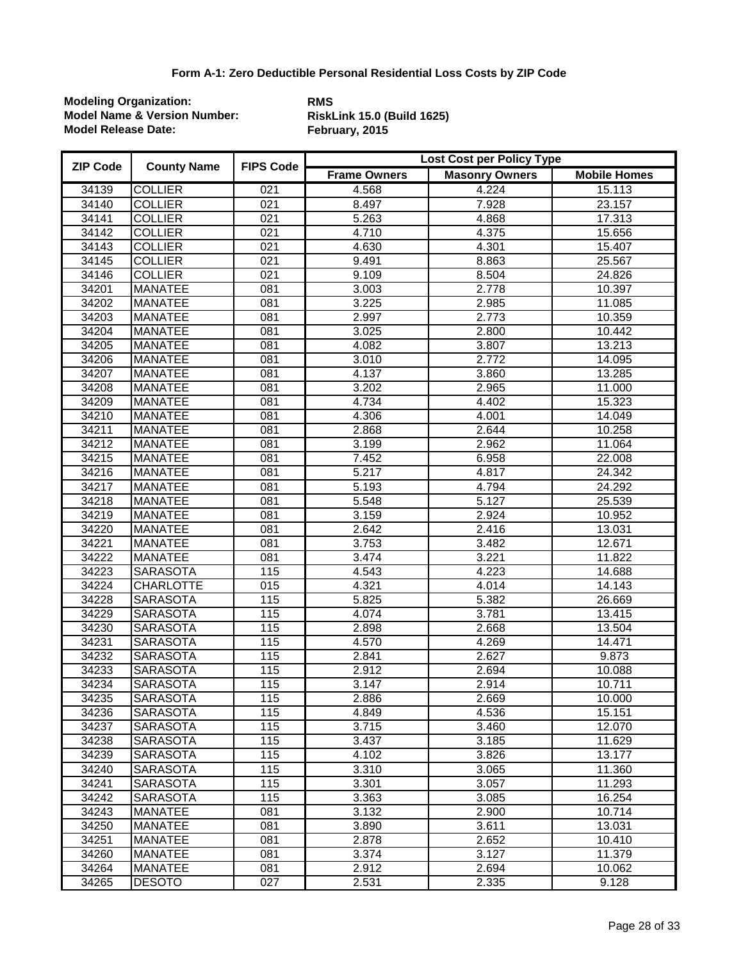| <b>ZIP Code</b> | <b>County Name</b> | <b>FIPS Code</b> | Lost Cost per Policy Type |                       |                     |  |
|-----------------|--------------------|------------------|---------------------------|-----------------------|---------------------|--|
|                 |                    |                  | <b>Frame Owners</b>       | <b>Masonry Owners</b> | <b>Mobile Homes</b> |  |
| 34139           | <b>COLLIER</b>     | 021              | 4.568                     | 4.224                 | 15.113              |  |
| 34140           | <b>COLLIER</b>     | 021              | 8.497                     | 7.928                 | 23.157              |  |
| 34141           | <b>COLLIER</b>     | $\overline{021}$ | 5.263                     | 4.868                 | 17.313              |  |
| 34142           | <b>COLLIER</b>     | $\overline{021}$ | 4.710                     | 4.375                 | 15.656              |  |
| 34143           | <b>COLLIER</b>     | 021              | 4.630                     | 4.301                 | 15.407              |  |
| 34145           | <b>COLLIER</b>     | $\overline{021}$ | 9.491                     | 8.863                 | 25.567              |  |
| 34146           | <b>COLLIER</b>     | $\overline{021}$ | 9.109                     | 8.504                 | 24.826              |  |
| 34201           | <b>MANATEE</b>     | $\overline{081}$ | 3.003                     | 2.778                 | 10.397              |  |
| 34202           | <b>MANATEE</b>     | $\overline{081}$ | 3.225                     | 2.985                 | 11.085              |  |
| 34203           | <b>MANATEE</b>     | 081              | 2.997                     | 2.773                 | 10.359              |  |
| 34204           | <b>MANATEE</b>     | 081              | 3.025                     | 2.800                 | 10.442              |  |
| 34205           | <b>MANATEE</b>     | 081              | 4.082                     | 3.807                 | 13.213              |  |
| 34206           | <b>MANATEE</b>     | 081              | 3.010                     | 2.772                 | 14.095              |  |
| 34207           | <b>MANATEE</b>     | 081              | 4.137                     | 3.860                 | 13.285              |  |
| 34208           | <b>MANATEE</b>     | $\overline{081}$ | 3.202                     | 2.965                 | 11.000              |  |
| 34209           | <b>MANATEE</b>     | $\overline{081}$ | 4.734                     | 4.402                 | 15.323              |  |
| 34210           | <b>MANATEE</b>     | $\overline{081}$ | 4.306                     | 4.001                 | 14.049              |  |
| 34211           | <b>MANATEE</b>     | 081              | 2.868                     | 2.644                 | 10.258              |  |
| 34212           | <b>MANATEE</b>     | 081              | 3.199                     | 2.962                 | 11.064              |  |
| 34215           | <b>MANATEE</b>     | $\overline{081}$ | 7.452                     | 6.958                 | 22.008              |  |
| 34216           | <b>MANATEE</b>     | 081              | 5.217                     | 4.817                 | 24.342              |  |
| 34217           | <b>MANATEE</b>     | 081              | 5.193                     | 4.794                 | 24.292              |  |
| 34218           | <b>MANATEE</b>     | 081              | 5.548                     | 5.127                 | 25.539              |  |
| 34219           | <b>MANATEE</b>     | 081              | 3.159                     | 2.924                 | 10.952              |  |
| 34220           | <b>MANATEE</b>     | $\overline{081}$ | 2.642                     | 2.416                 | 13.031              |  |
| 34221           | <b>MANATEE</b>     | 081              | 3.753                     | 3.482                 | 12.671              |  |
| 34222           | <b>MANATEE</b>     | 081              | 3.474                     | 3.221                 | 11.822              |  |
| 34223           | <b>SARASOTA</b>    | 115              | 4.543                     | 4.223                 | 14.688              |  |
| 34224           | <b>CHARLOTTE</b>   | 015              | 4.321                     | 4.014                 | 14.143              |  |
| 34228           | <b>SARASOTA</b>    | 115              | 5.825                     | 5.382                 | 26.669              |  |
| 34229           | <b>SARASOTA</b>    | 115              | 4.074                     | 3.781                 | 13.415              |  |
| 34230           | <b>SARASOTA</b>    | 115              | 2.898                     | 2.668                 | 13.504              |  |
| 34231           | <b>SARASOTA</b>    | 115              | 4.570                     | 4.269                 | 14.471              |  |
| 34232           | <b>SARASOTA</b>    | 115              | 2.841                     | 2.627                 | 9.873               |  |
| 34233           | <b>SARASOTA</b>    | 115              | 2.912                     | 2.694                 | 10.088              |  |
| 34234           | <b>SARASOTA</b>    | 115              | 3.147                     | 2.914                 | 10.711              |  |
| 34235           | <b>SARASOTA</b>    | $115$            | 2.886                     | 2.669                 | 10.000              |  |
| 34236           | <b>SARASOTA</b>    | 115              | 4.849                     | 4.536                 | 15.151              |  |
| 34237           | <b>SARASOTA</b>    | 115              | 3.715                     | 3.460                 | 12.070              |  |
| 34238           | <b>SARASOTA</b>    | 115              | 3.437                     | 3.185                 | 11.629              |  |
| 34239           | <b>SARASOTA</b>    | 115              | 4.102                     | 3.826                 | 13.177              |  |
| 34240           | <b>SARASOTA</b>    | 115              | 3.310                     | 3.065                 | 11.360              |  |
| 34241           | <b>SARASOTA</b>    | 115              | 3.301                     | 3.057                 | 11.293              |  |
| 34242           | <b>SARASOTA</b>    | 115              | 3.363                     | 3.085                 | 16.254              |  |
| 34243           | <b>MANATEE</b>     | 081              | 3.132                     | 2.900                 | 10.714              |  |
| 34250           | <b>MANATEE</b>     | 081              | 3.890                     | 3.611                 | 13.031              |  |
| 34251           | <b>MANATEE</b>     | 081              | 2.878                     | 2.652                 | 10.410              |  |
| 34260           | <b>MANATEE</b>     | 081              | 3.374                     | 3.127                 | 11.379              |  |
| 34264           | <b>MANATEE</b>     | 081              | 2.912                     | 2.694                 | 10.062              |  |
| 34265           | <b>DESOTO</b>      | 027              | 2.531                     | 2.335                 | 9.128               |  |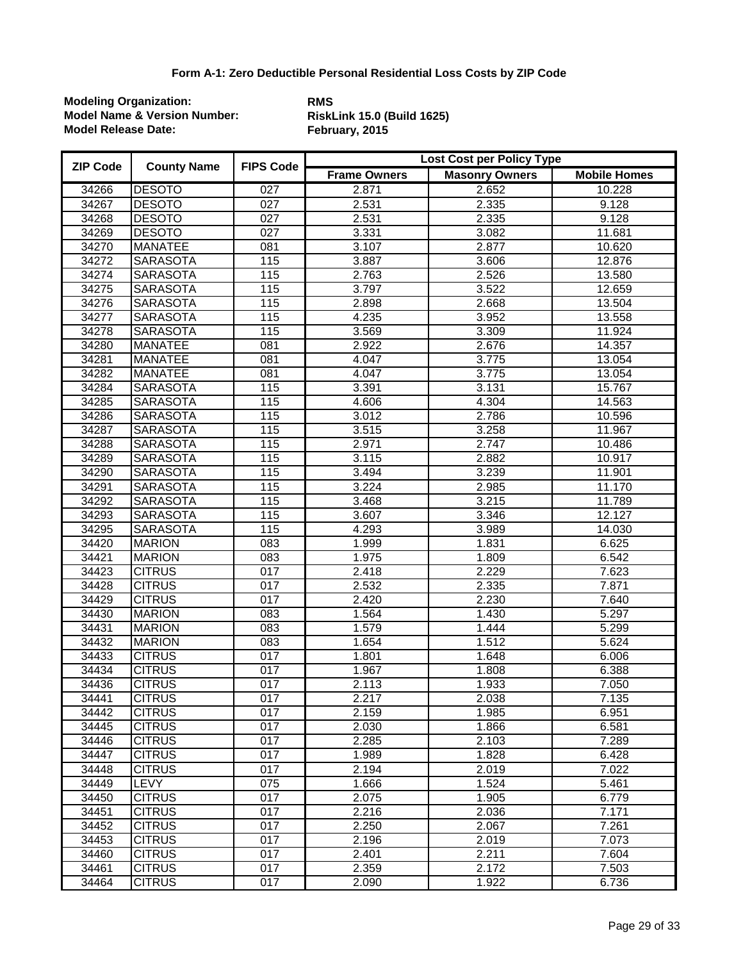| <b>ZIP Code</b> | <b>County Name</b> | <b>FIPS Code</b> | Lost Cost per Policy Type |                       |                     |  |
|-----------------|--------------------|------------------|---------------------------|-----------------------|---------------------|--|
|                 |                    |                  | <b>Frame Owners</b>       | <b>Masonry Owners</b> | <b>Mobile Homes</b> |  |
| 34266           | <b>DESOTO</b>      | 027              | 2.871                     | 2.652                 | 10.228              |  |
| 34267           | <b>DESOTO</b>      | 027              | 2.531                     | 2.335                 | 9.128               |  |
| 34268           | <b>DESOTO</b>      | $\overline{027}$ | 2.531                     | 2.335                 | 9.128               |  |
| 34269           | <b>DESOTO</b>      | $\overline{027}$ | 3.331                     | 3.082                 | 11.681              |  |
| 34270           | <b>MANATEE</b>     | $\overline{081}$ | 3.107                     | 2.877                 | 10.620              |  |
| 34272           | <b>SARASOTA</b>    | 115              | 3.887                     | 3.606                 | 12.876              |  |
| 34274           | <b>SARASOTA</b>    | 115              | 2.763                     | 2.526                 | 13.580              |  |
| 34275           | <b>SARASOTA</b>    | 115              | 3.797                     | 3.522                 | 12.659              |  |
| 34276           | <b>SARASOTA</b>    | 115              | 2.898                     | 2.668                 | 13.504              |  |
| 34277           | <b>SARASOTA</b>    | 115              | 4.235                     | 3.952                 | 13.558              |  |
| 34278           | <b>SARASOTA</b>    | 115              | 3.569                     | 3.309                 | 11.924              |  |
| 34280           | <b>MANATEE</b>     | $\overline{081}$ | 2.922                     | 2.676                 | 14.357              |  |
| 34281           | <b>MANATEE</b>     | 081              | 4.047                     | 3.775                 | 13.054              |  |
| 34282           | <b>MANATEE</b>     | 081              | 4.047                     | 3.775                 | 13.054              |  |
| 34284           | <b>SARASOTA</b>    | 115              | 3.391                     | 3.131                 | 15.767              |  |
| 34285           | <b>SARASOTA</b>    | 115              | 4.606                     | 4.304                 | 14.563              |  |
| 34286           | <b>SARASOTA</b>    | 115              | 3.012                     | 2.786                 | 10.596              |  |
| 34287           | <b>SARASOTA</b>    | 115              | 3.515                     | 3.258                 | 11.967              |  |
| 34288           | <b>SARASOTA</b>    | 115              | 2.971                     | 2.747                 | 10.486              |  |
| 34289           | <b>SARASOTA</b>    | 115              | 3.115                     | 2.882                 | 10.917              |  |
| 34290           | <b>SARASOTA</b>    | 115              | 3.494                     | 3.239                 | 11.901              |  |
| 34291           | <b>SARASOTA</b>    | 115              | 3.224                     | 2.985                 | 11.170              |  |
| 34292           | <b>SARASOTA</b>    | 115              | 3.468                     | 3.215                 | 11.789              |  |
| 34293           | <b>SARASOTA</b>    | 115              | 3.607                     | 3.346                 | 12.127              |  |
| 34295           | <b>SARASOTA</b>    | 115              | 4.293                     | 3.989                 | 14.030              |  |
| 34420           | <b>MARION</b>      | $\overline{083}$ | 1.999                     | 1.831                 | 6.625               |  |
| 34421           | <b>MARION</b>      | 083              | 1.975                     | 1.809                 | 6.542               |  |
| 34423           | <b>CITRUS</b>      | 017              | 2.418                     | 2.229                 | 7.623               |  |
| 34428           | <b>CITRUS</b>      | 017              | 2.532                     | 2.335                 | 7.871               |  |
| 34429           | <b>CITRUS</b>      | 017              | 2.420                     | 2.230                 | 7.640               |  |
| 34430           | <b>MARION</b>      | 083              | 1.564                     | 1.430                 | 5.297               |  |
| 34431           | <b>MARION</b>      | $\overline{083}$ | 1.579                     | 1.444                 | 5.299               |  |
| 34432           | <b>MARION</b>      | $\overline{083}$ | 1.654                     | 1.512                 | 5.624               |  |
| 34433           | <b>CITRUS</b>      | $\overline{017}$ | 1.801                     | 1.648                 | 6.006               |  |
| 34434           | <b>CITRUS</b>      | $\overline{017}$ | 1.967                     | 1.808                 | 6.388               |  |
| 34436           | <b>CITRUS</b>      | 017              | 2.113                     | 1.933                 | $\overline{7}.050$  |  |
| 34441           | <b>CITRUS</b>      | 017              | 2.217                     | 2.038                 | 7.135               |  |
| 34442           | <b>CITRUS</b>      | 017              | 2.159                     | 1.985                 | 6.951               |  |
| 34445           | <b>CITRUS</b>      | 017              | 2.030                     | 1.866                 | 6.581               |  |
| 34446           | <b>CITRUS</b>      | $\overline{017}$ | 2.285                     | 2.103                 | 7.289               |  |
| 34447           | <b>CITRUS</b>      | 017              | 1.989                     | 1.828                 | 6.428               |  |
| 34448           | <b>CITRUS</b>      | 017              | 2.194                     | 2.019                 | 7.022               |  |
| 34449           | <b>LEVY</b>        | 075              | 1.666                     | 1.524                 | 5.461               |  |
| 34450           | <b>CITRUS</b>      | 017              | 2.075                     | 1.905                 | 6.779               |  |
| 34451           | <b>CITRUS</b>      | 017              | 2.216                     | 2.036                 | 7.171               |  |
| 34452           | <b>CITRUS</b>      | 017              | 2.250                     | 2.067                 | 7.261               |  |
| 34453           | <b>CITRUS</b>      | 017              | 2.196                     | 2.019                 | 7.073               |  |
| 34460           | <b>CITRUS</b>      | 017              | 2.401                     | 2.211                 | 7.604               |  |
| 34461           | <b>CITRUS</b>      | 017              | 2.359                     | 2.172                 | 7.503               |  |
| 34464           | <b>CITRUS</b>      | 017              | 2.090                     | 1.922                 | 6.736               |  |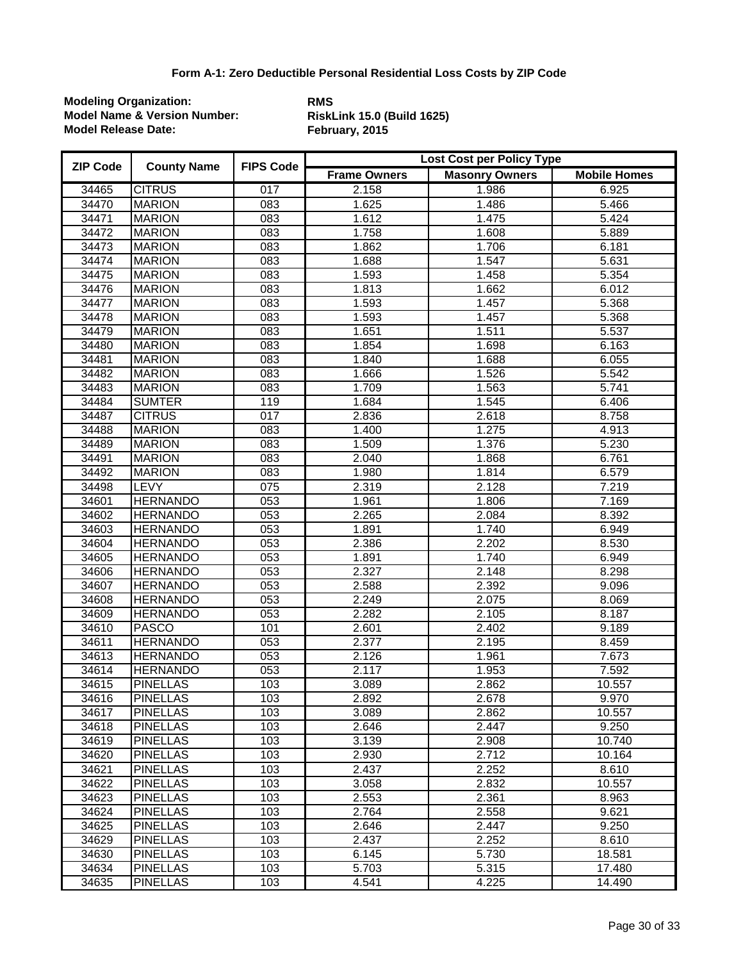| <b>ZIP Code</b> | <b>County Name</b> | <b>FIPS Code</b> | Lost Cost per Policy Type |                       |                     |  |
|-----------------|--------------------|------------------|---------------------------|-----------------------|---------------------|--|
|                 |                    |                  | <b>Frame Owners</b>       | <b>Masonry Owners</b> | <b>Mobile Homes</b> |  |
| 34465           | <b>CITRUS</b>      | 017              | 2.158                     | 1.986                 | 6.925               |  |
| 34470           | <b>MARION</b>      | 083              | 1.625                     | 1.486                 | 5.466               |  |
| 34471           | <b>MARION</b>      | $\overline{083}$ | 1.612                     | 1.475                 | $\overline{5.424}$  |  |
| 34472           | <b>MARION</b>      | $\overline{083}$ | 1.758                     | 1.608                 | 5.889               |  |
| 34473           | <b>MARION</b>      | 083              | 1.862                     | 1.706                 | 6.181               |  |
| 34474           | <b>MARION</b>      | $\overline{083}$ | 1.688                     | 1.547                 | 5.631               |  |
| 34475           | <b>MARION</b>      | $\overline{083}$ | 1.593                     | 1.458                 | 5.354               |  |
| 34476           | <b>MARION</b>      | 083              | 1.813                     | 1.662                 | 6.012               |  |
| 34477           | <b>MARION</b>      | $\overline{083}$ | 1.593                     | 1.457                 | 5.368               |  |
| 34478           | <b>MARION</b>      | 083              | 1.593                     | 1.457                 | 5.368               |  |
| 34479           | <b>MARION</b>      | $\overline{083}$ | 1.651                     | 1.511                 | 5.537               |  |
| 34480           | <b>MARION</b>      | 083              | 1.854                     | 1.698                 | 6.163               |  |
| 34481           | <b>MARION</b>      | 083              | 1.840                     | 1.688                 | 6.055               |  |
| 34482           | <b>MARION</b>      | 083              | 1.666                     | 1.526                 | 5.542               |  |
| 34483           | <b>MARION</b>      | $\overline{083}$ | 1.709                     | 1.563                 | 5.741               |  |
| 34484           | <b>SUMTER</b>      | 119              | 1.684                     | 1.545                 | 6.406               |  |
| 34487           | <b>CITRUS</b>      | 017              | 2.836                     | 2.618                 | 8.758               |  |
| 34488           | <b>MARION</b>      | 083              | 1.400                     | 1.275                 | 4.913               |  |
| 34489           | <b>MARION</b>      | 083              | 1.509                     | 1.376                 | 5.230               |  |
| 34491           | <b>MARION</b>      | $\overline{083}$ | 2.040                     | 1.868                 | 6.761               |  |
| 34492           | <b>MARION</b>      | 083              | 1.980                     | 1.814                 | 6.579               |  |
| 34498           | <b>LEVY</b>        | 075              | 2.319                     | 2.128                 | 7.219               |  |
| 34601           | <b>HERNANDO</b>    | 053              | 1.961                     | 1.806                 | 7.169               |  |
| 34602           | <b>HERNANDO</b>    | 053              | 2.265                     | 2.084                 | 8.392               |  |
| 34603           | <b>HERNANDO</b>    | $\overline{053}$ | 1.891                     | 1.740                 | 6.949               |  |
| 34604           | <b>HERNANDO</b>    | 053              | 2.386                     | 2.202                 | 8.530               |  |
| 34605           | <b>HERNANDO</b>    | 053              | 1.891                     | 1.740                 | 6.949               |  |
| 34606           | <b>HERNANDO</b>    | 053              | 2.327                     | 2.148                 | 8.298               |  |
| 34607           | <b>HERNANDO</b>    | 053              | 2.588                     | 2.392                 | 9.096               |  |
| 34608           | <b>HERNANDO</b>    | 053              | 2.249                     | 2.075                 | 8.069               |  |
| 34609           | <b>HERNANDO</b>    | 053              | 2.282                     | 2.105                 | 8.187               |  |
| 34610           | <b>PASCO</b>       | 101              | 2.601                     | 2.402                 | 9.189               |  |
| 34611           | <b>HERNANDO</b>    | 053              | 2.377                     | 2.195                 | 8.459               |  |
| 34613           | <b>HERNANDO</b>    | 053              | 2.126                     | 1.961                 | 7.673               |  |
| 34614           | <b>HERNANDO</b>    | 053              | 2.117                     | 1.953                 | 7.592               |  |
| 34615           | <b>PINELLAS</b>    | 103              | 3.089                     | 2.862                 | 10.557              |  |
| 34616           | <b>PINELLAS</b>    | 103              | 2.892                     | 2.678                 | 9.970               |  |
| 34617           | <b>PINELLAS</b>    | 103              | 3.089                     | 2.862                 | 10.557              |  |
| 34618           | <b>PINELLAS</b>    | 103              | 2.646                     | 2.447                 | 9.250               |  |
| 34619           | <b>PINELLAS</b>    | 103              | 3.139                     | 2.908                 | 10.740              |  |
| 34620           | <b>PINELLAS</b>    | 103              | 2.930                     | 2.712                 | 10.164              |  |
| 34621           | <b>PINELLAS</b>    | 103              | 2.437                     | 2.252                 | 8.610               |  |
| 34622           | <b>PINELLAS</b>    | 103              | 3.058                     | 2.832                 | 10.557              |  |
| 34623           | <b>PINELLAS</b>    | 103              | 2.553                     | 2.361                 | 8.963               |  |
| 34624           | <b>PINELLAS</b>    | 103              | 2.764                     | 2.558                 | 9.621               |  |
| 34625           | <b>PINELLAS</b>    | 103              | 2.646                     | 2.447                 | 9.250               |  |
| 34629           | <b>PINELLAS</b>    | 103              | 2.437                     | 2.252                 | 8.610               |  |
| 34630           | <b>PINELLAS</b>    | 103              | 6.145                     | 5.730                 | 18.581              |  |
| 34634           | <b>PINELLAS</b>    | 103              | 5.703                     | 5.315                 | 17.480              |  |
| 34635           | <b>PINELLAS</b>    | 103              | 4.541                     | 4.225                 | 14.490              |  |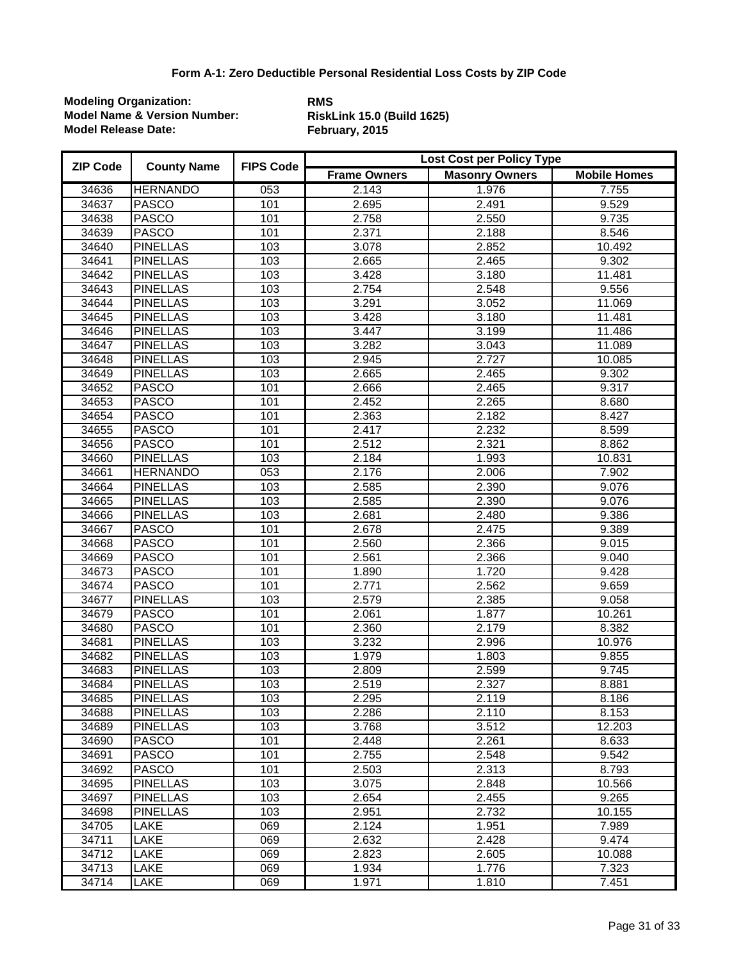| <b>ZIP Code</b> | <b>County Name</b> | <b>FIPS Code</b> | Lost Cost per Policy Type |                       |                     |  |
|-----------------|--------------------|------------------|---------------------------|-----------------------|---------------------|--|
|                 |                    |                  | <b>Frame Owners</b>       | <b>Masonry Owners</b> | <b>Mobile Homes</b> |  |
| 34636           | <b>HERNANDO</b>    | 053              | 2.143                     | 1.976                 | 7.755               |  |
| 34637           | <b>PASCO</b>       | 101              | 2.695                     | 2.491                 | 9.529               |  |
| 34638           | <b>PASCO</b>       | 101              | 2.758                     | 2.550                 | 9.735               |  |
| 34639           | <b>PASCO</b>       | 101              | 2.371                     | 2.188                 | 8.546               |  |
| 34640           | <b>PINELLAS</b>    | 103              | 3.078                     | 2.852                 | 10.492              |  |
| 34641           | <b>PINELLAS</b>    | 103              | 2.665                     | 2.465                 | 9.302               |  |
| 34642           | <b>PINELLAS</b>    | 103              | 3.428                     | 3.180                 | 11.481              |  |
| 34643           | <b>PINELLAS</b>    | 103              | 2.754                     | 2.548                 | 9.556               |  |
| 34644           | <b>PINELLAS</b>    | 103              | 3.291                     | 3.052                 | 11.069              |  |
| 34645           | <b>PINELLAS</b>    | 103              | 3.428                     | 3.180                 | 11.481              |  |
| 34646           | <b>PINELLAS</b>    | 103              | 3.447                     | 3.199                 | 11.486              |  |
| 34647           | <b>PINELLAS</b>    | 103              | 3.282                     | 3.043                 | 11.089              |  |
| 34648           | <b>PINELLAS</b>    | 103              | 2.945                     | 2.727                 | 10.085              |  |
| 34649           | <b>PINELLAS</b>    | 103              | 2.665                     | 2.465                 | 9.302               |  |
| 34652           | <b>PASCO</b>       | 101              | 2.666                     | 2.465                 | 9.317               |  |
| 34653           | <b>PASCO</b>       | 101              | 2.452                     | 2.265                 | 8.680               |  |
| 34654           | <b>PASCO</b>       | 101              | 2.363                     | 2.182                 | 8.427               |  |
| 34655           | <b>PASCO</b>       | 101              | 2.417                     | 2.232                 | 8.599               |  |
| 34656           | <b>PASCO</b>       | 101              | 2.512                     | 2.321                 | 8.862               |  |
| 34660           | <b>PINELLAS</b>    | 103              | 2.184                     | 1.993                 | 10.831              |  |
| 34661           | <b>HERNANDO</b>    | 053              | 2.176                     | 2.006                 | 7.902               |  |
| 34664           | <b>PINELLAS</b>    | 103              | 2.585                     | 2.390                 | 9.076               |  |
| 34665           | <b>PINELLAS</b>    | 103              | 2.585                     | 2.390                 | 9.076               |  |
| 34666           | <b>PINELLAS</b>    | 103              | 2.681                     | 2.480                 | 9.386               |  |
| 34667           | <b>PASCO</b>       | 101              | 2.678                     | 2.475                 | 9.389               |  |
| 34668           | <b>PASCO</b>       | 101              | 2.560                     | 2.366                 | 9.015               |  |
| 34669           | <b>PASCO</b>       | 101              | 2.561                     | 2.366                 | 9.040               |  |
| 34673           | <b>PASCO</b>       | 101              | 1.890                     | 1.720                 | 9.428               |  |
| 34674           | <b>PASCO</b>       | 101              | 2.771                     | 2.562                 | 9.659               |  |
| 34677           | <b>PINELLAS</b>    | 103              | 2.579                     | 2.385                 | 9.058               |  |
| 34679           | <b>PASCO</b>       | 101              | 2.061                     | 1.877                 | 10.261              |  |
| 34680           | <b>PASCO</b>       | 101              | 2.360                     | 2.179                 | 8.382               |  |
| 34681           | <b>PINELLAS</b>    | 103              | 3.232                     | 2.996                 | 10.976              |  |
| 34682           | <b>PINELLAS</b>    | 103              | 1.979                     | 1.803                 | 9.855               |  |
| 34683           | <b>PINELLAS</b>    | 103              | 2.809                     | 2.599                 | 9.745               |  |
| 34684           | <b>PINELLAS</b>    | 103              | 2.519                     | 2.327                 | 8.881               |  |
| 34685           | <b>PINELLAS</b>    | 103              | 2.295                     | 2.119                 | 8.186               |  |
| 34688           | <b>PINELLAS</b>    | 103              | 2.286                     | 2.110                 | 8.153               |  |
| 34689           | <b>PINELLAS</b>    | 103              | 3.768                     | 3.512                 | 12.203              |  |
| 34690           | <b>PASCO</b>       | 101              | 2.448                     | 2.261                 | 8.633               |  |
| 34691           | <b>PASCO</b>       | 101              | 2.755                     | 2.548                 | 9.542               |  |
| 34692           | <b>PASCO</b>       | 101              | 2.503                     | 2.313                 | 8.793               |  |
| 34695           | <b>PINELLAS</b>    | 103              | 3.075                     | 2.848                 | 10.566              |  |
| 34697           | <b>PINELLAS</b>    | 103              | 2.654                     | 2.455                 | 9.265               |  |
| 34698           | <b>PINELLAS</b>    | 103              | 2.951                     | 2.732                 | 10.155              |  |
| 34705           | LAKE               | 069              | 2.124                     | 1.951                 | 7.989               |  |
| 34711           | LAKE               | 069              | 2.632                     | 2.428                 | 9.474               |  |
| 34712           | LAKE               | 069              | 2.823                     | 2.605                 | 10.088              |  |
| 34713           | LAKE               | 069              | 1.934                     | 1.776                 | 7.323               |  |
| 34714           | LAKE               | $\overline{069}$ | 1.971                     | 1.810                 | 7.451               |  |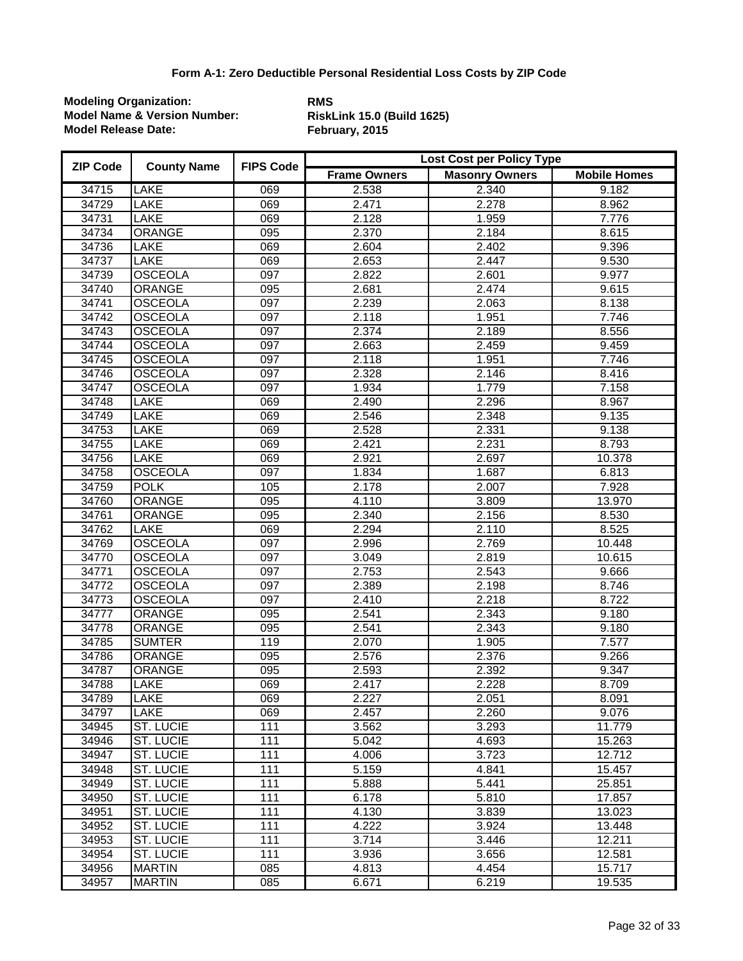| <b>ZIP Code</b> | <b>County Name</b> | <b>FIPS Code</b> | Lost Cost per Policy Type |                       |                     |  |
|-----------------|--------------------|------------------|---------------------------|-----------------------|---------------------|--|
|                 |                    |                  | <b>Frame Owners</b>       | <b>Masonry Owners</b> | <b>Mobile Homes</b> |  |
| 34715           | <b>LAKE</b>        | 069              | 2.538                     | 2.340                 | 9.182               |  |
| 34729           | LAKE               | 069              | 2.471                     | 2.278                 | 8.962               |  |
| 34731           | <b>LAKE</b>        | 069              | 2.128                     | 1.959                 | 7.776               |  |
| 34734           | <b>ORANGE</b>      | 095              | 2.370                     | 2.184                 | 8.615               |  |
| 34736           | <b>LAKE</b>        | 069              | 2.604                     | 2.402                 | 9.396               |  |
| 34737           | <b>LAKE</b>        | 069              | 2.653                     | 2.447                 | 9.530               |  |
| 34739           | <b>OSCEOLA</b>     | $\overline{097}$ | 2.822                     | 2.601                 | 9.977               |  |
| 34740           | <b>ORANGE</b>      | $\overline{095}$ | 2.681                     | 2.474                 | 9.615               |  |
| 34741           | <b>OSCEOLA</b>     | 097              | 2.239                     | 2.063                 | 8.138               |  |
| 34742           | <b>OSCEOLA</b>     | $\overline{097}$ | 2.118                     | 1.951                 | 7.746               |  |
| 34743           | <b>OSCEOLA</b>     | $\overline{097}$ | 2.374                     | 2.189                 | 8.556               |  |
| 34744           | <b>OSCEOLA</b>     | $\overline{097}$ | 2.663                     | 2.459                 | 9.459               |  |
| 34745           | <b>OSCEOLA</b>     | $\overline{097}$ | 2.118                     | 1.951                 | 7.746               |  |
| 34746           | <b>OSCEOLA</b>     | 097              | 2.328                     | 2.146                 | 8.416               |  |
| 34747           | <b>OSCEOLA</b>     | 097              | 1.934                     | 1.779                 | 7.158               |  |
| 34748           | LAKE               | 069              | 2.490                     | 2.296                 | 8.967               |  |
| 34749           | LAKE               | 069              | 2.546                     | 2.348                 | 9.135               |  |
| 34753           | LAKE               | 069              | 2.528                     | 2.331                 | 9.138               |  |
| 34755           | LAKE               | 069              | 2.421                     | 2.231                 | 8.793               |  |
| 34756           | LAKE               | 069              | 2.921                     | 2.697                 | 10.378              |  |
| 34758           | <b>OSCEOLA</b>     | $\overline{097}$ | 1.834                     | 1.687                 | 6.813               |  |
| 34759           | <b>POLK</b>        | 105              | 2.178                     | 2.007                 | 7.928               |  |
| 34760           | <b>ORANGE</b>      | 095              | 4.110                     | 3.809                 | 13.970              |  |
| 34761           | <b>ORANGE</b>      | 095              | 2.340                     | 2.156                 | 8.530               |  |
| 34762           | <b>LAKE</b>        | 069              | 2.294                     | 2.110                 | 8.525               |  |
| 34769           | <b>OSCEOLA</b>     | 097              | 2.996                     | 2.769                 | 10.448              |  |
| 34770           | <b>OSCEOLA</b>     | 097              | 3.049                     | 2.819                 | 10.615              |  |
| 34771           | <b>OSCEOLA</b>     | $\overline{097}$ | 2.753                     | 2.543                 | 9.666               |  |
| 34772           | <b>OSCEOLA</b>     | $\overline{097}$ | 2.389                     | 2.198                 | 8.746               |  |
| 34773           | <b>OSCEOLA</b>     | $\overline{097}$ | 2.410                     | 2.218                 | 8.722               |  |
| 34777           | <b>ORANGE</b>      | 095              | 2.541                     | 2.343                 | 9.180               |  |
| 34778           | <b>ORANGE</b>      | 095              | 2.541                     | 2.343                 | 9.180               |  |
| 34785           | <b>SUMTER</b>      | 119              | 2.070                     | 1.905                 | 7.577               |  |
| 34786           | <b>ORANGE</b>      | 095              | 2.576                     | 2.376                 | 9.266               |  |
| 34787           | <b>ORANGE</b>      | 095              | 2.593                     | 2.392                 | 9.347               |  |
| 34788           | LAKE               | 069              | 2.417                     | 2.228                 | 8.709               |  |
| 34789           | <b>LAKE</b>        | 069              | 2.227                     | 2.051                 | 8.091               |  |
| 34797           | LAKE               | 069              | 2.457                     | 2.260                 | 9.076               |  |
| 34945           | <b>ST. LUCIE</b>   | 111              | 3.562                     | 3.293                 | 11.779              |  |
| 34946           | <b>ST. LUCIE</b>   | 111              | 5.042                     | 4.693                 | 15.263              |  |
| 34947           | <b>ST. LUCIE</b>   | 111              | 4.006                     | 3.723                 | 12.712              |  |
| 34948           | <b>ST. LUCIE</b>   | 111              | 5.159                     | 4.841                 | 15.457              |  |
| 34949           | <b>ST. LUCIE</b>   | 111              | 5.888                     | 5.441                 | 25.851              |  |
| 34950           | <b>ST. LUCIE</b>   | 111              | 6.178                     | 5.810                 | 17.857              |  |
| 34951           | <b>ST. LUCIE</b>   | 111              | 4.130                     | 3.839                 | 13.023              |  |
| 34952           | <b>ST. LUCIE</b>   | 111              | 4.222                     | 3.924                 | 13.448              |  |
| 34953           | <b>ST. LUCIE</b>   | 111              | 3.714                     | 3.446                 | 12.211              |  |
| 34954           | <b>ST. LUCIE</b>   | 111              | 3.936                     | 3.656                 | 12.581              |  |
| 34956           | <b>MARTIN</b>      | 085              | 4.813                     | 4.454                 | 15.717              |  |
| 34957           | <b>MARTIN</b>      | 085              | 6.671                     | 6.219                 | 19.535              |  |